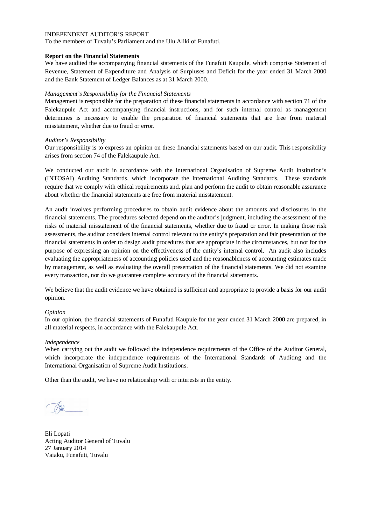To the members of Tuvalu's Parliament and the Ulu Aliki of Funafuti,

## **Report on the Financial Statements**

We have audited the accompanying financial statements of the Funafuti Kaupule, which comprise Statement of Revenue, Statement of Expenditure and Analysis of Surpluses and Deficit for the year ended 31 March 2000 and the Bank Statement of Ledger Balances as at 31 March 2000.

## *Management's Responsibility for the Financial Statements*

Management is responsible for the preparation of these financial statements in accordance with section 71 of the Falekaupule Act and accompanying financial instructions, and for such internal control as management determines is necessary to enable the preparation of financial statements that are free from material misstatement, whether due to fraud or error.

## *Auditor's Responsibility*

Our responsibility is to express an opinion on these financial statements based on our audit. This responsibility arises from section 74 of the Falekaupule Act.

We conducted our audit in accordance with the International Organisation of Supreme Audit Institution's (INTOSAI) Auditing Standards, which incorporate the International Auditing Standards. These standards require that we comply with ethical requirements and, plan and perform the audit to obtain reasonable assurance about whether the financial statements are free from material misstatement.

An audit involves performing procedures to obtain audit evidence about the amounts and disclosures in the financial statements. The procedures selected depend on the auditor's judgment, including the assessment of the risks of material misstatement of the financial statements, whether due to fraud or error. In making those risk assessments, the auditor considers internal control relevant to the entity's preparation and fair presentation of the financial statements in order to design audit procedures that are appropriate in the circumstances, but not for the purpose of expressing an opinion on the effectiveness of the entity's internal control. An audit also includes evaluating the appropriateness of accounting policies used and the reasonableness of accounting estimates made by management, as well as evaluating the overall presentation of the financial statements. We did not examine every transaction, nor do we guarantee complete accuracy of the financial statements.

We believe that the audit evidence we have obtained is sufficient and appropriate to provide a basis for our audit opinion.

### *Opinion*

In our opinion, the financial statements of Funafuti Kaupule for the year ended 31 March 2000 are prepared, in all material respects, in accordance with the Falekaupule Act.

### *Independence*

When carrying out the audit we followed the independence requirements of the Office of the Auditor General, which incorporate the independence requirements of the International Standards of Auditing and the International Organisation of Supreme Audit Institutions.

Eli Lopati Acting Auditor General of Tuvalu 27 January 2014 Vaiaku, Funafuti, Tuvalu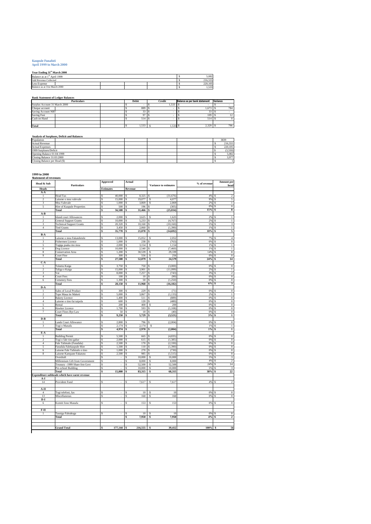### **Kaupule Funafuti April 1999 to March 2000**

**Year Ending 31st March 2000**

| Year Ending 31" March 2000               |  |  |         |
|------------------------------------------|--|--|---------|
| Balance as at 1 <sup>st</sup> April 1999 |  |  | 5.082   |
| Add Revenue Collected                    |  |  | 216,555 |
| <b>Less Expense</b>                      |  |  | 220.105 |
| Balance as at 31st March 2000            |  |  | .533    |

#### **Bank Statement of Ledger Balances**

| <b>Particulars</b>            | Debit        | Credit | Balance as per bank statement | Variance |
|-------------------------------|--------------|--------|-------------------------------|----------|
| Surplus Account 31 March 2000 |              | 1,533  |                               |          |
| Cheque account                | 889          |        | 1.673                         | 784      |
| Saving Account NBT            | $\sim$<br>55 |        | n a<br>22                     |          |
| Saving Fusi                   |              |        | 109                           |          |
| Cash on Hand                  | 514          |        | 514                           |          |
|                               |              |        |                               |          |
| Total                         | 1,533        | 1,533  | 2.329                         | 796      |

#### **Analysis of Surpluses, Deficit and Balances**

| Population                    |  |  | 3839    |
|-------------------------------|--|--|---------|
| <b>Actual Revenue</b>         |  |  | 216,555 |
| <b>Actual Expenses</b>        |  |  | 220,105 |
| 1999 Surpluses/Deficit        |  |  | (3.550) |
| Opening Balance 01:04:1999    |  |  | 5.082   |
| Closing Balance 31:03:2000    |  |  | 3.977   |
| Closing Balance per Head (\$) |  |  |         |

#### **1999 to 2000 Statement of revenues**

| Head & Sub                              | <b>Particulars</b>                            | <b>Approved</b>  |                | Actual                   | <b>Variance to estimates</b> | % of revenue | Amount per<br>head                     |  |
|-----------------------------------------|-----------------------------------------------|------------------|----------------|--------------------------|------------------------------|--------------|----------------------------------------|--|
| <b>Heads</b>                            |                                               | <b>Estimates</b> |                | Revenue                  |                              |              |                                        |  |
| $A - A$                                 |                                               |                  |                |                          |                              |              |                                        |  |
| $\mathbf{1}$                            | <b>Head Tax</b>                               | s                | 40,000         | 8,325<br>\$              | (31,676)<br>\$               | 4%           | $\,2$<br>-S                            |  |
| $\overline{c}$                          | Laisene o mea valevale                        | S                | 15,000         | 19,077<br>\$             | 4,077<br>\$                  | 9%           | 5<br>\$                                |  |
| 3<br>5                                  | Mea Valevale<br>Hire of Kaupule Properties    | S<br>s           | 1,000<br>500   | \$<br>3,869<br>\$<br>196 | \$<br>2,869<br>(305)<br>s.   | 2%<br>0%     | \$<br>1<br>\$<br>$\boldsymbol{0}$      |  |
|                                         | Total                                         | Ś                | 56,500         | \$<br>31,466             | \$<br>(25, 034)              | 15%          | 8<br>\$                                |  |
| A-B                                     |                                               |                  |                |                          |                              |              |                                        |  |
| ı                                       | <b>Island court Allowances</b>                | s                | 2,000          | 3,625<br>\$              | 1,62<br>Ś                    | 2%           | I.<br>S                                |  |
| $\overline{2}$                          | <b>General Support Grants</b>                 | S                | 10,000         | \$<br>5,233              | (4,767)<br>\$                | 2%           | \$<br>L                                |  |
| $\overline{\mathbf{3}}$                 | <b>Technical Support Grants</b>               | S                | 20,320         | \$<br>10,160             | \$<br>(10, 160)              | 5%           | 3<br>\$                                |  |
| $\overline{4}$                          | <b>Tied Grants</b>                            | s                | 3,450          | \$<br>2,060              | \$<br>(1, 390)               | 1%           | \$<br>1                                |  |
|                                         | Total                                         | \$               | 35,770         | \$<br>21,078             | \$<br>(14, 692)              | 10%          | \$<br>5                                |  |
| B-A                                     |                                               |                  |                |                          |                              |              |                                        |  |
| $\mathbf{I}$                            | Laisene o mea Fakateletele                    | Ś                | 13,000         | 15.052<br>\$             | 2.052<br>Ś                   | 7%           | $\overline{4}$<br>\$                   |  |
| 3                                       | Fishermen Licence                             | S                | 1.000          | \$<br>238                | (763)<br>\$                  | 0%           | $\overline{0}$<br>\$                   |  |
| 5                                       | Togiga puaka mo moa                           | s                | 2,000          | \$<br>3,154              | \$<br>1,154                  | 1%           | \$<br>$\,$ I                           |  |
| 6                                       | Dog Licence                                   | S                | 10,000         | 2,540<br>\$              | (7, 460)<br>\$               | $1\%$        | \$<br>$\,$ I                           |  |
| 8                                       | Conservation Area                             | s                | $1,200$ \$     | 30,539                   | 29,339<br>\$.                | 14%          | $\bf 8$<br>-S                          |  |
| $\overline{9}$                          | Court Fine                                    | S                | 300            | 556<br>\$                | \$<br>256                    | 0%           | $\,0\,$<br>\$                          |  |
|                                         | Total                                         | \$               | 27,500         | 52,079<br>\$             | 24,579<br>\$                 | 24%          | 14<br>\$                               |  |
| $C-A$                                   |                                               |                  |                |                          |                              |              |                                        |  |
| $\mathbf{1}$                            | Tulamu Kaiga                                  | Ś                | 3,750          | 750<br>S                 | (3,000)<br>Ś                 | 0%           | $\bf{0}$<br>Ś                          |  |
| $\overline{c}$                          | Taliga o Kaiga                                | s                | 15,000         | 3,901<br>\$              | (11,099)<br>\$               | 2%           | \$<br>$\mathbf{I}$                     |  |
| 3                                       | Vai                                           | S                | 8,000          | 7,257<br>\$              | \$<br>(743)                  | 3%           | $\overline{2}$<br>\$                   |  |
| $\overline{4}$                          | Court Fees                                    | s                | 100            | \$<br>10                 | \$<br>(90)                   | 0%           | \$<br>$\bf{0}$                         |  |
| $\overline{6}$                          | Cemetery Fees                                 | S                | 1,300          | $\overline{50}$<br>\$    | (1,250)<br>\$                | 0%           | $\overline{0}$<br>\$                   |  |
|                                         | Total                                         | \$               | 28,150         | \$<br>11,968             | \$<br>(16, 182)              | $6\%$        | \$<br>3                                |  |
| D-A                                     |                                               |                  |                |                          |                              |              |                                        |  |
| 1                                       | Sales of Local Product                        | Ś                | 300            | 229<br>\$                | (71)<br>s                    | 0%           | $\boldsymbol{0}$<br>s                  |  |
| $\overline{2}$                          | Tupe Maua ite Maketi                          | Ś                | 5,000          | 3,867<br>\$              | (1, 133)<br>\$               | 2%           | \$<br>1                                |  |
| 3                                       | <b>Bakery Licence</b>                         | Ś                | 1,400          | 511<br>\$                | (889)<br>\$                  | 0%           | $\,0\,$<br>\$                          |  |
| 4                                       | Laisene o tino fai taipola                    | s                | 600            | \$<br>120                | (480)<br>\$                  | 0%           | $\,0\,$<br>\$                          |  |
| 5                                       | Rental                                        | S                | 200            | \$<br>400                | 200<br>\$                    | 0%           | $\overline{0}$<br>\$                   |  |
| 6                                       | Hawker Licence                                | S                | 1,700          | 593<br>\$                | (1, 108)<br>\$               | 0%           | $\overline{0}$<br>\$                   |  |
| 7                                       | Court Fines-Bye Law                           | S                | 50             | $10\,$<br>\$             | \$<br>(40)                   | 0%           | $\overline{0}$<br>\$                   |  |
|                                         | Total                                         | \$               | 9,250          | \$<br>5,729              | \$<br>(3, 521)               | 3%           | \$<br>$\mathbf{1}$                     |  |
| D-B                                     |                                               | Ś                |                | S                        | Ś                            |              | S                                      |  |
| $\mathbf{1}$<br>$\overline{\mathbf{3}}$ | <b>Lands Court Allowance</b><br>Togi o Manafa | Ś                | 2,800<br>2.174 | 796<br>2.174<br>Ś        | (2,004)<br>s                 | 0%<br>1%     | $\boldsymbol{0}$<br>\$<br>$\mathbf{I}$ |  |
|                                         | Total                                         | Ś                | 4,974          | \$<br>2,970              | \$<br>(2.004)                | $1\%$        | \$<br>$\mathbf{1}$                     |  |
| E-A                                     |                                               |                  |                |                          |                              |              |                                        |  |
| I.                                      | <b>Building Permit</b>                        | S                | 5,500          | \$<br>665                | (4,835)<br>s                 | 0%           | $\overline{0}$<br>\$                   |  |
| $\overline{c}$                          | Togi o fale tino galue                        | S                | 2,000          | \$<br>615                | \$<br>(1, 385)               | 0%           | \$<br>$\,0\,$                          |  |
| $\overline{4}$                          | Fale Talimalo (Funafala)                      | S                | 2,500          | s<br>170                 | \$<br>(2, 330)               | 0%           | s<br>$\overline{0}$                    |  |
| 5                                       | Funafala Falekaupule Hire                     | s                | 1,500          | \$<br>110                | \$<br>(1, 390)               | 0%           | \$<br>$\bf{0}$                         |  |
| 6                                       | Laisene Fale Talimalo o tino                  | s                | 1,000          | \$<br>270                | \$<br>(730)                  | 0%           | \$<br>$\boldsymbol{0}$                 |  |
| 8                                       | Laisene Kampane Fakatutu                      | s                | 2,500          | \$<br>985                | \$<br>(1, 515)               | 0%           | \$<br>$\,0\,$                          |  |
|                                         | Overdraft                                     | s                |                | 10,000<br>Ś              | 10,000<br>s                  | 5%           | Ś<br>3                                 |  |
|                                         | Millennium Gift from Government               | S                | ٠              | \$<br>8,000              | \$<br>8,000                  | 4%           | \$<br>$\overline{c}$                   |  |
|                                         | Treasury-1999 Share frm Govt                  | s                | ÷,             | \$<br>52,500             | \$<br>52,500                 | 24%          | \$<br>14                               |  |
|                                         | Pre-school Building                           | S                |                | \$<br>10,000             | \$<br>10,000                 | 5%           | 3<br>\$                                |  |
|                                         | Total                                         | \$               | 15,000         | \$<br>83,315             | \$<br>68,315                 | 38%          | $\bf 22$<br>S                          |  |
|                                         | Expenditure subheads which have earnt revenue |                  |                |                          |                              |              |                                        |  |
| A-I                                     |                                               |                  |                |                          |                              |              |                                        |  |
| 14                                      | Provident Fund                                | Ś                | ÷              | 7,617<br>Ś               | 7,617<br>Ŝ                   | 4%           | $\overline{2}$<br>Ś                    |  |
|                                         |                                               |                  |                |                          |                              |              |                                        |  |
| $A-II$                                  |                                               |                  |                |                          |                              |              |                                        |  |
| $\overline{4}$                          | Togi telefoni, fax                            | S                |                | 10<br>\$                 | 10<br>\$                     | 0%           | $\overline{0}$<br>\$                   |  |
| 13                                      | Miscellaneous                                 | S                | ÷              | \$<br>160                | \$<br>160                    | 0%           | $\boldsymbol{0}$<br>\$                 |  |
| D-I                                     |                                               |                  |                |                          |                              |              |                                        |  |
| 6                                       | Komiti fono Manafa                            | s                |                | 153<br>s                 | 153<br>s                     | 0%           | $\bf{0}$                               |  |
|                                         |                                               |                  |                |                          |                              |              |                                        |  |
| F-II                                    |                                               |                  |                |                          |                              |              |                                        |  |
| $\mathbf{I}$                            | Tausiga Faleakoga                             | Ś                |                | Ś<br>10                  | Ś<br>10                      | 0%           | $\bf{0}$<br>S                          |  |
|                                         | Total                                         |                  |                | \$<br>7,950              | \$<br>7,950                  | 4%           | \$<br>$\mathbf{2}$                     |  |
|                                         |                                               |                  |                |                          |                              |              |                                        |  |
|                                         |                                               |                  |                |                          |                              |              |                                        |  |
|                                         | <b>Grand Total</b>                            | Ś                | 177,144 \$     | 216,555                  | 39,412<br>\$                 | 100%         | 56<br>-S                               |  |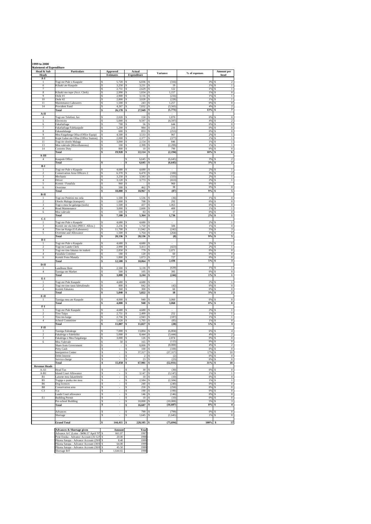| <b>Heads</b>                                     | <b>Statement of Expenditure</b><br>Particulars                     | <b>Approved</b>                         | Actual                          | <b>Variance</b>              | % of expenses | Amount per                                    |
|--------------------------------------------------|--------------------------------------------------------------------|-----------------------------------------|---------------------------------|------------------------------|---------------|-----------------------------------------------|
| A-I                                              |                                                                    | <b>Estimates</b>                        | <b>Expenditure</b>              |                              |               | head                                          |
| $\mathbf{1}$                                     | Togi ote Pule o Kaupule                                            | 5,720<br>s                              | 6,036<br>Ś                      | (316)<br>Ŝ                   | 3%            | $\,2\,$                                       |
| 6                                                | Kilaaki ate Kaupule                                                | s<br>3,250                              | 3,231<br>-S                     | Ŝ<br>19                      | 1%            | $\,1\,$<br>s                                  |
| 7<br>8                                           | Kilaaki mo tupe (Acct. Clerk)                                      | 2,751<br>s<br>s<br>2,990                | 2,629<br>-S<br>1,834<br>Ś       | 122<br>s<br>1,157<br>\$      | 1%<br>1%      | $\,1\,$<br>s<br>$\boldsymbol{0}$<br>s         |
| 9                                                | $\overline{O}$ tele #1                                             | 2,900<br>s                              | 3,116<br>Ś                      | Ŝ<br>(216)                   | 1%            | $\,$ I<br>Ś                                   |
| 10<br>$_{11}$                                    | Otele #2<br>Maintenance Labourers                                  | s<br>2,800<br>s<br>1,500                | \$<br>3,028<br>\$<br>243        | \$<br>(228)<br>1,257<br>S    | 1%<br>0%      | $\,$ I<br>\$<br>$\,0\,$<br>s                  |
| 14                                               | Provident Fund                                                     | s<br>4,267                              | \$<br>7,832                     | (3,565)<br>Ś                 | 4%            | $\,2$<br>Ś                                    |
|                                                  | <b>Total</b>                                                       | 26,178<br>s                             | 27,949<br>\$                    | (1,771)<br>\$                | 13%           | 7<br>\$                                       |
| A-II<br>$\overline{4}$                           | Togi ote Telefoni, fax                                             | 2,020<br>s                              | 150<br>Ś                        | s<br>1,870<br>s              | 0%            | $\,0\,$<br>s                                  |
| 5                                                | Electricity                                                        | s<br>5,000                              | 9,597<br>Ś                      | (4,597)<br>Ŝ                 | 4%            | $\overline{2}$<br>\$                          |
| 6<br>7                                           | Fakafiafiaga<br>Fakafiafiaga Falekaupule                           | s<br>700<br>s<br>1,200                  | 56<br>Ś<br>\$<br>984            | Ś<br>644<br>216<br>\$        | 0%<br>0%      | $\,0\,$<br>Ś<br>$\boldsymbol{0}$<br>\$        |
| 8                                                | Fakasalalauga                                                      | s<br>600                                | 853<br>\$                       | s<br>(253)                   | 0%            | $\,0\,$<br>S                                  |
| 9                                                | Mea Faigaluega Ofisa (Office Equip)                                | 4,500<br>s                              | 3,533<br>Ś                      | 967<br>Ś<br>\$               | 2%            | $\,$ $\,$<br>S<br>Ś                           |
| 10<br>11                                         | Kope Galue ote Ofisa (Office Station)<br>Togi ite oloolo Malaga    | s<br>2,000<br>s<br>3,000                | 2.377<br>Ś<br>2,154<br>Ś        | (377)<br>\$<br>846           | 1%<br>1%      | $\,1\,$<br>$\mathbf{1}$<br>s                  |
| 13                                               | Mea valevale (Miscellaneous)                                       | s<br>100                                | 2,399<br>\$                     | (2, 299)<br>s                | 1%            | $\mathbf{1}$<br>s                             |
| $^{14}$                                          | <b>Customs Duty</b><br>Total                                       | 800<br>s<br>\$<br>19,920                | $10\,$<br>s<br>22,114<br>\$     | 790<br>s<br>(2, 194)<br>\$   | 0%<br>10%     | $\overline{0}$<br>S.<br>6<br>\$               |
| A-III                                            |                                                                    |                                         |                                 |                              |               |                                               |
| $\overline{4}$                                   | Kaupule Office                                                     |                                         | 6,645<br>\$                     | (6, 645)<br>\$               | 3%            | $\overline{2}$<br>\$                          |
| B-I                                              | Total                                                              | s                                       | \$<br>6,645                     | (6, 645)<br>\$               | 3%            | $\overline{\mathbf{2}}$<br>\$                 |
| $\,$ $\,$                                        | Togi ote Pule o Kaupule                                            | 4,680<br>s                              | 4,680<br>Ś                      | Ś                            | 2%            | $\,1$                                         |
| $\overline{2}$                                   | Conservation Area Officers 2                                       | s<br>6,370 \$                           | $6,470$ \$                      | (100)                        | 3%            | S<br>$\overline{\mathbf{c}}$                  |
| 3<br>$\overline{4}$                              | Mechanic<br>Driver                                                 | s<br>3,250<br>3,120<br>s                | 3,583<br>-S<br>3,773<br>Ś       | s<br>(333)<br>s<br>(653)     | 2%<br>2%      | $\,1\,$<br>-S<br>$\,$ $\,$<br>\$              |
| 5                                                | Komiti / Funafala                                                  | s<br>960                                | Ś                               | Ś<br>960                     | 0%            | Ś                                             |
| 6                                                | Overtime<br>Total                                                  | 500<br>s<br>\$<br>18,880                | \$<br>462<br>18,967<br>\$       | \$<br>38<br>(87)<br>s        | 0%<br>9%      | $\overline{0}$<br>\$<br>5<br>\$               |
| $B-II$                                           |                                                                    |                                         |                                 |                              |               |                                               |
| $\mathbf{1}$                                     | Togi ote Penitini mo oela                                          | 1,500<br>s                              | 1,536<br>Ś                      | Ś<br>(36)                    | 1%            | $\,0\,$                                       |
| $\overline{2}$<br>3                              | Oloolo Malaga (transport)<br>Togi o mea fai galuega (tools)        | s<br>1,000<br>1,500<br>s                | 708<br>s<br>437<br>-S           | 292<br>s<br>1,063<br>s       | 0%<br>0%      | $\boldsymbol{0}$<br>s<br>$\,0\,$<br>s         |
| $\overline{4}$                                   | Road Maintenance                                                   | 3,000<br>s                              | 2,600<br>Ś                      | 400<br>Ŝ                     | 1%            | $\,$ I<br>s                                   |
| 6                                                | Mea valevale                                                       | 100<br>s<br>7,100<br>s                  | 83<br>Ś<br>5,364<br>\$          | 17<br>Ś<br>1,736<br>\$       | 0%<br>2%      | $\,0\,$<br>Ś<br>$\mathbf 1$<br>\$             |
| C-I                                              | Total                                                              |                                         |                                 |                              |               |                                               |
|                                                  | Togi ote Pule o Kaupule                                            | 4,680<br>s                              | 4,680<br>Ś                      | s                            | 2%            | $\,$ $\,$                                     |
| 3<br>$\overline{4}$                              | Komiti ote ola lelei (PHCC Allow.)<br>Tino tae Kaiga (G/Labourers) | 2,256<br>s<br>11,700 \$<br>s            | \$<br>1,750<br>11,942           | 506<br>s<br>-S<br>(242)      | 1%<br>5%      | $\,0\,$<br>s<br>\$<br>3                       |
| 5                                                | Overtime and Allowance                                             | s<br>$1,500$ \$                         | 1,764                           | s<br>(264)                   | 1%            | s<br>$\bf{0}$                                 |
|                                                  | <b>Total</b>                                                       | s<br>20,136                             | 20,136<br>\$                    | (0)<br>\$                    | $9\%$         | 5<br>S                                        |
| D-I<br>1                                         | Togi ote Pule o Kaupule                                            | 4,680<br>s                              | 4,680<br>Ś                      |                              | 2%            | $\,$ l                                        |
| $\overline{2}$                                   | Togi ote Lands Clerk                                               | 2,990<br>s                              | \$<br>3,413                     | (423)<br>\$                  | 2%            | $\,$ I<br>\$                                  |
| 3<br>$\overline{4}$                              | Togi ote tino fakatau ite maketi<br>Funafala Comittee              | 2,850<br>s<br>180<br>s                  | 779<br>\$<br>120<br>Ś           | \$<br>2,071<br>Ś<br>60       | 0%<br>0%      | $\overline{0}$<br>\$<br>$\boldsymbol{0}$<br>S |
| 6                                                | Komiti Fono Manafa                                                 | s<br>1,800                              | 1,073<br>Ś                      | 727<br>Ŝ                     | 0%            | $\,0\,$<br>S                                  |
|                                                  | Total                                                              | \$<br>12,500                            | \$<br>10,064                    | \$<br>2,436                  | 5%            | 3<br>s                                        |
| D-II<br>1                                        | Landlease Rent                                                     | 2,500<br>s                              | 3,139<br>s                      | (639)<br>s                   | 1%            | $\,$ $\,$<br>s                                |
| $\overline{4}$                                   | Tausiga ote Market                                                 | s<br>500                                | 105<br>Ś                        | Ś<br>395                     | 0%            | $\,0\,$<br>Ś                                  |
|                                                  | Total                                                              | \$<br>3,000                             | \$<br>3,244                     | \$<br>(244)                  | $1\%$         | $\mathbf 1$<br>\$                             |
| E-I<br>1                                         | Togi ote Pule Kaupule                                              | 4,680<br>s                              | 4,680<br>S                      | s                            | 2%            | $\,$ $\,$                                     |
| $\,2$                                            | Togi ote tino tausi faletalimalo                                   | s<br>800                                | 842<br>Ś                        | s<br>(42)                    | 0%            | $\,0\,$<br>S                                  |
| $\overline{4}$                                   | Komiti Fakatutu                                                    | s<br>360                                | \$<br>300                       | s<br>60<br>18<br>\$          | 0%<br>3%      | $\bf{0}$<br>s<br>$\boldsymbol{2}$<br>\$       |
| E-II                                             | Total                                                              | \$<br>5,840                             | \$<br>5,822                     |                              |               |                                               |
|                                                  | Tausiga mea ate Kaupule                                            | s<br>4,000                              | Ś<br>940                        | 3,060                        | 0%            | $\,0\,$                                       |
| F-I                                              | Total                                                              | 4,000                                   | 940                             | 3,060<br>s                   | 0%            | $\pmb{0}$<br>s                                |
|                                                  | Togi ote Pule Kaupule                                              | 4,680                                   | 4,680                           |                              | 2%            | $\,$ I                                        |
| $\,2$                                            | Tino Taipa                                                         | 2,751<br>s                              | \$<br>2,499                     | 252<br>Ś                     | 1%            | $\,$ $\,$<br>S<br>Ś                           |
| 3                                                | Tino teu kaiga<br>School Committee                                 | 2,756<br>s<br>s                         | 2,943<br>Ś<br>1,705<br>-S       | (187)<br>Ś<br>(85)<br>s      | 1%<br>1%      | $\,$ I<br>$\bf{0}$<br>s                       |
| $\overline{4}$                                   |                                                                    | 1,620                                   |                                 |                              |               |                                               |
|                                                  | Total                                                              | 11,807<br>\$                            | 11,827<br>\$                    | (20)<br>\$                   | 5%            | $\mathbf 3$<br>\$                             |
| F-II                                             |                                                                    |                                         |                                 |                              |               |                                               |
| 1                                                | Tausiga Faleakoga<br>akaleiga o Falefolik                          | 7,000<br>Ś<br>,000                      | 13,804<br>Ś<br>3,444            | Ś<br>(6, 804)<br>3,444.      | 6%            | $\overline{4}$<br>Ś                           |
| 3                                                | Fakaleiga o Mea Faigaluega                                         | s<br>3,000                              | \$<br>126                       | 2,874<br>-S                  | $0\%$         | $\boldsymbol{0}$<br>\$                        |
| 6                                                | Mea Valevale                                                       | s<br>50<br>×                            | \$<br>165<br>$8,000$ $S$<br>Ś   | \$<br>(115)                  | 0%            | \$<br>$\,0\,$                                 |
|                                                  | Share from Government<br>Petty Cash                                | s<br>s<br>$\overline{\phantom{a}}$      | 100S<br>\$                      | (8,000)<br>(100)             | 4%<br>0%      | \$<br>$\,2$<br>$\boldsymbol{0}$<br>\$         |
|                                                  | <b>Interpretive Center</b>                                         | s<br>$\overline{\phantom{a}}$           | 37,317<br>\$                    | s<br>(37, 317)               | 17%           | $10\,$<br>\$                                  |
|                                                  | Debit Interest                                                     | s                                       | \$<br>$\overline{2}$<br>23<br>Ś | s<br>(2)                     | 0%            | \$<br>$\,0\,$<br>\$                           |
|                                                  | Service charge<br>Total                                            | s<br>15,050<br>\$                       | 67,981<br>\$                    | s<br>(23)<br>(52, 931)<br>\$ | $0\%$<br>31%  | $\,0\,$<br>18<br>\$                           |
|                                                  |                                                                    |                                         |                                 |                              |               |                                               |
| $A-A1$<br>$A-B1$                                 | <b>Head Tax</b><br><b>Island Court Allowance</b>                   | Ś<br>s<br>×.                            | 30<br>Ś<br>3,147<br>Ś           | (30)<br>s<br>(3, 147)<br>s   | 0%<br>1%      | $\overline{0}$<br>Ś<br>\$<br>$\,1\,$          |
| B1                                               | Laisene mea fakateletele                                           | s<br>$\overline{\phantom{a}}$           | s<br>10 <sup>10</sup>           | s<br>(10)                    | 0%            | $\,0\,$<br>\$                                 |
| B5                                               | Togiga o puaka mo moa                                              | s<br>$\overline{\phantom{a}}$           | 2,584<br>\$                     | (2, 584)<br>s                | 1%            | \$<br>$\,$ I                                  |
| <b>Revenue Heads</b><br><b>B6</b><br>$_{\rm B8}$ | Dog licences<br>Conservation area                                  | s<br>S                                  | 240<br>Ś<br>250<br>\$           | s<br>(240)<br>\$<br>(250)    | 0%<br>0%      | $\overline{0}$<br>\$<br>\$<br>$\,0\,$         |
| C <sub>3</sub>                                   | Vai                                                                | s                                       | 190<br>Ś                        | \$<br>(190)                  | 0%            | $\,0\,$<br>\$                                 |
|                                                  | <b>Lands Court allowance</b>                                       | s<br>ä,                                 | \$<br>146                       | (146)<br>s                   | $0\%$         | \$<br>$\,0\,$                                 |
| El                                               | <b>Building Permit</b><br>Pre-school Building                      | S<br>$\overline{\phantom{a}}$<br>s<br>L | \$<br>10<br>\$<br>10,000        | \$<br>(10)<br>\$<br>(10,000) | 0%<br>5%      | \$<br>$\,0\,$<br>\$<br>3                      |
|                                                  | Total                                                              | \$<br>$\blacksquare$                    | \$<br>$16,607$ \$               | (16, 607)                    | $8\%$         | \$<br>$\boldsymbol{4}$                        |
|                                                  |                                                                    |                                         |                                 |                              |               |                                               |
|                                                  | Advances<br>Shortage                                               | s<br>$\frac{1}{2}$<br>S                 | 799<br>\$<br>1,645<br>Ś         | (799)<br>s<br>\$<br>(1,645)  | $0\%$<br>1%   | $\boldsymbol{0}$<br>s<br>\$<br>$\,0\,$        |

| <b>Advances &amp; Shortage given</b>       | Amount   | Year |
|--------------------------------------------|----------|------|
| Advance A/C (Loise - \$496.57 April '97 \$ | 661.07   | 1997 |
| Pene Enoka - Advance Account (31/12/9 \$   | 20.00    | 1998 |
| Pikona Satupa - Advance Account (29/0 S    | 8.40     | 1999 |
| Pikona Satupa - Advance Account (30/0 S    | 64.00    | 1999 |
| Pikona Satupa - Advance Account (30/0 S    | 45.50    | 1999 |
| Shortage B/F                               | 1.644.65 | 1998 |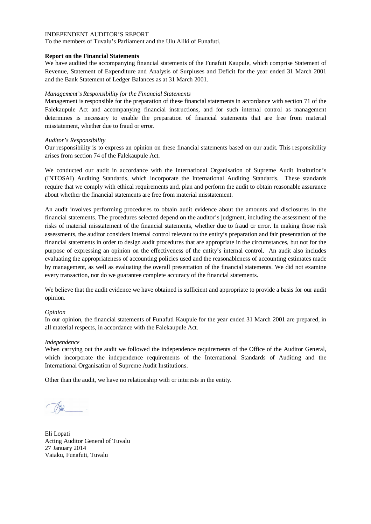To the members of Tuvalu's Parliament and the Ulu Aliki of Funafuti,

## **Report on the Financial Statements**

We have audited the accompanying financial statements of the Funafuti Kaupule, which comprise Statement of Revenue, Statement of Expenditure and Analysis of Surpluses and Deficit for the year ended 31 March 2001 and the Bank Statement of Ledger Balances as at 31 March 2001.

## *Management's Responsibility for the Financial Statements*

Management is responsible for the preparation of these financial statements in accordance with section 71 of the Falekaupule Act and accompanying financial instructions, and for such internal control as management determines is necessary to enable the preparation of financial statements that are free from material misstatement, whether due to fraud or error.

## *Auditor's Responsibility*

Our responsibility is to express an opinion on these financial statements based on our audit. This responsibility arises from section 74 of the Falekaupule Act.

We conducted our audit in accordance with the International Organisation of Supreme Audit Institution's (INTOSAI) Auditing Standards, which incorporate the International Auditing Standards. These standards require that we comply with ethical requirements and, plan and perform the audit to obtain reasonable assurance about whether the financial statements are free from material misstatement.

An audit involves performing procedures to obtain audit evidence about the amounts and disclosures in the financial statements. The procedures selected depend on the auditor's judgment, including the assessment of the risks of material misstatement of the financial statements, whether due to fraud or error. In making those risk assessments, the auditor considers internal control relevant to the entity's preparation and fair presentation of the financial statements in order to design audit procedures that are appropriate in the circumstances, but not for the purpose of expressing an opinion on the effectiveness of the entity's internal control. An audit also includes evaluating the appropriateness of accounting policies used and the reasonableness of accounting estimates made by management, as well as evaluating the overall presentation of the financial statements. We did not examine every transaction, nor do we guarantee complete accuracy of the financial statements.

We believe that the audit evidence we have obtained is sufficient and appropriate to provide a basis for our audit opinion.

### *Opinion*

In our opinion, the financial statements of Funafuti Kaupule for the year ended 31 March 2001 are prepared, in all material respects, in accordance with the Falekaupule Act.

### *Independence*

When carrying out the audit we followed the independence requirements of the Office of the Auditor General, which incorporate the independence requirements of the International Standards of Auditing and the International Organisation of Supreme Audit Institutions.

Eli Lopati Acting Auditor General of Tuvalu 27 January 2014 Vaiaku, Funafuti, Tuvalu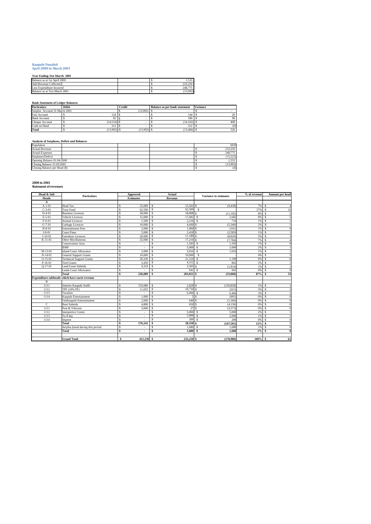## **Kaupule Funafuti April 2000 to March 2001**

## **Year Ending 31st March 2001**

| rear Enging 31st March 2001   |  |  |         |  |  |  |  |  |
|-------------------------------|--|--|---------|--|--|--|--|--|
| Balance as at 1st April 2000  |  |  | . 533   |  |  |  |  |  |
| <b>Add Revenue Collected</b>  |  |  | 233.250 |  |  |  |  |  |
| Less Expenditure Incurred     |  |  | 248.775 |  |  |  |  |  |
| Balance as at 31st March 2001 |  |  | 13.992) |  |  |  |  |  |

## **Bank Statement of Ledger Balances**

| <b>Particulars</b>            | <b>Debit</b> | <b>Credit</b> | Balance as per bank statement | <b>Variance</b> |
|-------------------------------|--------------|---------------|-------------------------------|-----------------|
| Surplus Account 31 March 2001 |              | $(13,992)$ .  |                               |                 |
| <b>Fusi Account</b>           | 124          |               | 144                           | 20              |
| <b>Bank Account</b>           | 82           |               | 180                           | 98              |
| Cheque Account                | (14,510)     |               | (14.102)                      | 408             |
| Cash on Hand                  | 312          |               | 312                           | (0)             |
| Total                         | (13.992)     | (13.992)      | (13, 466)                     | 526             |

## **Analysis of Surpluses, Deficit and Balances**

| Population                    |  | 3839     |
|-------------------------------|--|----------|
| <b>Actual Revenue</b>         |  | 233,250  |
| <b>Actual Expenses</b>        |  | 248,775  |
| Surpluses/Deficit             |  | (15.525) |
| Opening Balance 01:04:2000    |  | 1.533    |
| Closing Balance 31:03:2001    |  | (13.992) |
| Closing Balance per Head (\$) |  | (4)      |

## **2000 to 2001 Statement of revenues**

| Head & Sub   | <b>Particulars</b>                            | Approved          | Actual                         | <b>Variance to estimates</b>   | % of revenue | Amount per head |
|--------------|-----------------------------------------------|-------------------|--------------------------------|--------------------------------|--------------|-----------------|
| <b>Heads</b> |                                               | <b>Estimates</b>  | Revenue                        |                                |              |                 |
| A            |                                               |                   |                                |                                |              |                 |
| $A-1-01$     | <b>Head Tax</b>                               | 25,000<br>S       | $15.562$ \$<br>l \$            | (9.438)                        | 7%           | s               |
| $C-3-01$     | <b>Trust Fund</b>                             | 62.500<br>S       | ΤS<br>$62,500$ \$              |                                | 27%          | \$.<br>16       |
| $D-4-01$     | <b>Business Licences</b>                      | 30,000<br>S       | Γ\$<br>18,808 \$               | (11, 192)                      | 8%           | \$.             |
| $E-5-01$     | <b>Vehicle Licences</b>                       | Ś<br>15,000       | l \$<br>17,682 S               | 2.682                          | 8%           | \$.             |
| $F-6-01$     | <b>Animal Licences</b>                        | Ś<br>1.500        | $\mathbf{s}$<br>$2.216$ S      | 716                            | 1%           | s               |
| $G-7-01$     | Garbage Licences                              | 10,000<br>S       | -S<br>4,660 \$                 | (5,340)                        | 2%           | s               |
| $H-8-01$     | <b>Entertainment Fees</b>                     | 2,000<br>Ŝ        | 1.900 <sup>S</sup><br>∣\$      | (101)                          | 1%           | s               |
| $I-9-01$     | <b>Court Fines</b>                            | 5.000<br>S        | 2,418 <sup>S</sup><br>l \$     | (2,583)                        | 1%           | \$.             |
| $J-10-01$    | <b>Foreshore Licences</b>                     | 20,000<br>S       | 11,180 \$<br>l \$              | (8,820)                        | 5%           | s               |
| $K-11-01$    | <b>Other Micellaneous</b>                     | S<br>25,000       | 17,216 \$<br>l \$              | (7, 784)                       | 7%           | s               |
|              | <b>Conservation Area</b>                      | Ś                 | 1,595<br>\$.                   | 1,595<br>- S                   | 1%           | \$.             |
|              | <b>IDRF</b>                                   | Ś                 | 5.000<br>\$.                   | $\mathbf{s}$<br>5,000          | 2%           | \$.             |
| $M-13-01$    | <b>Island Court Allowance</b>                 | 2,000<br>Ś        | $3.016$ S<br>$\mathcal{S}$     | 1.016                          | 1%           | \$.             |
| $N-14-01$    | <b>General Support Grants</b>                 | 10,000<br>S       | $\mathbf{s}$<br>10,000         | -S                             | 4%           | \$.             |
| $O-15-01$    | <b>Technical Support Grants</b>               | 20.320<br>Ś       | $\mathbf{s}$<br>21.510S        | 1.190                          | 9%           | \$.             |
| $P-16-01$    | <b>Tied Grants</b>                            | 3,450<br>Ś        | -S<br>4,312 S                  | 862                            | 2%           | \$.             |
| $Q-17-01$    | <b>Land Lease Subsidy</b>                     | 4,319<br>Ś        | 2.505 <sup>S</sup><br><b>S</b> | (1, 814)                       | 1%           | \$.             |
|              | <b>Lands Court Allowance</b>                  | S                 | 941 S<br>S                     | 941                            | 0%           | \$.             |
|              | Total                                         | 236,089<br>Ś      | 203,021 \$<br><b>S</b>         | (33,068)                       | 87%          | 53<br>\$        |
|              | Expenditure subheads which have earnt revenue |                   |                                |                                |              |                 |
| $\mathbf{B}$ |                                               |                   |                                |                                |              |                 |
| 1111         | Salaries Kaupule Staffs                       | 153,686<br>S      | 2,828 \$<br>l \$               | (150, 858)                     | 1%           | s.              |
| 1112         | TPF (10% PF)                                  | 11.055<br>S       | $10.734$ S<br>-S               | (321)                          | 5%           | \$.             |
| 1113         | Taxation                                      | Ś                 | s<br>6,466                     | -S<br>6,466                    | 3%           | s               |
| 1114         | Kaupule Entertainment                         | 1.000<br>S        | -S                             | (995)<br>\$.                   | 0%           | \$.             |
|              | Falekaupule Entertainment                     | 2,000             | 640 S<br>$\mathcal{S}$         | (1,360)                        | 0%           | \$.             |
| $\mathbf C$  | <b>Rent Subsidy</b>                           | 4,800             | 650<br>\$.                     | $\hat{\mathbf{x}}$<br>(4, 150) | 0%           | \$.             |
| 1111         | Post & Telecom                                | 3,600<br>Š        | 27<br><b>S</b>                 | Ś<br>(3,573)                   | 0%           | \$.             |
| 1112         | <b>Interpretive Centre</b>                    |                   | 5.000<br>\$.                   | 5,000<br>-S                    | 2%           | \$.             |
| 1113         | Tu-8 day                                      | S                 | 2.000<br>\$.                   | 2,000<br>-S                    | 1%           | \$.             |
| 1114         | Imprest                                       | S                 | <b>S</b><br>200                | -S<br>200                      | 0%           | \$.             |
|              | Total                                         | Ś<br>176,141      | 28,550 \$<br>-S                | (147, 591)                     | 12%          | \$.             |
|              | Surplus found during this period              | S                 | 1.680S<br>\$.                  | 1.680                          | 1%           | \$.             |
|              | Total                                         | Ś<br>٠            | \$<br>1,680S                   | 1.680                          | 1%           | \$              |
|              |                                               |                   |                                |                                |              |                 |
|              | <b>Grand Total</b>                            | $412.230$ \$<br>Ŝ | 233,250 \$                     | (178.980)                      | $100\%$ \$   | 61              |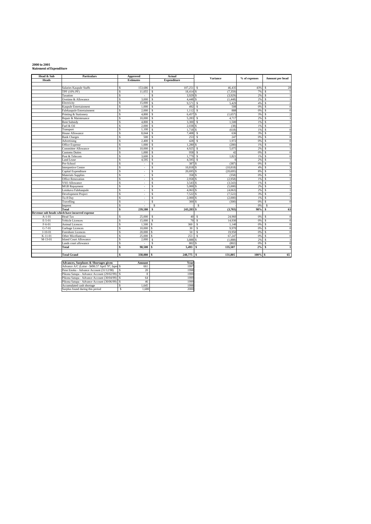## **2000 to 2001 Statement of Expenditure**

| Head & Sub   | <b>Particulars</b>                                | Approved                | Actual                 |                 | Variance<br>% of expenses |                       |
|--------------|---------------------------------------------------|-------------------------|------------------------|-----------------|---------------------------|-----------------------|
| <b>Heads</b> |                                                   | <b>Estimates</b>        | <b>Expenditure</b>     |                 |                           | Amount per head       |
|              |                                                   |                         |                        |                 |                           |                       |
|              | Salaries Kaupule Staffs                           | 153,686<br>S            | 107,251<br>\$          | 46.435<br>s     | 43%                       | 28<br>\$              |
|              | TPF (10% PF)                                      | 11.055<br>\$.           | \$<br>18.414           | (7, 359)        | 7%                        | \$.<br>$\overline{5}$ |
|              | Taxation                                          | \$.<br>×,               | 3.929 S<br>\$          | (3,929)         | 2%                        | \$.<br>-1             |
|              | Ovetime & Allowance                               | 3.000<br>S              | \$<br>4.448            | (1, 448)        | 2%                        | \$.<br>$\mathbf{1}$   |
|              | Electricity                                       | 15,000<br>S             | \$<br>9,571            | 5,429<br>S      | 4%                        | \$<br>$\mathfrak{D}$  |
|              | Kaupule Entertainment                             | 1,000<br>S              | \$<br>492              | Ś<br>508        | 0%                        | s<br>$\Omega$         |
|              | Falekaupule Entertainment                         | 2.000<br>S              | \$<br>1.112            | 888<br>S        | 0%                        | s<br>$\Omega$         |
|              | Printing & Stationery                             | 4.800                   | 6.457<br>s             | (1.657)<br>s    | 3%                        | s                     |
|              | Repair & Maintenance                              | 10,000                  | s<br>5.283             | 4.717<br>S      | 2%                        | s<br>$\overline{1}$   |
|              | <b>Rent Subsidy</b>                               | 4.800<br>\$.            | <b>S</b><br>3,300      | 1,500<br>S      | 1%                        | $\mathbf{\hat{S}}$    |
|              | Fuel & Oil                                        | 2.000<br>S              | <sup>\$</sup><br>2.038 | (38)            | 1%                        | \$<br>$\overline{1}$  |
|              | Transport                                         | 1,100<br>\$.            | \$<br>1,718            | (618)<br>\$.    | 1%                        | s<br>$\theta$         |
|              | House Allowance                                   | 8,044<br>S              | 7,408<br>s             | 636<br>s        | 3%                        | \$<br>$\mathfrak{D}$  |
|              | <b>Bank Charges</b>                               | 500<br>S                | 253<br>\$              | 247<br>S        | 0%                        | \$<br>$\mathbf{0}$    |
|              | Advertising                                       | 2.400<br>S              | \$<br>428              | 1.972<br>S      | 0%                        | s<br>$\theta$         |
|              | Office Expense                                    | 1.000<br>S              | s<br>1.280             | (280)           | 1%                        | \$<br>$\theta$        |
|              | Committee Allowance                               | 10,000                  | s<br>4.925             | 5.075<br>S      | 2%                        | \$<br>1               |
|              | <b>Customs Duties</b>                             | \$.<br>1.000            | \$<br>958              | s<br>42         | 0%                        | \$<br>$\Omega$        |
|              | Post & Telecom                                    | S<br>3,600              | \$<br>1,779            | 1,821<br>s      | 1%                        | s<br>$\theta$         |
|              | <b>Land Lease</b>                                 | 4,595                   | \$<br>4,595            | S<br>$\Omega$   | 2%                        | \$                    |
|              | Pre-School                                        | ٠                       | S<br>387               | (387)           | 0%                        | \$.                   |
|              | <b>Interpretive Centre</b>                        | ٠                       | s<br>10.818            | (10.818)        | 4%                        | s                     |
|              | Capital Expenditure                               | $\hat{\mathbf{s}}$<br>٠ | Ŝ<br>20,695            | (20.695)<br>\$. | 8%                        | Ŝ<br>5                |
|              | <b>Materials Supplies</b>                         | S                       | s<br>358               | (358)           | 0%                        | \$<br>$\theta$        |
|              | <b>Office Renovation</b>                          | S<br>×,                 | Ŝ<br>2.958             | (2,958)<br>S    | 1%                        | \$                    |
|              | VSO Allowance                                     | S<br>٠                  | s<br>3.543             | (3,543)         | 1%                        | s<br>$\overline{1}$   |
|              | <b>MGB</b> Repayment                              | S<br>×,                 | \$<br>5,000            | (5,000)         | 2%                        | s                     |
|              | Lotokava Falekaupule                              | \$.<br>×.               | s<br>4.063             | (4,063)         | 2%                        | \$.<br>$\overline{1}$ |
|              | Development Project                               | \$.<br>٠                | <sup>\$</sup><br>7.522 | (7.522)         | 3%                        | \$.<br>$\mathcal{D}$  |
|              | Tu-8 Day                                          | s<br>×.                 | \$<br>2.000            | (2.000)         | 1%                        | s<br>1                |
|              | Travelling                                        | S<br>i.                 | 300<br>\$              | (300)           | 0%                        | \$<br>$\mathbf{0}$    |
|              | Imprest                                           | ä,                      | s                      | s               | 0%                        | S                     |
|              | Total                                             | 239,580                 | \$<br>243,283 \$       | (3,703)         | 98%                       | 63<br>\$              |
|              | Revenue sub heads which have incurred expense     |                         |                        |                 |                           |                       |
| $A-1-01$     | <b>Head Tax</b>                                   | 25,000<br>S             | \$<br>40               | 24,960<br>S     | 0%                        | $\overline{0}$<br>\$  |
| $E-5-01$     | Vehicle Licences                                  | S<br>15,000             | 70<br>\$               | S<br>14.930     | 0%                        | \$<br>$\theta$        |
| $F-6-01$     | <b>Animal Licences</b>                            | 1.500<br>S              | s<br>360               | S<br>1.140      | 0%                        | Ŝ<br>$\overline{0}$   |
| $G-7-01$     | Garbage Licences                                  | 10,000<br>\$.           | 30<br>S                | 9,970<br>S      | 0%                        | s<br>$\theta$         |
| $J-10-01$    | <b>Foreshore Licences</b>                         | 20,000                  | 50<br>S                | 19.950<br>S     | 0%                        | S.<br>$\theta$        |
| $K-11-01$    | Other Micellaneous                                | 25,000<br>s             | 253<br>s               | 67,247<br>S     | 0%                        | S<br>$\mathbf{0}$     |
| M-13-01      | <b>Island Court Allowance</b>                     | S<br>2.000              | 3,888<br>\$            | (1,888)         | 2%                        | \$.<br>$\overline{1}$ |
|              | Lands court allowance                             | \$.                     | <sup>\$</sup><br>802   | (802)           | 0%                        | \$.<br>$\Omega$       |
|              | Total                                             | 98.500<br>Ŝ             | 5.493<br>\$.           | 135,507         | 2%                        | \$<br>$\mathbf{1}$    |
|              |                                                   |                         |                        |                 |                           |                       |
|              | <b>Total Grand</b>                                | 338,080<br>s            | 248,775<br>Ŝ           | 131.805<br>l S  | 100%                      | 65<br>s               |
|              |                                                   |                         |                        |                 |                           |                       |
|              | Advances, Surpluses & Shortages given             | Amount                  | Year                   |                 |                           |                       |
|              | Advance A/C (Loise - \$496.57 April '97, Iapes \$ | 661                     | 1997                   |                 |                           |                       |

| Advances, Surpluses & Shortages given             | Amount | 'r ear |
|---------------------------------------------------|--------|--------|
| Advance A/C (Loise - \$496.57 April '97, Iapes \$ | 661    | 1997   |
| Pene Enoka - Advance Account (31/12/98)           | 20     | 1998   |
| Pikona Satupa - Advance Account (29/02/99) \$     |        | 1999   |
| Pikona Satupa - Advance Account (30/04/99) S      | 64     | 1999   |
| Pikona Satupa - Advance Account (30/06/99) \$     | 46     | 1999   |
| Accumulated cash shortage                         | 1.645  | 1998   |
| Surplus found during this period                  | 1,680  | 2000   |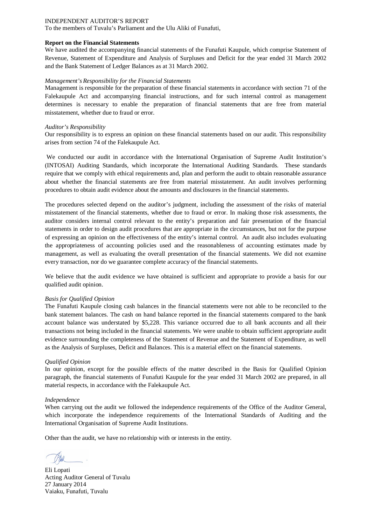To the members of Tuvalu's Parliament and the Ulu Aliki of Funafuti,

#### **Report on the Financial Statements**

We have audited the accompanying financial statements of the Funafuti Kaupule, which comprise Statement of Revenue, Statement of Expenditure and Analysis of Surpluses and Deficit for the year ended 31 March 2002 and the Bank Statement of Ledger Balances as at 31 March 2002.

#### *Management's Responsibility for the Financial Statements*

Management is responsible for the preparation of these financial statements in accordance with section 71 of the Falekaupule Act and accompanying financial instructions, and for such internal control as management determines is necessary to enable the preparation of financial statements that are free from material misstatement, whether due to fraud or error.

#### *Auditor's Responsibility*

Our responsibility is to express an opinion on these financial statements based on our audit. This responsibility arises from section 74 of the Falekaupule Act.

We conducted our audit in accordance with the International Organisation of Supreme Audit Institution's (INTOSAI) Auditing Standards, which incorporate the International Auditing Standards. These standards require that we comply with ethical requirements and, plan and perform the audit to obtain reasonable assurance about whether the financial statements are free from material misstatement. An audit involves performing procedures to obtain audit evidence about the amounts and disclosures in the financial statements.

The procedures selected depend on the auditor's judgment, including the assessment of the risks of material misstatement of the financial statements, whether due to fraud or error. In making those risk assessments, the auditor considers internal control relevant to the entity's preparation and fair presentation of the financial statements in order to design audit procedures that are appropriate in the circumstances, but not for the purpose of expressing an opinion on the effectiveness of the entity's internal control. An audit also includes evaluating the appropriateness of accounting policies used and the reasonableness of accounting estimates made by management, as well as evaluating the overall presentation of the financial statements. We did not examine every transaction, nor do we guarantee complete accuracy of the financial statements.

We believe that the audit evidence we have obtained is sufficient and appropriate to provide a basis for our qualified audit opinion.

#### *Basis for Qualified Opinion*

The Funafuti Kaupule closing cash balances in the financial statements were not able to be reconciled to the bank statement balances. The cash on hand balance reported in the financial statements compared to the bank account balance was understated by \$5,228. This variance occurred due to all bank accounts and all their transactions not being included in the financial statements. We were unable to obtain sufficient appropriate audit evidence surrounding the completeness of the Statement of Revenue and the Statement of Expenditure, as well as the Analysis of Surpluses, Deficit and Balances. This is a material effect on the financial statements.

#### *Qualified Opinion*

In our opinion, except for the possible effects of the matter described in the Basis for Qualified Opinion paragraph, the financial statements of Funafuti Kaupule for the year ended 31 March 2002 are prepared, in all material respects, in accordance with the Falekaupule Act.

#### *Independence*

When carrying out the audit we followed the independence requirements of the Office of the Auditor General, which incorporate the independence requirements of the International Standards of Auditing and the International Organisation of Supreme Audit Institutions.

Eli Lopati Acting Auditor General of Tuvalu 27 January 2014 Vaiaku, Funafuti, Tuvalu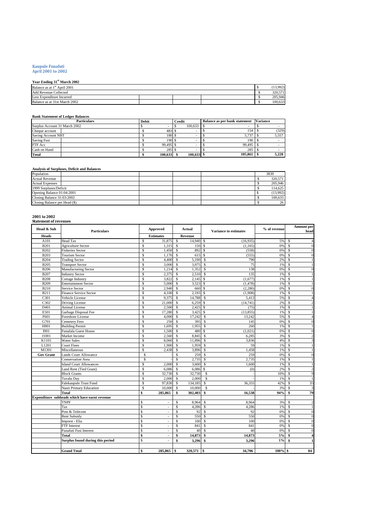# **Kaupule Funafuti April 2001 to 2002**

## **Year Ending 31st March 2002**

| rear Enging 51 March 2002                |  |  |         |
|------------------------------------------|--|--|---------|
| Balance as at 1 <sup>st</sup> April 2001 |  |  | 13.992  |
| <b>Add Revenue Collected</b>             |  |  | 320.571 |
| Less Expenditure Incurred                |  |  | 205,946 |
| Balance as at 31st March 2002            |  |  | 100.633 |

#### **Bank Statement of Ledger Balances**

| <b>Particulars</b>            | Debit |                  | <b>Credit</b> |              | <b>Balance as per bank statement</b> | <b>Variance</b> |       |
|-------------------------------|-------|------------------|---------------|--------------|--------------------------------------|-----------------|-------|
| Surplus Account 31 March 2002 |       |                  |               | 100.633      |                                      |                 |       |
| Cheque account                |       | 483 :            |               |              | 154                                  |                 | (329) |
| Saving Account NBT            |       | 180 \$           |               |              | 5.737                                |                 | 5.557 |
| <b>Saving Fusi</b>            |       | 190 <sup>°</sup> |               |              | 190                                  |                 |       |
| FTF Acc                       |       | 99.495 \$        |               |              | 99,495                               |                 |       |
| Cash on Hand                  |       | $285$ :          |               |              | 285                                  |                 |       |
| <b>Total</b>                  |       | 100.633          |               | $100.633$ \$ | 105.861                              |                 | 5.228 |

#### **Analysis of Surpluses, Deficit and Balances**

| Population                    | 3839     |
|-------------------------------|----------|
| <b>Actual Revenue</b>         | 320,571  |
| <b>Actual Expenses</b>        | 205,946  |
| 1999 Surpluses/Deficit        | 114,625  |
| Opening Balance 01:04:2001    | (13,992) |
| Closing Balance 31:03:2002    | 100.633  |
| Closing Balance per Head (\$) | 26       |

# **2001 to 2002 Statement of revenues**

| Head & Sub       | Particulars                                   |                         | Approved                 |                         | Actual       |                    | <b>Variance to estimates</b> | % of revenue |               | <b>Amount per</b><br>head |
|------------------|-----------------------------------------------|-------------------------|--------------------------|-------------------------|--------------|--------------------|------------------------------|--------------|---------------|---------------------------|
| <b>Heads</b>     |                                               |                         | <b>Estimates</b>         |                         | Revenue      |                    |                              |              |               |                           |
| A101             | <b>Head Tax</b>                               | \$                      | 31,875                   | <sup>\$</sup>           | 14.940       | <sup>\$</sup>      | (16,935)                     | 5%           | <sup>\$</sup> |                           |
| <b>B201</b>      | <b>Agriculture Sector</b>                     | \$                      | 1,315                    | \$                      | 150          | <sup>\$</sup>      | (1, 165)                     | 0%           | \$            | $\theta$                  |
| <b>B202</b>      | <b>Fisheries Sector</b>                       | \$                      | 1,450                    | \$                      | 892          | <sup>\$</sup>      | (558)                        | 0%           | \$            | $\theta$                  |
| <b>B203</b>      | <b>Tourism Sector</b>                         | \$                      | 1,170                    | \$                      | 615          | \$                 | (555)                        | 0%           | \$            | $\epsilon$                |
| <b>B204</b>      | <b>Trading Sector</b>                         | \$                      | 4,400                    | \$                      | 5,190        | S                  | 790                          | 2%           | \$            |                           |
| <b>B205</b>      | <b>Transport Sector</b>                       | \$                      | 3,000                    | $\mathcal{S}$           | 3,075        | \$                 | 75                           | 1%           | $\mathsf{\$}$ |                           |
| <b>B206</b>      | Manufacturing Sector                          | \$                      | 1,214                    | $\mathcal{S}$           | 1,352        | S                  | 138                          | 0%           | \$            | $\theta$                  |
| <b>B207</b>      | <b>Industry Sector</b>                        | \$                      | 2,375                    | $\mathcal{S}$           | 2,510        | Ŝ                  | 135                          | 1%           | $\mathsf{\$}$ |                           |
| <b>B208</b>      | Cottage Industry                              | \$                      | 3,822                    | \$                      | 2,145        | <sup>\$</sup>      | (1,677)                      | 1%           | \$            |                           |
| <b>B209</b>      | <b>Entertainment Sector</b>                   | $\overline{\mathbb{S}}$ | 5,000                    | \$                      | 3,523        | \$                 | (1, 478)                     | 1%           | \$            |                           |
| <b>B210</b>      | Service Sector                                | \$                      | 2,940                    | $\mathcal{S}$           | 660          | <sup>\$</sup>      | (2,280)                      | 0%           | \$            | $\theta$                  |
| <b>B211</b>      | <b>Finance Service Sector</b>                 | \$                      | 4,100                    | $\overline{\mathbf{s}}$ | 2,193        | <sup>\$</sup>      | (1,908)                      | 1%           | $\mathsf{\$}$ |                           |
| C301             | Vehicle License                               | \$                      | 9,375                    | \$                      | 14,788       | S                  | 5,413                        | 5%           | \$            | $\Delta$                  |
| C302             | Driving License                               | $\hat{\mathbf{S}}$      | 21,000                   | $\mathbf{\hat{S}}$      | 6,259        | <sup>\$</sup>      | (14, 741)                    | 2%           | $\mathsf{\$}$ | 2                         |
| D <sub>401</sub> | <b>Animal License</b>                         | \$                      | 2,500                    | \$                      | 2,425        | \$                 | (75)                         | 1%           | \$            |                           |
| E501             | Garbage Disposal Fee                          | $\overline{\mathbb{S}}$ | 17,280                   | $\mathcal{S}$           | 3,425        | $\mathcal{S}$      | (13, 855)                    | 1%           | S             |                           |
| F601             | Foreshore License                             | \$                      | 4,000                    | $\mathcal{S}$           | 17,242       | S                  | 13,242                       | 5%           | \$            | $\overline{A}$            |
| G701             | <b>Cemetery Fees</b>                          | \$                      | 250                      | $\mathbf{s}$            | 395          | S                  | 145                          | 0%           | $\mathbf S$   | $\overline{0}$            |
| H801             | <b>Building Permit</b>                        | \$                      | 1,695                    | $\mathcal{S}$           | 1,955        | S                  | 260                          | 1%           | \$            | $\overline{1}$            |
| <b>I901</b>      | Funafala Guest House                          | \$                      | 1,500                    | <sup>\$</sup>           | 480          | \$                 | (1,021)                      | 0%           | \$            | $\theta$                  |
| J1001            | Market Income                                 | \$                      | 2,560                    | \$                      | 8.845        | \$                 | 6,285                        | 3%           | $\mathsf{\$}$ | 2                         |
| K1101            | <b>Water Sales</b>                            | \$                      | 8,060                    | $\mathsf{\$}$           | 11,896       | S                  | 3,836                        | 4%           | \$            | 3                         |
| L1201            | <b>Court Fines</b>                            | $\hat{\mathbf{S}}$      | 1,900                    | <sup>\$</sup>           | 1,959        | $\hat{\mathbf{S}}$ | 59                           | 1%           | $\mathsf{\$}$ |                           |
| M1301            | Miscellaneous                                 | \$                      | 2,438                    | \$                      | 3,896        | S                  | 1,458                        | 1%           | \$            |                           |
| <b>Gov Grant</b> | <b>Lands Court Allowance</b>                  | Ŝ                       |                          | \$                      | 259          | \$                 | 259                          | 0%           | \$            | $\theta$                  |
|                  | <b>Conservation Area</b>                      | Ś                       |                          | \$                      | 2,735        | S                  | 2,735                        | 1%           | \$            |                           |
|                  | <b>Island Court Allowances</b>                | \$                      | 2,000                    | $\mathsf{\$}$           | 3,600        | S                  | 1,600                        | 1%           | \$            |                           |
|                  | Land Rent (Tied Grant)                        | S                       | 6,086                    | $\mathsf{\$}$           | 6,086        | S                  | (0)                          | 2%           | S             | $\overline{2}$            |
|                  | <b>Block Grants</b>                           | \$                      | 32,730                   | $\mathsf{\$}$           | 32,730       | \$                 |                              | 10%          | \$            | 9                         |
|                  | Tuvalu Dav                                    | \$                      | 2.000                    | $\mathbf{s}$            | 2.000        | \$                 |                              | 1%           | $\mathsf{\$}$ | $\overline{1}$            |
|                  | Falekaupule Trust Fund                        | \$                      | 97,830                   | \$                      | 134,185      | S                  | 36,355                       | 42%          | \$            | 35                        |
|                  | Nauti Primary Education                       | \$                      | 10,000                   | \$                      | 10,000       | \$                 |                              | 3%           | \$            | 3                         |
|                  | Total                                         | \$                      | 285,865                  | \$                      | 302,403      | \$                 | 16,538                       | 94%          | \$            | 79                        |
|                  | Expenditure subheads which have earnt revenue |                         |                          |                         |              |                    |                              |              |               |                           |
|                  | <b>TNPF</b>                                   | \$                      |                          | \$                      | 8,964        | \$                 | 8,964                        | 3%           | \$            | 2                         |
|                  | Tax                                           | \$                      |                          | $\mathbf S$             | 4,286        | Ŝ                  | 4,286                        | 1%           | Ŝ             | $\overline{1}$            |
|                  | Post & Telecom                                | \$                      |                          | \$                      | 92           | S                  | 92                           | 0%           | \$            | $\theta$                  |
|                  | <b>Rent Subsidy</b>                           | \$                      | ÷                        | \$                      | 550          | S                  | 550                          | 0%           | $\mathsf{\$}$ | $\theta$                  |
|                  | Imprest - Elia                                | \$                      | $\overline{\phantom{a}}$ | \$                      | 100          | S                  | 100                          | 0%           | \$            | $\overline{0}$            |
|                  | <b>FTF</b> Interest                           | \$                      | $\overline{\phantom{a}}$ | $\mathbf S$             | 841          | S                  | 841                          | 0%           | $\mathbf S$   | $\overline{0}$            |
|                  | Funafuti Fusi Interest                        | \$                      | ÷.                       | s                       | 40           | S                  | 40                           | 0%           | \$            | $\theta$                  |
|                  | Total                                         | \$                      | $\blacksquare$           | \$                      | 14,873       | S                  | 14,873                       | 5%           | \$            | 4                         |
|                  | Surplus found during this period              | Ś                       |                          | \$                      | 3,296        | \$                 | 3,296                        | 1%           | \$            | 1                         |
|                  |                                               |                         |                          |                         |              |                    |                              |              |               |                           |
|                  | <b>Grand Total</b>                            | \$                      | 285,865                  | <b>S</b>                | $320,571$ \$ |                    | 34,706                       | 100% \$      |               | 84                        |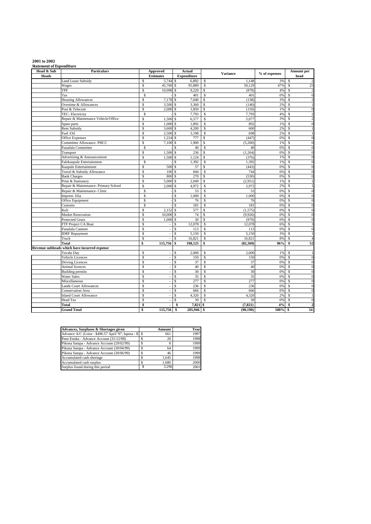|  | 2001 to 2002 |
|--|--------------|
|--|--------------|

**2001 to 2002 Statement of Expenditure**

| Head & Sub   | <b>Particulars</b>                           | <b>Approved</b>                          | Actual                    | <b>Variance</b>          | % of expenses | Amount per                                |
|--------------|----------------------------------------------|------------------------------------------|---------------------------|--------------------------|---------------|-------------------------------------------|
| <b>Heads</b> |                                              | <b>Estimates</b>                         | <b>Expenditure</b>        |                          |               | head                                      |
|              | <b>Land Lease Subsidy</b>                    | $5,744$ \$<br>S                          | 6.892                     | S<br>1,148               | 3%            | $\overline{2}$<br>\$                      |
|              | Wages                                        | $\mathsf{\$}$<br>45,760 \$               | 95,889                    | 50,129<br>S              | 47%           | 25<br>\$                                  |
|              | TPF                                          | \$<br>10,098 \$                          | 9,220                     | \$<br>(878)              | 4%            | $\overline{2}$<br>\$                      |
|              | Tax                                          | S                                        | \$<br>401                 | S<br>401                 | 0%            | \$<br>$\overline{0}$                      |
|              | <b>Housing Allowances</b>                    | \$<br>7,178                              | 7,040<br>\$               | \$<br>(138)              | 3%            | \$<br>$\overline{c}$                      |
|              | Overtime & Allowances                        | \$<br>3,500 \$                           | 3,360                     | (140)<br>\$              | 2%            | \$<br>$\mathbf{1}$                        |
|              | Post & Telecom                               | Ŝ<br>2,000                               | \$<br>1,850               | S<br>(150)               | 1%            | S<br>$\mathbf{0}$                         |
|              | TEC-Electricity                              | S                                        | \$<br>7,793               | S<br>7.793               | 4%            | $\overline{\mathbb{S}}$<br>$\overline{2}$ |
|              | Repair & Maintenance Vehicle/Office          | \$<br>1,500 \$                           | 6,577                     | $\mathsf{s}$<br>5,077    | 3%            | \$<br>$\overline{c}$                      |
|              | Spare parts                                  | \$<br>$1,000$ \$                         | 1,892                     | S<br>892                 | 1%            | \$<br>$\overline{0}$                      |
|              | <b>Rent Subsidy</b>                          | \$<br>3,600 \$                           | 4,200                     | S<br>600                 | 2%            | \$<br>$\mathbf{1}$                        |
|              | Fuel /Oil                                    | \$<br>2,500 \$                           | 3,198                     | $\mathbb S$<br>698       | 2%            | \$<br>$\mathbf{1}$                        |
|              | <b>Office Expenses</b>                       | \$<br>$1,224$ \$                         | 777                       | \$<br>(447)              | 0%            | \$<br>$\overline{0}$                      |
|              | Committee Allowance- PHCC                    | $\mathsf S$<br>7,100 \$                  | 1.900                     | \$<br>(5,200)            | 1%            | $\mathbb{S}$<br>$\overline{0}$            |
|              | Funafala Committee                           | S                                        | $\mathbb S$<br>40         | <sup>\$</sup><br>40      | 0%            | \$<br>$\overline{0}$                      |
|              | Transport                                    | $\mathsf S$<br>1,500 \$                  | 236                       | (1,264)<br>$\mathbf S$   | 0%            | \$<br>$\overline{0}$                      |
|              | Advertising & Announcement                   | $\mathsf S$<br>1,500 \$                  | 1,124                     | $\mathbf S$<br>(376)     | 1%            | \$<br>$\boldsymbol{0}$                    |
|              | Falekaupule Entertainment                    | \$                                       | 1,392<br>\$               | \$<br>1,392              | 1%            | \$<br>$\mathbf{0}$                        |
|              | Kaupule Entertainment                        | \$<br>500                                | \$<br>57                  | \$<br>(443)              | 0%            | \$<br>$\mathbf{0}$                        |
|              | Travel & Subsidy Allowance                   | Ŝ<br>100                                 | \$<br>844                 | \$<br>744                | 0%            | s<br>$\mathbf{0}$                         |
|              | <b>Bank Charges</b>                          | \$<br>800                                | $\mathbf{\hat{s}}$<br>270 | $\mathbf S$<br>(530)     | 0%            | $\mathsf{\$}$<br>$\overline{0}$           |
|              | Print & Stationery                           | $\mathsf{\$}$<br>5,000 \$                | 2,049                     | <sup>\$</sup><br>(2,951) | 1%            | \$<br>$\mathbf{1}$                        |
|              | Repair & Maintenance- Primary School         | $\mathsf S$<br>2,000S                    | 4,972                     | S<br>2,972               | 2%            | s<br>$\mathbf{1}$                         |
|              | Repair & Maintenance- Clinic                 | \$                                       | 53<br>\$                  | S<br>53                  | 0%            | $\mathbf S$<br>$\overline{0}$             |
|              | Imprest-Elia                                 | Ŝ                                        | $\mathbf S$<br>1,000      | <b>S</b><br>1,000        | 0%            | $\mathbb{S}$<br>$\overline{0}$            |
|              | Office Equipment                             | \$                                       | \$<br>76                  | S<br>76                  | 0%            | \$<br>$\overline{0}$                      |
|              | Customs                                      | Ŝ                                        | \$<br>181                 | 181<br>S                 | 0%            | \$<br>$\mathbf{0}$                        |
|              | Kuli                                         | $2,152$ \$<br>$\mathbb{S}$               | 577                       | (1, 575)<br>\$           | 0%            | \$<br>$\overline{0}$                      |
|              | <b>Market Renovation</b>                     | $10,000$ \$<br>\$                        | 74                        | \$<br>(9.926)            | 0%            | \$<br>$\mathbf{0}$                        |
|              | <b>Protected Gears</b>                       | 1,000S<br>\$                             | 30                        | \$<br>(970)              | 0%            | $\mathsf{\$}$<br>$\overline{0}$           |
|              | FTF Project CA Boat                          | \$<br>÷,                                 | $\mathbf S$<br>12,078     | \$<br>12.078             | 6%            | $\mathsf{\$}$<br>3                        |
|              | Funafala Canteen                             | \$<br>$\overline{a}$                     | \$<br>113                 | S<br>113                 | 0%            | \$<br>$\mathbf{0}$                        |
|              | <b>IDRF</b> Repayment                        | \$<br>$\overline{a}$                     | 5,150<br>\$               | 5,150<br>\$              | 3%            | \$<br>$\mathbf{1}$                        |
|              | Truck                                        | \$                                       | \$<br>16,821              | S<br>16,821              | 8%            | $\mathsf{\$}$<br>$\overline{4}$           |
|              | <b>Total</b>                                 | \$<br>115,756                            | \$<br>198,125             | \$<br>(82, 369)          | 96%           | 52<br>\$                                  |
|              | Revenue subheads which have incurred expense |                                          |                           |                          |               |                                           |
|              | Tuvalu Dav                                   | \$<br>$\overline{a}$                     | \$<br>2,000               | \$<br>2.000              | 1%            | \$<br>-1                                  |
|              | Vehicle Licences                             | \$<br>÷,                                 | \$<br>150                 | S<br>150                 | 0%            | \$<br>$\mathbf{0}$                        |
|              | <b>Driving Licences</b>                      | \$<br>$\overline{a}$                     | \$<br>37                  | S<br>37                  | 0%            | \$<br>$\overline{0}$                      |
|              | Animal licences                              | \$<br>$\overline{\phantom{a}}$           | 40<br>\$                  | Ŝ<br>40                  | 0%            | \$<br>$\mathbf{0}$                        |
|              | <b>Building permits</b>                      | \$<br>$\overline{a}$                     | \$<br>30                  | 30<br>S                  | 0%            | \$<br>$\overline{0}$                      |
|              | <b>Water Sales</b>                           | S<br>$\overline{a}$                      | s<br>35                   | S<br>35                  | 0%            | S<br>$\mathbf{0}$                         |
|              | Miscellaneous                                | \$<br>$\overline{a}$                     | $\mathsf{s}$<br>277       | 277<br>S                 | 0%            | $\mathsf{\$}$<br>$\overline{0}$           |
|              | <b>Lands Court Allowances</b>                | \$<br>$\overline{a}$                     | \$<br>236                 | S<br>236                 | 0%            | \$<br>$\overline{0}$                      |
|              | <b>Conservation Area</b>                     | \$<br>$\overline{a}$                     | \$<br>666                 | S<br>666                 | 0%            | \$<br>$\overline{0}$                      |
|              | <b>Island Court Allowance</b>                | \$<br>$\overline{a}$                     | \$<br>4,320               | S<br>4,320               | 2%            | \$<br>-1                                  |
|              | Head Tax                                     | $\mathbb{S}$<br>$\overline{\phantom{a}}$ | $\mathbb S$<br>30         | <b>S</b><br>30           | 0%            | \$<br>$\mathbf{0}$                        |
|              | <b>Total</b>                                 | \$<br>$\blacksquare$                     | $\mathbf{s}$<br>7,821 \$  | (7, 821)                 | 4%            | $\overline{2}$<br>$\mathbf{s}$            |
|              | <b>Grand Total</b>                           | 115,756<br>\$                            | \$<br>205,946             | (90.190)<br><b>S</b>     | 100%          | \$<br>54                                  |

| Advances, Surpluses & Shortages given                 | Amount | Year |
|-------------------------------------------------------|--------|------|
| Advance A/C (Loise - \$496.57 April '97, Iapesa - \$1 | 661    | 1997 |
| Pene Enoka - Advance Account (31/12/98)               | 20     | 1998 |
| Pikona Satupa - Advance Account (29/02/99)            |        | 1999 |
| Pikona Satupa - Advance Account (30/04/99)            | 64     | 1999 |
| Pikona Satupa - Advance Account (30/06/99)            | 46     | 1999 |
| Accumulated cash shortage                             | 1.645  | 1998 |
| Accumulated cash surplus                              | 1.680  | 2000 |
| Surplus found during this period                      | 3.296  | 2001 |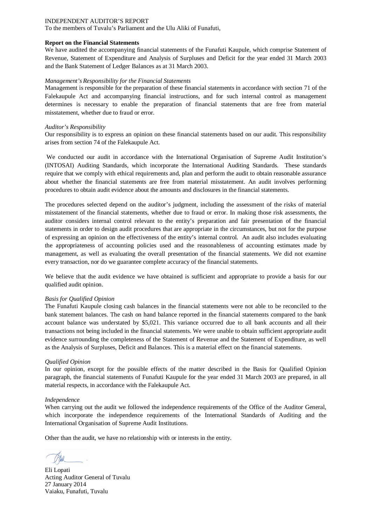To the members of Tuvalu's Parliament and the Ulu Aliki of Funafuti,

#### **Report on the Financial Statements**

We have audited the accompanying financial statements of the Funafuti Kaupule, which comprise Statement of Revenue, Statement of Expenditure and Analysis of Surpluses and Deficit for the year ended 31 March 2003 and the Bank Statement of Ledger Balances as at 31 March 2003.

#### *Management's Responsibility for the Financial Statements*

Management is responsible for the preparation of these financial statements in accordance with section 71 of the Falekaupule Act and accompanying financial instructions, and for such internal control as management determines is necessary to enable the preparation of financial statements that are free from material misstatement, whether due to fraud or error.

#### *Auditor's Responsibility*

Our responsibility is to express an opinion on these financial statements based on our audit. This responsibility arises from section 74 of the Falekaupule Act.

We conducted our audit in accordance with the International Organisation of Supreme Audit Institution's (INTOSAI) Auditing Standards, which incorporate the International Auditing Standards. These standards require that we comply with ethical requirements and, plan and perform the audit to obtain reasonable assurance about whether the financial statements are free from material misstatement. An audit involves performing procedures to obtain audit evidence about the amounts and disclosures in the financial statements.

The procedures selected depend on the auditor's judgment, including the assessment of the risks of material misstatement of the financial statements, whether due to fraud or error. In making those risk assessments, the auditor considers internal control relevant to the entity's preparation and fair presentation of the financial statements in order to design audit procedures that are appropriate in the circumstances, but not for the purpose of expressing an opinion on the effectiveness of the entity's internal control. An audit also includes evaluating the appropriateness of accounting policies used and the reasonableness of accounting estimates made by management, as well as evaluating the overall presentation of the financial statements. We did not examine every transaction, nor do we guarantee complete accuracy of the financial statements.

We believe that the audit evidence we have obtained is sufficient and appropriate to provide a basis for our qualified audit opinion.

#### *Basis for Qualified Opinion*

The Funafuti Kaupule closing cash balances in the financial statements were not able to be reconciled to the bank statement balances. The cash on hand balance reported in the financial statements compared to the bank account balance was understated by \$5,021. This variance occurred due to all bank accounts and all their transactions not being included in the financial statements. We were unable to obtain sufficient appropriate audit evidence surrounding the completeness of the Statement of Revenue and the Statement of Expenditure, as well as the Analysis of Surpluses, Deficit and Balances. This is a material effect on the financial statements.

#### *Qualified Opinion*

In our opinion, except for the possible effects of the matter described in the Basis for Qualified Opinion paragraph, the financial statements of Funafuti Kaupule for the year ended 31 March 2003 are prepared, in all material respects, in accordance with the Falekaupule Act.

#### *Independence*

When carrying out the audit we followed the independence requirements of the Office of the Auditor General, which incorporate the independence requirements of the International Standards of Auditing and the International Organisation of Supreme Audit Institutions.

Eli Lopati Acting Auditor General of Tuvalu 27 January 2014 Vaiaku, Funafuti, Tuvalu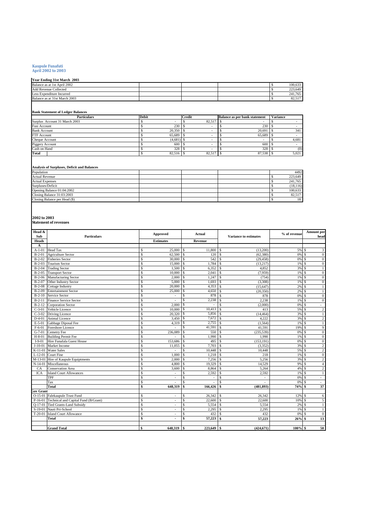# **Kaupule Funafuti April 2002 to 2003**

| Year Ending 31st March 2003   |  |  |         |
|-------------------------------|--|--|---------|
| Balance as at 1st April 2002  |  |  | 100.633 |
| <b>Add Revenue Collected</b>  |  |  | 223,649 |
| Less Expenditure Incurred     |  |  | 241,765 |
| Balance as at 31st March 2003 |  |  | 82.517  |
|                               |  |  |         |

#### **Bank Statement of Ledger Balances**

| <b>Particulars</b>            | <b>Debit</b> | Credit | Balance as per bank statement | <b>Variance</b> |
|-------------------------------|--------------|--------|-------------------------------|-----------------|
| Surplus Account 31 March 2003 |              | 82,517 |                               |                 |
| <b>Fusi Account</b>           | 230          |        | 230                           |                 |
| <b>Bank Account</b>           | 20,350       |        | 20,691                        | 341             |
| FTF Account                   | 65.689       |        | 65.689                        |                 |
| Cheque Account                | (4,681)      |        |                               | 4,681           |
| Piggery Account               | 600          |        | 600                           |                 |
| Cash on Hand                  | 328          |        | 328                           | (0)             |
| Total                         | 82.516       | 82.517 | 87,538                        | 5.021           |

## **Analysis of Surpluses, Deficit and Balances**

| Population                    |  |  | 4492      |
|-------------------------------|--|--|-----------|
| <b>Actual Revenue</b>         |  |  | 223.649   |
| <b>Actual Expenses</b>        |  |  | 241,765   |
| Surpluses/Deficit             |  |  | (18, 116) |
| Opening Balance 01:04:2002    |  |  | 100.633   |
| Closing Balance 31:03:2003    |  |  | 82.517    |
| Closing Balance per Head (\$) |  |  | 18        |

# **2002 to 2003 Statement of revenues**

| Head &<br>Sub    | <b>Particulars</b>                           | Approved                       | Actual                       | <b>Variance to estimates</b>   | % of revenue | Amount per<br>head              |
|------------------|----------------------------------------------|--------------------------------|------------------------------|--------------------------------|--------------|---------------------------------|
| <b>Heads</b>     |                                              | <b>Estimates</b>               | Revenue                      |                                |              |                                 |
| A                |                                              |                                |                              |                                |              |                                 |
| $A-1-01$         | <b>Head Tax</b>                              | $25,000$ \$<br>\$              | 11,800                       | $\mathbf{\hat{s}}$<br>(13,200) | 5% \$        | 3                               |
| $B-2-01$         | <b>Agriculture Sector</b>                    | \$<br>62.500                   | 120<br><sup>\$</sup>         | \$<br>(62, 380)                | 0% \$        | $\mathbf{0}$                    |
| $B-2-02$         | <b>Fisheries Sector</b>                      | \$<br>$30,000$ \$              | 542                          | \$.<br>(29, 458)               | 0% \$        | $\mathbf{0}$                    |
| $B-2-03$         | <b>Tourism Sector</b>                        | \$<br>15,000                   | 1.784<br>\$                  | \$<br>(13,217)                 | $1\%$ \$     | $\mathbf{0}$                    |
| $B-2-04$         | <b>Trading Sector</b>                        | \$<br>1.500                    | 6,352<br>$\mathbf{s}$        | $\hat{\mathbf{S}}$<br>4,852    | 3%           | S.                              |
| $B-2-05$         | <b>Transport Sector</b>                      | \$<br>10,000                   | 2,041<br><sup>\$</sup>       | \$<br>(7,959)                  | $1\%$ \$     | $\mathbf{0}$                    |
| $B-2-06$         | <b>Manufacturing Sector</b>                  | \$<br>2.000                    | 1.247<br>S                   | \$<br>(754)                    | 1%           | $\Omega$<br>-S                  |
| $B-2-07$         | Other Industry Sector                        | \$<br>5,000                    | \$<br>1,693                  | \$.<br>(3,308)                 | $1\%$ \$     | $\mathbf{0}$                    |
| $B-2-08$         | Cottage Industry                             | \$<br>20,000                   | 4,353<br>S                   | \$.<br>(15, 647)               | $2\%$ \$     | $\mathbf{1}$                    |
| $B-2-09$         | <b>Entertainment Sector</b>                  | \$<br>25,000                   | 4,650<br>S                   | \$<br>(20, 350)                | 2%           | $\mathbf{1}$<br>$\mathbf{s}$    |
| $B-2-10$         | Service Sector                               | \$                             | 878<br>$\mathbf{s}$          | 878<br>\$                      | 0%           | $\mathbf{0}$<br>-8              |
| $B-2-11$         | Finance Service Sector                       | \$<br>$\sim$                   | \$<br>2,238                  | 2,238<br>-\$                   | $1\%$ \$     | $\Omega$                        |
| $B-2-12$         | Corporation Sector                           | $\hat{\mathbf{S}}$<br>2.000    | \$<br>÷.                     | \$<br>(2,000)                  | 0% \$        | $\sim$                          |
| $C-3-01$         | Vehicle Licence                              | \$<br>10,000                   | $\mathbf{s}$<br>10,413       | \$<br>413                      | 5% \$        | $\overline{2}$                  |
| $C-3-02$         | <b>Driving Licence</b>                       | \$<br>20,320                   | S<br>5,856                   | \$.<br>(14, 464)               | 3% \$        | $\mathbf{1}$                    |
| $D-4-01$         | <b>Animal Licence</b>                        | \$<br>3,450 \$                 | 7,672                        | 4.222<br>$\mathcal{S}$         | 3% S         | $\overline{c}$                  |
| $E-5-01$         | Gabbage Diposal Fee                          | \$<br>4,319                    | <sup>\$</sup><br>2,755       | $\mathcal{S}$<br>(1, 564)      | $1\%$ \$     |                                 |
| $F-6-01$         | Foreshore Licence                            | $\hat{\mathbf{S}}$<br>$\sim$   | $\mathbf{\hat{S}}$<br>41,591 | $\mathbf{\hat{S}}$<br>41,591   | 19%          | 9<br>- \$                       |
| $G-7-01$         | Cemetry Fee                                  | \$<br>236,089                  | 550<br>$\mathbf{s}$          | (235, 539)<br>\$               | 0% \$        | $\mathbf{0}$                    |
| $H-8-01$         | <b>Building Permit Fee</b>                   | \$                             | 1,990<br>$\mathbf{s}$        | 1,990                          | 1%           | $\Omega$<br><sup>\$</sup>       |
| $I-9-01$         | Hire Funafala Guest House                    | \$<br>153,686                  | 495<br>$\mathbf{s}$          | (153, 191)                     | 0%           | $\mathbf{0}$<br><b>S</b>        |
| $J-10-01$        | Market Income                                | \$<br>11,055                   | 7.703<br>\$                  | \$<br>(3, 352)                 | 3%           | $\overline{c}$<br>- \$          |
| K-11-01          | <b>Water Sales</b>                           | \$                             | \$,<br>10,448                | 10,448<br>\$                   | 5% \$        | $\overline{c}$                  |
| $L-12-01$        | <b>Court Fine</b>                            | 1,000<br>\$                    | Ś<br>1,218                   | $\mathcal{S}$<br>218           | $1%$ \$      | $\mathbf{0}$                    |
| $M-13-01$        | Hire of Kaupule Equiptments                  | \$<br>2.000                    | $\overline{7,256}$<br>S      | 5,256<br>\$                    | 3%           | $\overline{c}$<br>$\mathcal{S}$ |
| $N-14-01$        | Miscellaneous                                | \$<br>4,800                    | 19,329<br><b>S</b>           | 14,529<br>\$                   | 9% \$        | $\overline{4}$                  |
| CA               | <b>Conservation Area</b>                     | $\hat{\mathbf{S}}$<br>3,600    | 8,864<br>$\mathbf{s}$        | $\mathcal{S}$<br>5,264         | 4%S          | $\overline{c}$                  |
| <b>ICA</b>       | <b>Island Court Allowances</b>               | \$<br>$\sim$                   | \$<br>2,592                  | $\mathbb{S}$<br>2,592          | $1\%$ \$     | -1                              |
|                  | <b>TPF</b>                                   | \$<br>$\overline{\phantom{a}}$ | \$<br>$\sim$                 | \$<br>ä,                       | 0% \$        | $\sim$                          |
|                  | Tax                                          | \$                             | $\mathbf{s}$                 | $\mathbf{\hat{S}}$             | 0% \$        |                                 |
|                  | <b>Total</b>                                 | \$<br>648.319                  | 166,426<br>\$                | \$<br>(481.893)                | $74%$ \$     | $\overline{37}$                 |
| <b>Fov Grant</b> |                                              |                                |                              |                                |              |                                 |
|                  | O-15-01 Falekaupule Trust Fund               | \$<br>$\blacksquare$           | \$<br>26,342                 | 26,342<br>s.                   | $12\%$ \$    | 6                               |
|                  | P-16-01 Technical and Capital Fund (B/Grant) | \$<br>$\sim$                   | 22,600<br>\$                 | $\mathcal{S}$<br>22,600        | 10%          | 5<br>- \$                       |
|                  | Q-17-01 Tied Grants-Land Subsidy             | \$<br>$\sim$                   | \$<br>5,554                  | \$<br>5,554                    | 2%           | - \$<br>$\mathbf{1}$            |
| $S-19-01$        | Nauti Pri-School                             | \$<br>$\overline{a}$           | 2,295<br>\$                  | \$.<br>2,295                   | $1\%$ \$     |                                 |
| $T-20-01$        | <b>Island Court Allowance</b>                | \$<br>÷,                       | Ś<br>432                     | 432                            | 0%           | $\mathbf{0}$                    |
|                  | <b>Total</b>                                 | \$<br>$\blacksquare$           | 57,223<br>\$                 | 57,223<br>\$                   | $26%$ \$     | 13                              |
|                  |                                              |                                |                              |                                |              |                                 |
|                  | <b>Grand Total</b>                           | \$<br>648.319                  | 223.649 \$<br>\$             | (424, 671)                     | $100\%$ \$   | 50                              |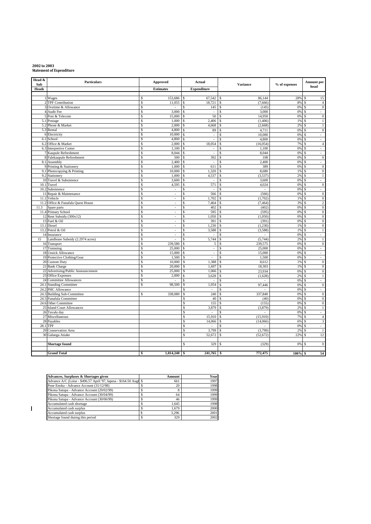# **2002 to 2003 Statement of Expenditure**

| Head &<br>Sub | <b>Particulars</b>                        | Approved                   | Actual                                | <b>Variance</b> | % of expenses | Amount per                           |
|---------------|-------------------------------------------|----------------------------|---------------------------------------|-----------------|---------------|--------------------------------------|
| Heads         |                                           | <b>Estimates</b>           | <b>Expenditure</b>                    |                 |               | head                                 |
|               |                                           |                            |                                       |                 |               |                                      |
|               | 1 Wages                                   | 153,686<br>\$              | 67,542<br>\$                          | 86,144<br>\$    | 28%           | 15<br>\$                             |
|               | 2 TPF Contribution                        | 11,055<br>\$               | 18,721<br>\$                          | (7,666)<br>\$   | 8%            | $\overline{4}$                       |
|               | 3 Ovetime & Allowance                     | \$<br>$\ddot{\phantom{0}}$ | 145<br>Ś                              | (145)<br>\$     | 0%            | $\boldsymbol{0}$<br>\$               |
|               | 4 Audit Fee                               | 3,000<br>\$                | L.                                    | 3,000           | 0%            | \$<br>$\overline{a}$                 |
|               | 5 Post & Telecom                          | \$<br>15,000               | 50<br>\$                              | 14,950<br>\$    | 0%            | \$<br>$\mathbf{0}$                   |
|               | 5.1 Postage                               | \$<br>1,000                | 2,406<br>\$                           | (1, 406)<br>\$  | 1%            | \$<br>$\mathbf{1}$                   |
|               | 5.2 Phone & Market                        | \$<br>2,000                | 4,668<br>\$                           | (2,668)<br>\$   | 2%            | \$<br>$\,1$                          |
|               | 5.3 Rental                                | 4,800<br>\$                | 89<br>\$                              | 4,711           | 0%            | $\overline{0}$<br>\$                 |
|               | 6 Electricity                             | \$<br>10,000               | \$<br>à,                              | 10,000<br>\$    | 0%            | $\mathbf S$<br>ä,                    |
|               | 6.1 School                                | \$<br>4,800<br>\$<br>2,000 | \$<br>$\omega$                        | 4,800<br>\$     | 0%            | $\omega$<br>\$                       |
|               | 6.2 Office & Market                       | \$<br>1,100                | 18,054                                | (16,054)<br>\$  | 7%<br>0%      | $\overline{4}$<br>\$<br>\$           |
|               | 6.3 Interpretive Center                   | \$<br>8,044                | $\blacksquare$<br>$\bar{\phantom{a}}$ | 1,100<br>8,044  | 0%            | $\sim$<br>Ś<br>$\omega$              |
|               | 7 Kaupule Refreshment                     | \$<br>500                  | 392<br>Ś                              | 108<br>\$       | 0%            | $\mathbf{0}$<br>\$                   |
|               | 8 Falekaupule Refreshment<br>8.1 Assembly | \$<br>2,400                | L.                                    | 2,400<br>\$     | 0%            | \$<br>$\sim$                         |
|               | 9 Printing & Stationery                   | \$<br>1,000                | 611<br>\$                             | 389<br>\$       | 0%            | \$<br>$\bf{0}$                       |
|               | 9.1 Photocopying & Printing               | 10,000<br>\$               | 1.320<br>\$                           | 8,680<br>\$     | 1%            | $\mathbf{0}$<br>\$                   |
|               | 9.2 Stationery                            | \$<br>1,000                | 4,537<br>\$                           | (3, 537)<br>\$  | 2%            | $\mathbf S$<br>$\,1$                 |
|               | 10 Travel & Subsistence                   | $\mathsf{s}$<br>3,600      | \$<br>$\sim$                          | 3,600<br>\$     | 0%            | \$<br>$\omega$                       |
|               | 10.1 Travel                               | \$<br>4,595                | 571<br>\$                             | 4,024<br>\$     | 0%            | $\overline{0}$<br>\$                 |
| 10.2          | Subsistence                               | \$<br>$\omega$             | $\omega$                              | $\omega$        | 0%            | \$<br>$\omega$                       |
|               | 11 Repair & Maintenance                   | \$<br>$\bar{\phantom{a}}$  | 566<br>\$                             | (566)<br>\$     | 0%            | \$<br>$\mathbf{0}$                   |
|               | 11.1 Vehicle                              | \$<br>$\blacksquare$       | Ś<br>1,702                            | (1,702)<br>\$   | 1%            | \$<br>$\boldsymbol{0}$               |
|               | 11.2 Office & Funafala Quest House        | \$<br>$\sim$               | 7,464<br>\$                           | (7, 464)<br>\$  | 3%            | $\sqrt{2}$<br>\$                     |
| 11.3          | Spare parts                               | \$<br>$\ddot{\phantom{0}}$ | \$<br>402                             | (402)<br>\$     | 0%            | $\overline{0}$<br>\$                 |
|               | 11.4 Primary School                       | \$<br>$\sim$               | 595<br>\$                             | (595)<br>\$     | 0%            | $\boldsymbol{0}$<br>\$               |
|               | 12 Rent Subsidy (300x12)                  | \$<br>÷.                   | $\mathbf{\hat{S}}$<br>1,050           | (1,050)<br>\$   | 0%            | $\overline{0}$<br>\$                 |
|               | 13 Fuel & Oil                             | \$<br>$\omega$             | \$<br>391                             | (391)<br>\$     | 0%            | $\overline{0}$<br>\$                 |
|               | 13.1 Diesel                               | \$                         | 1,230<br>\$                           | (1,230)<br>\$   | 1%            | $\overline{0}$<br>$\mathbf{\hat{S}}$ |
|               | 13.2 Petrol & Oil                         | \$<br>$\sim$               | \$<br>3,588                           | (3,588)<br>\$   | 1%            | \$<br>$\mathbf{1}$                   |
|               | 14 Insurance                              | \$<br>ä,                   | L.                                    | L.              | 0%            | \$<br>ä,                             |
| 15            | Landlease Subsidy (2.2974 acres)          | \$<br>L,                   | 5,744<br>\$                           | (5,744)<br>\$   | 2%            | \$<br>$\mathbf{1}$                   |
|               | 16 Transport                              | \$<br>239,580              | 5<br>\$                               | 239,575<br>\$   | 0%            | \$<br>$\mathbf{0}$                   |
|               | 17 Trainning                              | \$<br>25,000               | \$<br>$\omega$                        | 25,000<br>\$    | 0%            | \$<br>$\mathbb{Z}^2$                 |
|               | 18 Unsick Allowance                       | 15,000<br>\$               | $\omega$<br>\$                        | 15,000<br>\$    | 0%            | \$<br>$\omega$                       |
|               | 19 Protective Clothing/Gear               | \$<br>1,500                | S<br>÷.                               | \$<br>1,500     | 0%            | \$<br>ä,                             |
|               | 20 Custom Duty                            | $\mathsf{s}$<br>10,000     | 1.388<br>\$                           | 8,612<br>\$     | 1%            | $\mathbf{0}$<br>S                    |
|               | 21 Bank Charge                            | Ŝ<br>20,000                | \$<br>1,697                           | 18,303<br>\$    | 1%            | $\overline{0}$<br>$\mathbf{\hat{S}}$ |
| 22            | Advertising/Public Announcement           | \$<br>25,000               | \$<br>1.066                           | 23.934<br>\$    | 0%            | $\overline{0}$<br>\$                 |
|               | 23 Office Expenses                        | \$<br>2,000                | 3,628<br>\$                           | (1,628)<br>\$   | 2%            | \$<br>$\mathbf{1}$                   |
|               | 24 Committee Allowances                   | \$<br>ä,                   | $\mathbf{\hat{S}}$                    | \$<br>$\sim$    | 0%            | $\mathbf{\hat{S}}$<br>$\sim$         |
|               | 24.1 Standing Committee                   | 98,500<br>${\mathbb S}$    | 1,054<br>\$                           | 97,446<br>\$    | 0%            | $\overline{0}$<br>\$                 |
|               | 24.2 PHC Allowance                        |                            | \$                                    | \$              | 0%            | \$<br>÷,                             |
| 24.3          | <b>Building Sub-Committee</b>             | 338,080<br>\$              | 240<br>\$                             | 337,840<br>\$   | 0%            | $\mathbf{0}$<br>\$                   |
| 24.5          | Funafala Committee                        |                            | $\overline{s}$<br>40                  | \$<br>(40)      | 0%            | \$<br>$\boldsymbol{0}$               |
| 24.6          | Other Committee                           |                            | $\overline{s}$<br>155                 | (155)<br>\$     | 0%            | $\mathbf{0}$<br>\$                   |
| 25            | <b>Island Court Allowances</b>            |                            | S<br>3,879                            | (3,879)<br>\$   | 2%            | \$<br>$\mathbf{1}$                   |
|               | 26 Tuvalu day                             |                            | \$<br>$\sim$                          |                 | 0%            | \$<br>÷.                             |
|               | 27 Miscellaneous                          |                            | \$<br>15,910                          | (15,910)<br>\$  | 7%            | \$<br>$\overline{4}$                 |
|               | 28 Payables                               |                            | \$<br>14,066                          | (14,066)        | 6%            | 3<br>Ś                               |
| 28.1 TPF      |                                           |                            | \$                                    | \$              | 0%            | \$<br>$\sim$                         |
| 29            | Conservation Area                         |                            | \$<br>3,799                           | (3,799)<br>\$   | 2%            | \$<br>$\mathbf{1}$                   |
|               | 30 Galuega Atiake                         |                            | \$<br>52,672                          | (52, 672)       | 22%           | 12<br>Ś                              |
|               |                                           |                            |                                       |                 |               |                                      |
|               | <b>Shortage found</b>                     |                            | 329<br>\$                             | (329)           | 0%            | $\mathbf{0}$<br>S                    |
|               |                                           |                            |                                       |                 |               |                                      |
|               | <b>Grand Total</b>                        | 1,014,240<br>\$            | 241,765<br>\$                         | 772,475         | 100%          | 54<br>\$                             |

| Advances, Surpluses & Shortages given                              | Amount | Year |
|--------------------------------------------------------------------|--------|------|
| Advance A/C (Loise - \$496.57 April '97, Iapesa - \$164.50 Aug/ \$ | 661    | 1997 |
| Pene Enoka - Advance Account (31/12/98)                            | 20     | 1998 |
| Pikona Satupa - Advance Account (29/02/99)                         |        | 1999 |
| Pikona Satupa - Advance Account (30/04/99)                         | 64     | 1999 |
| Pikona Satupa - Advance Account (30/06/99)                         | 46     | 1999 |
| Accumulated cash shortage                                          | 1.645  | 1998 |
| Accumulated cash surplus                                           | 1.679  | 2000 |
| Accumulated cash surplus                                           | 3.296  | 2001 |
| Shortage found duirng this period                                  | 329    | 2002 |

 $\overline{1}$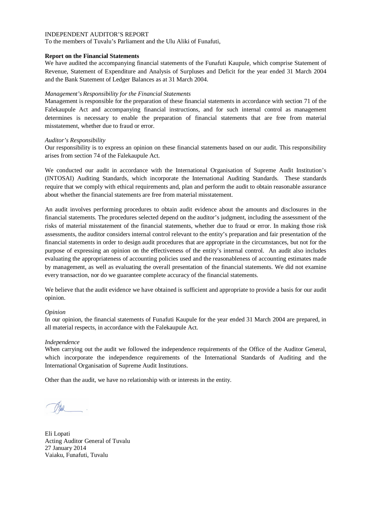To the members of Tuvalu's Parliament and the Ulu Aliki of Funafuti,

## **Report on the Financial Statements**

We have audited the accompanying financial statements of the Funafuti Kaupule, which comprise Statement of Revenue, Statement of Expenditure and Analysis of Surpluses and Deficit for the year ended 31 March 2004 and the Bank Statement of Ledger Balances as at 31 March 2004.

## *Management's Responsibility for the Financial Statements*

Management is responsible for the preparation of these financial statements in accordance with section 71 of the Falekaupule Act and accompanying financial instructions, and for such internal control as management determines is necessary to enable the preparation of financial statements that are free from material misstatement, whether due to fraud or error.

## *Auditor's Responsibility*

Our responsibility is to express an opinion on these financial statements based on our audit. This responsibility arises from section 74 of the Falekaupule Act.

We conducted our audit in accordance with the International Organisation of Supreme Audit Institution's (INTOSAI) Auditing Standards, which incorporate the International Auditing Standards. These standards require that we comply with ethical requirements and, plan and perform the audit to obtain reasonable assurance about whether the financial statements are free from material misstatement.

An audit involves performing procedures to obtain audit evidence about the amounts and disclosures in the financial statements. The procedures selected depend on the auditor's judgment, including the assessment of the risks of material misstatement of the financial statements, whether due to fraud or error. In making those risk assessments, the auditor considers internal control relevant to the entity's preparation and fair presentation of the financial statements in order to design audit procedures that are appropriate in the circumstances, but not for the purpose of expressing an opinion on the effectiveness of the entity's internal control. An audit also includes evaluating the appropriateness of accounting policies used and the reasonableness of accounting estimates made by management, as well as evaluating the overall presentation of the financial statements. We did not examine every transaction, nor do we guarantee complete accuracy of the financial statements.

We believe that the audit evidence we have obtained is sufficient and appropriate to provide a basis for our audit opinion.

### *Opinion*

In our opinion, the financial statements of Funafuti Kaupule for the year ended 31 March 2004 are prepared, in all material respects, in accordance with the Falekaupule Act.

### *Independence*

When carrying out the audit we followed the independence requirements of the Office of the Auditor General, which incorporate the independence requirements of the International Standards of Auditing and the International Organisation of Supreme Audit Institutions.

Eli Lopati Acting Auditor General of Tuvalu 27 January 2014 Vaiaku, Funafuti, Tuvalu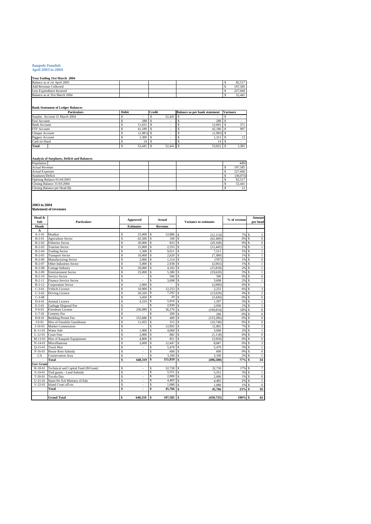# **Kaupule Funafuti April 2003 to 2004**

| Year Ending 31st March 2004   |         |
|-------------------------------|---------|
| Balance as at 1st April 2003  | 82.517  |
| <b>Add Revenue Collected</b>  | 197.585 |
| Less Expenditure Incurred     | 227,660 |
| Balance as at 31st March 2004 | 52,441  |

**Bank Statement of Ledger Balances**

| <b>Particulars</b>            | <b>Debit</b> | <b>Credit</b> | Balance as per bank statement | <b>Variance</b> |
|-------------------------------|--------------|---------------|-------------------------------|-----------------|
| Surplus Account 31 March 2004 |              | 52.441        |                               |                 |
| Fusi Account                  | 288          |               | 288                           |                 |
| <b>Bank Account</b>           | 11.631       |               | 12.001                        | 371             |
| FTF Account                   | 41.189       |               | 42.186                        | 997             |
| Cheque Account                | (1,981)      |               | (1,981)                       |                 |
| Piggery Account               | 1,300        |               | 1,313                         |                 |
| Cash on Hand                  | 14           |               | 14                            |                 |
| Total                         | 52.441       | 52.441        | 53,822                        | 1,381           |

**Analysis of Surpluses, Deficit and Balances**

| Population                    |  |  | 4492     |
|-------------------------------|--|--|----------|
| <b>Actual Revenue</b>         |  |  | 197.585  |
| <b>Actual Expenses</b>        |  |  | 227,660  |
| Surpluses/Deficit             |  |  | (30,075) |
| Opening Balance 01:04:2003    |  |  | 82.517   |
| Closing Balance 31:03:2004    |  |  | 52.441   |
| Closing Balance per Head (\$) |  |  | 12       |
|                               |  |  |          |

**2003 to 2004 Statement of revenues**

| Head &<br>Sub    | <b>Particulars</b>                   | Approved                      | Actual                       | <b>Variance to estimates</b>   | % of revenue | <b>Amount</b><br>per head               |
|------------------|--------------------------------------|-------------------------------|------------------------------|--------------------------------|--------------|-----------------------------------------|
| <b>Heads</b>     |                                      | <b>Estimates</b>              | Revenue                      |                                |              |                                         |
| A                |                                      |                               |                              |                                |              |                                         |
| $A-1-01$         | Headtax                              | Ŝ<br>25,000                   | \$<br>12,886                 | (12.114)<br><sup>\$</sup>      | 7%           | 3<br>\$                                 |
| $B-2-01$         | <b>Agriculture Sector</b>            | Ŝ<br>62,500                   | \$<br>100                    | \$<br>(62, 400)                | 0%           | $\overline{0}$<br>\$                    |
| $B-2-02$         | <b>Fisheries Sector</b>              | Ś<br>30,000                   | S<br>833                     | <sup>\$</sup><br>(29, 168)     | 0%           | $\overline{0}$<br>\$                    |
| $B-2-03$         | <b>Tourism Sector</b>                | 15,000<br>Ŝ                   | 2,555<br>\$                  | <sup>\$</sup><br>(12, 445)     | 1%           | s<br>$\mathbf{1}$                       |
| $B-2-04$         | <b>Trading Sector</b>                | Ś<br>1.500                    | \$<br>9.011                  | <sup>\$</sup><br>7,511         | 5%           | $\,2$<br>\$                             |
| $B-2-05$         | <b>Transport Sector</b>              | Ś<br>10,000                   | \$<br>2,620                  | \$<br>(7,380)                  | 1%           | $\mathsf{s}$<br>$\mathbf{1}$            |
| $B-2-06$         | <b>Manufacturing Sector</b>          | Ś<br>2,000                    | \$<br>1.214                  | <sup>\$</sup><br>(787)         | 1%           | $\mathbf{0}$<br>\$                      |
| $B-2-07$         | <b>Other Industries Sector</b>       | Ś<br>5.000                    | \$<br>2,938                  | \$<br>(2,063)                  | 1%           | \$<br>$\mathbf{1}$                      |
| $B-2-08$         | Cottage Industry                     | Ŝ<br>20,000                   | 4,182<br>\$                  | <sup>\$</sup><br>(15, 818)     | 2%           | \$<br>$\mathbf{1}$                      |
| $B-2-09$         | <b>Entertainment Sector</b>          | \$<br>25,000                  | \$<br>5,380                  | $\mathbf{\hat{S}}$<br>(19,620) | 3%           | $\mathsf{s}$<br>$\mathbf{1}$            |
| $B-2-10$         | Service Sector                       | Ś<br>$\overline{\phantom{a}}$ | Ś<br>500                     | $\mathbf{\hat{S}}$<br>500      | 0%           | $\overline{0}$<br>$\mathsf{s}$          |
| $B-2-11$         | <b>Finance Service Sector</b>        | \$                            | \$<br>3,698                  | \$<br>3.698                    | 2%           | $\mathsf{s}$<br>$\mathbf{1}$            |
| $B-2-12$         | Corporation Sector                   | Ś<br>2,000                    | \$                           | \$<br>(2,000)                  | 0%           | \$<br>ä,                                |
| $C-3-01$         | Vehicle Licence                      | Ŝ<br>10,000                   | $\mathbf{\hat{S}}$<br>12,253 | 2.253<br>\$.                   | 6%           | $\overline{3}$<br>$\mathsf{s}$          |
| $C-3-02$         | Driving Licence                      | \$<br>20.320                  | \$<br>7,292                  | \$<br>(13,029)                 | 4%           | $\overline{c}$<br>\$                    |
| $C-3-08$         |                                      | Ŝ<br>3,450                    | 20<br>\$.                    | <sup>\$</sup><br>(3, 430)      | 0%           | $\overline{0}$<br>\$                    |
| $D-4-01$         | <b>Animal Licence</b>                | Ś<br>4,319                    | \$<br>5.916                  | <sup>\$</sup><br>1.597         | 3%           | \$<br>$\mathbf{1}$                      |
| $E-5-01$         | Garbage Disposal Fee                 | Ś                             | \$<br>2.930                  | $\hat{\mathbf{s}}$<br>2,930    | 1%           | $\mathsf{s}$<br>$\mathbf{1}$            |
| $F-6-01$         | Foreshore License                    | Ŝ<br>236,089                  | \$<br>36,270                 | \$<br>(199, 819)               | 18%          | $\overline{\mathbf{8}}$<br>\$           |
| $G-7-01$         | <b>Cemetry Fee</b>                   | Ŝ                             | \$<br>200                    | \$<br>200                      | 0%           | $\overline{0}$<br>$\mathbf{s}$          |
| $H-8-01$         | <b>Building Permit Fee</b>           | Ś<br>153,686                  | 400<br>\$                    | \$<br>(153, 286)               | 0%           | $\overline{0}$<br>\$                    |
| $I-9-01$         | Hire of Funafala Guesthouse          | \$<br>11,055                  | 315<br>\$                    | <sup>\$</sup><br>(10,740)      | 0%           | $\overline{0}$<br>\$                    |
| $J-10-01$        | <b>Market Commission</b>             | Ŝ                             | Ś<br>12.892                  | \$<br>12,892                   | 7%           | $\overline{\mathbf{3}}$<br>$\mathsf{s}$ |
| $K-11-01$        | Water Sale                           | Ŝ<br>1,000                    | \$<br>4,068                  | \$<br>3,068                    | 2%           | \$<br>$\mathbf{1}$                      |
| $L-12-01$        | <b>Court Fine</b>                    | Ŝ<br>2.000                    | 882<br>\$                    | \$<br>(1.118)                  | 0%           | $\mathbf{0}$<br>\$                      |
| M-13-01          | Hire of Kaupule Equipments           | Ŝ<br>4,800                    | 851<br>\$.                   | \$.<br>(3,950)                 | 0%           | $\overline{0}$<br>\$                    |
| $N-14-01$        | Miscellaneous                        | Ŝ<br>3.600                    | s<br>12,447                  | \$<br>8.847                    | 6%           | $\overline{\mathbf{3}}$<br>$\mathsf{s}$ |
| $O-15-01$        | <b>Truck Hire</b>                    | Ś<br>$\overline{\phantom{a}}$ | \$<br>5.470                  | \$<br>5,470                    | 3%           | <sup>\$</sup><br>$\mathbf{1}$           |
| P-16-01          | <b>House Rent Subsidy</b>            | Ŝ                             | \$<br>600                    | <sup>\$</sup><br>600           | 0%           | $\overline{0}$<br>\$                    |
| CA               | <b>Conservation Area</b>             | \$                            | \$<br>3.100                  | 3,100<br>\$                    | 2%           | \$<br>$\mathbf{1}$                      |
|                  | Total                                | Ŝ<br>648.319                  | \$<br>151,819                | \$<br>(496, 500)               | 77%          | 34<br>\$                                |
| <b>Gov Grant</b> |                                      |                               |                              |                                |              |                                         |
| $R-18-01$        | Technical and Capital Fund (B/Grant) | Ŝ<br>٠                        | \$<br>32,730                 | <sup>\$</sup><br>32,730        | 17% \$       | $\tau$                                  |
| S-19-01          | Tied grants - Land Subsidy           | Ŝ                             | \$<br>5,551                  | \$<br>5,551                    | 3%           | $\mathbf{\hat{s}}$<br>$\mathbf{1}$      |
| $T-20-01$        | Tuvalu Day                           | Ś<br>٠                        | \$<br>2.000                  | <sup>\$</sup><br>2.000         | 1%           | $\mathbf{0}$<br><sup>\$</sup>           |
| $U-21-01$        | Nauti Pri Sch Ministry of Edu        | Ŝ                             | \$<br>4.405                  | \$<br>4,405                    | 2%           | \$<br>$\mathbf{1}$                      |
| $V-22-01$        | Island Court all'ces                 | \$                            | \$<br>1.080                  | <sup>\$</sup><br>1.080         | 1%           | $\mathbf{0}$<br>\$                      |
|                  | Total                                | Ŝ<br>÷.                       | \$<br>45.766                 | $\hat{\mathbf{s}}$<br>45,766   | $23%$ \$     | 10                                      |
|                  |                                      |                               |                              |                                |              |                                         |
|                  | <b>Grand Total</b>                   | \$<br>648.319                 | T\$<br>197,585 \$            | (450, 735)                     | 100% \$      | 44                                      |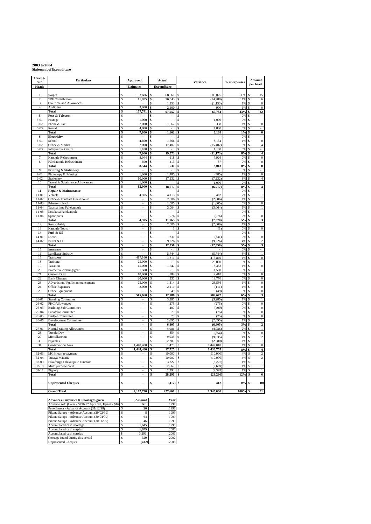## **2003 to 2004 Statement of Expenditure**

| Head &<br>Sub          | <b>Particulars</b>                                          | Approved                                   | Actual                       | <b>Variance</b>                   | % of expenses | Amount                                                    |
|------------------------|-------------------------------------------------------------|--------------------------------------------|------------------------------|-----------------------------------|---------------|-----------------------------------------------------------|
| <b>Heads</b>           |                                                             | <b>Estimates</b>                           | <b>Expenditure</b>           |                                   |               | per head                                                  |
| $\mathbf{1}$           | Wages                                                       | 153,686<br>\$                              | 68,661<br><sup>\$</sup>      | 85,025                            | 30%           | 15                                                        |
| $\overline{c}$         | <b>TPF Contribution</b>                                     | \$<br>11,055                               | <sup>\$</sup><br>26,043      | (14,988)<br>S                     | 11%           | 6<br><sup>\$</sup>                                        |
| 3<br>$\overline{4}$    | Overtime and Allowances<br>Audit Fee                        | \$<br>\$<br>3,000                          | \$<br>1,153<br>\$<br>2,100   | (1, 153)<br>Ŝ<br>\$<br>900        | 1%<br>1%      | $\boldsymbol{0}$<br><sup>\$</sup><br>$\overline{0}$<br>\$ |
|                        | Total                                                       | 167,741<br>\$                              | 97,957<br>\$                 | 69,784<br>\$                      | 43%           | 22<br>\$                                                  |
| 5                      | Post & Telecom                                              | \$<br>٠                                    | \$<br>$\sim$                 | Ŝ<br>$\overline{\phantom{a}}$     | 0%            | S<br>$\qquad \qquad \blacksquare$                         |
| $5 - 01$<br>$5 - 02$   | Postage<br>Phone & Fax                                      | \$<br>1,000<br>\$<br>2,000                 | \$<br>\$<br>1,662            | 1,000<br>Ŝ<br>338<br>Ś            | 0%<br>1%      | \$<br>$\overline{0}$<br>\$                                |
| $5 - 03$               | Rental                                                      | 4,800<br>\$                                | Ŝ                            | 4,800<br>Ś                        | 0%            | Ŝ                                                         |
|                        | Total                                                       | \$<br>7,800                                | 1,662<br>\$                  | 6,138<br>\$                       | 1%            | $\bf{0}$<br>\$                                            |
| 6<br>$6 - 01$          | Electricity<br>School                                       | \$<br>\$<br>4,800                          | \$<br>\$<br>1,666            | \$<br>3,134<br>\$                 | 0%<br>1%      | \$<br>$\overline{0}$<br>\$                                |
| $6 - 02$               | Office & Market                                             | \$<br>2,000                                | 17,407<br>\$                 | (15, 407)<br>\$                   | 8%            | $\overline{4}$<br>\$                                      |
| $6 - 03$               | Interpretive Centre<br>Total                                | \$<br>1,100<br>\$<br>7,900                 | \$<br>\$                     | 1,100<br>S                        | 0%<br>8%      | \$.<br>\$                                                 |
| 7                      | Kaupule Refreshment                                         | \$<br>8,044                                | 19,073<br>118                | \$<br>(11, 173)<br>Ś<br>7,926     | 0%            | 4<br>$\overline{0}$                                       |
| 8                      | Falekaupule Refreshment                                     | 500<br>\$.                                 | 413                          | \$.<br>87                         | 0%            | $\mathbf{0}$<br>Ŝ                                         |
| $\mathbf Q$            | Total<br><b>Printing &amp; Stationery</b>                   | \$<br>8,544<br>\$                          | 531<br>\$<br>\$              | 8,013<br>\$<br>\$                 | 0%<br>0%      | $\pmb{0}$<br>\$<br>\$                                     |
| $9 - 01$               | Photocopy & Printing                                        | 1,000<br>\$                                | \$<br>1,485                  | \$<br>(485)                       | 1%            | $\overline{0}$<br>\$                                      |
| $9 - 02$               | Stationery                                                  | \$<br>10,000                               | 17,232<br>\$                 | \$<br>(7, 232)                    | 8%            | $\overline{4}$<br>\$                                      |
| $10\,$                 | Travel & Subsistence Allowances<br>Total                    | \$<br>1,000<br>\$<br>12,000                | \$<br>18,717<br>\$           | 1,000<br>\$<br>(6, 717)<br>\$     | 0%<br>8%      | \$<br>4<br>\$                                             |
| $\overline{11}$        | Repair & Maintenance                                        | \$                                         | \$                           | \$                                | 0%            | \$<br>$\overline{\phantom{a}}$                            |
| $11 - 01$              | Vehicle                                                     | \$<br>4,595                                | \$<br>4.113                  | \$<br>482                         | 2%            | $\,$ 1                                                    |
| $11-02$<br>$11 - 03$   | Office & Funafale Guest house<br>Primary school             | \$<br>\$                                   | 2,806<br>Ŝ<br>1,005<br>\$    | (2, 806)<br>\$<br>(1,005)<br>\$   | 1%<br>0%      | $\,$ 1 $\,$<br>\$<br>$\bf{0}$<br>\$                       |
| $11 - 04$              | Tausoa lima Falekaupule                                     | \$                                         | \$<br>3,064                  | (3,064)<br>\$                     | 1%            | $\,1$<br>\$                                               |
| $11 - 05$              | Lotokava Falekaupule                                        | \$<br>$\overline{a}$                       | \$                           | \$                                | 0%            | \$                                                        |
| $11-06$                | Spare parts<br>Total                                        | \$<br>\$<br>4.595                          | 976<br>\$<br>11,965<br>\$    | (976)<br>\$<br>(7,370)<br>\$      | 0%<br>5%      | $\overline{0}$<br>\$<br>3<br>\$                           |
| 12                     | Rent subsidy                                                | s                                          | 2,800<br>\$                  | (2,800)<br>\$                     | 1%            | $\mathbf{s}$<br>$\mathbf{1}$                              |
| 13                     | <b>Kaupule Tools</b>                                        | \$<br>J.                                   | Ś<br>1                       | \$<br>(1)                         | 0%            | $\overline{0}$<br>Ś                                       |
| 14<br>$14 - 01$        | Fuel & Oil<br>Diesel                                        | Ŝ<br>÷,<br>\$                              | \$<br>331<br>\$              | \$.<br>(331)<br>Ŝ                 | 0%<br>0%      | \$<br>$\boldsymbol{0}$<br>\$                              |
| 14-02                  | Petrol & Oil                                                | \$                                         | \$<br>9,226                  | (9,226)<br>Ŝ                      | 4%            | $\,2$<br><sup>\$</sup>                                    |
|                        | <b>Total</b>                                                | \$<br>$\overline{\phantom{a}}$             | \$<br>12,358                 | \$<br>(12, 358)                   | 5%            | 3<br>\$                                                   |
| 15                     | Insurance<br>Landlease Subsidy                              | \$<br>$\overline{\phantom{a}}$<br>\$       | \$<br>5,744<br>\$            | \$<br>(5,744)<br>\$               | 0%<br>3%      | \$<br>$\,1$<br>\$                                         |
| 16<br>17               | Transport                                                   | \$<br>417,160                              | 1,311<br>\$                  | 415,849<br>\$                     | 1%            | $\overline{0}$<br>\$                                      |
| 18                     | Training                                                    | \$<br>25,000                               | \$                           | 25,000<br>\$.                     | 0%            | \$.                                                       |
| 19<br>20               | Taxation<br>Protective clothing/gear                        | \$<br>15,000<br>\$<br>1,500                | \$<br>1,547<br>\$            | \$.<br>13,453<br>Ś<br>1,500       | 1%<br>0%      | $\overline{0}$<br>\$<br>\$                                |
| 21                     | Custom Duty                                                 | \$<br>10,000                               | 582<br>Ŝ                     | 9,418<br>\$                       | 0%            | $\overline{0}$<br>Ŝ                                       |
| 22                     | <b>Bank Charges</b>                                         | \$<br>20,000                               | 230<br>\$                    | 19,770<br>\$                      | 0%            | $\boldsymbol{0}$<br>\$                                    |
| 23<br>24               | Advertising / Public announcement<br><b>Office Expenses</b> | \$<br>25,000<br>\$<br>2,000                | 1,414<br>\$<br>\$<br>2,111   | 23,586<br>\$<br>\$<br>(111)       | 1%<br>1%      | $\overline{0}$<br>\$<br>$\boldsymbol{0}$<br>\$            |
| 25                     | Office Equipment                                            | \$                                         | 49<br>\$                     | \$.<br>(49)                       | 0%            | $\overline{0}$<br>\$                                      |
|                        | Total                                                       | \$<br>515,660                              | 12,988<br>Ś                  | \$<br>502,672                     | 6%            | 3<br>\$                                                   |
| $26 - 01$<br>26-02     | <b>Standing Committee</b><br>PHC Allowances                 | \$<br>Ś<br>÷,                              | Ŝ<br>3,285<br>275<br>\$      | Ŝ<br>(3,285)<br>(275)<br>\$.      | 1%<br>0%      | \$<br>$\mathbf{1}$<br>$\overline{0}$<br>\$                |
| 26-03                  | <b>Building Sub Committee</b>                               | \$                                         | \$<br>400                    | (400)<br>Ŝ                        | 0%            | $\boldsymbol{0}$<br>\$                                    |
| $26 - 04$              | Funafala Committee                                          | \$                                         | \$<br>75                     | (75)<br>\$                        | 0%            | $\boldsymbol{0}$<br>\$                                    |
| 26-05<br>26-06         | <b>Budget Committee</b><br>Development Committee            | \$<br>×,<br>\$<br>$\overline{\phantom{a}}$ | 75<br>\$<br>2,695<br>\$      | \$<br>(75)<br>\$<br>(2,695)       | 0%<br>1%      | $\overline{0}$<br>\$<br>$\overline{1}$<br>\$              |
|                        | Total                                                       | \$<br>$\overline{\phantom{a}}$             | \$<br>6,805                  | (6, 805)<br>\$                    | 3%            | $\overline{\mathbf{c}}$<br>\$                             |
| $27 - 01$              | Normal Sitting Allowances                                   | \$<br>$\blacksquare$                       | \$<br>4,086                  | (4,086)<br>\$                     | 2%            | $\overline{1}$<br>\$                                      |
| 28<br>29               | Tuvalu Day<br>Miscellaneous                                 | \$<br>\$                                   | \$<br>854<br>9,035<br>\$     | Ŝ<br>(854)<br>Ś<br>(9,035)        | 0%<br>4%      | $\overline{0}$<br>\$<br>$\overline{2}$<br>\$              |
| 30                     | Payables                                                    | \$                                         | 2,280<br>\$                  | (2, 280)<br>Ś                     | 1%            | ī<br>\$                                                   |
| 31                     | Conservation Area                                           | \$<br>1,448,480                            | \$<br>1,470                  | 1,447,010<br>\$                   | 1%            | $\boldsymbol{0}$<br>Ŝ                                     |
| 32-03                  | Total<br>MGB loan repayment                                 | 1,448,480<br>\$<br>\$                      | 17,725<br>\$<br>\$<br>10,000 | 1,430,755<br>\$<br>\$<br>(10,000) | 8%<br>4%      | 4<br>\$<br>$\overline{2}$<br>\$                           |
| 32-04                  | Tusaga Mataniu                                              | \$                                         | \$<br>10,000                 | (10,000)<br>\$                    | 4%            | $\overline{2}$<br>\$                                      |
| $32-09$                | Fakafouga Falekaupule Funafala                              | \$<br>÷.                                   | \$<br>3 227                  | \$<br>(3.227)                     | 1%            | $\,1$<br>\$                                               |
| $32 - 10$<br>$32 - 11$ | Multi purpose court<br>Piggery                              | \$<br>\$                                   | \$<br>2,669<br>\$<br>2,393   | \$<br>(2,669)<br>\$<br>(2, 393)   | 1%<br>1%      | \$<br>$\mathbf{1}$<br>\$<br>$\,$ 1                        |
|                        | Total                                                       | \$<br>÷,                                   | 28,290<br>\$                 | (28, 290)<br>\$                   | 12%           | 6<br>\$                                                   |
|                        |                                                             |                                            |                              |                                   |               |                                                           |
|                        | <b>Unpresented Cheques</b>                                  | \$<br>$\blacksquare$                       | (412)<br>\$                  | 412<br>\$                         | 0%            | (0)<br>\$                                                 |
|                        | <b>Grand Total</b>                                          | 2,172,720 \$<br>\$                         | 227,660                      | 1,945,060<br>-S                   | $100\%$ \$    | 51                                                        |
|                        |                                                             |                                            |                              |                                   |               |                                                           |

| Advances, Surpluses & Shortages given                     |   | Amount | Year |
|-----------------------------------------------------------|---|--------|------|
| Advance A/C (Loise - \$496.57 April '97, Iapesa - \$16 \$ |   | 661    | 1997 |
| Pene Enoka - Advance Account (31/12/98)                   |   | 20     | 1998 |
| Pikona Satupa - Advance Account (29/02/99)                |   | 8      | 1999 |
| Pikona Satupa - Advance Account (30/04/99)                |   | 64     | 1999 |
| Pikona Satupa - Advance Account (30/06/99)                |   | 46     | 1999 |
| Accumulated cash shortage                                 |   | 1.645  | 1998 |
| Accumulated cash surplus                                  |   | 1.679  | 2000 |
| Accumulated cash surplus                                  |   | 3.296  | 2001 |
| shortage found duirng this period                         |   | 329    | 2002 |
| <b>Unpresented Cheques</b>                                | Ś | (412)  | 2003 |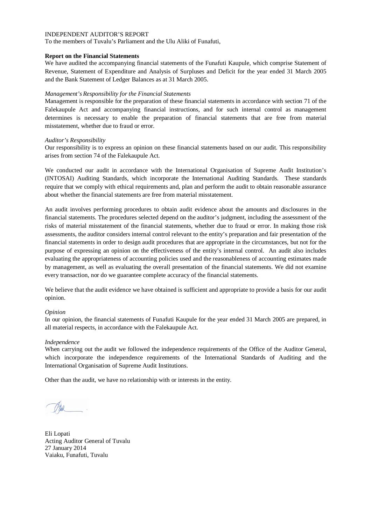To the members of Tuvalu's Parliament and the Ulu Aliki of Funafuti,

## **Report on the Financial Statements**

We have audited the accompanying financial statements of the Funafuti Kaupule, which comprise Statement of Revenue, Statement of Expenditure and Analysis of Surpluses and Deficit for the year ended 31 March 2005 and the Bank Statement of Ledger Balances as at 31 March 2005.

## *Management's Responsibility for the Financial Statements*

Management is responsible for the preparation of these financial statements in accordance with section 71 of the Falekaupule Act and accompanying financial instructions, and for such internal control as management determines is necessary to enable the preparation of financial statements that are free from material misstatement, whether due to fraud or error.

## *Auditor's Responsibility*

Our responsibility is to express an opinion on these financial statements based on our audit. This responsibility arises from section 74 of the Falekaupule Act.

We conducted our audit in accordance with the International Organisation of Supreme Audit Institution's (INTOSAI) Auditing Standards, which incorporate the International Auditing Standards. These standards require that we comply with ethical requirements and, plan and perform the audit to obtain reasonable assurance about whether the financial statements are free from material misstatement.

An audit involves performing procedures to obtain audit evidence about the amounts and disclosures in the financial statements. The procedures selected depend on the auditor's judgment, including the assessment of the risks of material misstatement of the financial statements, whether due to fraud or error. In making those risk assessments, the auditor considers internal control relevant to the entity's preparation and fair presentation of the financial statements in order to design audit procedures that are appropriate in the circumstances, but not for the purpose of expressing an opinion on the effectiveness of the entity's internal control. An audit also includes evaluating the appropriateness of accounting policies used and the reasonableness of accounting estimates made by management, as well as evaluating the overall presentation of the financial statements. We did not examine every transaction, nor do we guarantee complete accuracy of the financial statements.

We believe that the audit evidence we have obtained is sufficient and appropriate to provide a basis for our audit opinion.

### *Opinion*

In our opinion, the financial statements of Funafuti Kaupule for the year ended 31 March 2005 are prepared, in all material respects, in accordance with the Falekaupule Act.

### *Independence*

When carrying out the audit we followed the independence requirements of the Office of the Auditor General, which incorporate the independence requirements of the International Standards of Auditing and the International Organisation of Supreme Audit Institutions.

Eli Lopati Acting Auditor General of Tuvalu 27 January 2014 Vaiaku, Funafuti, Tuvalu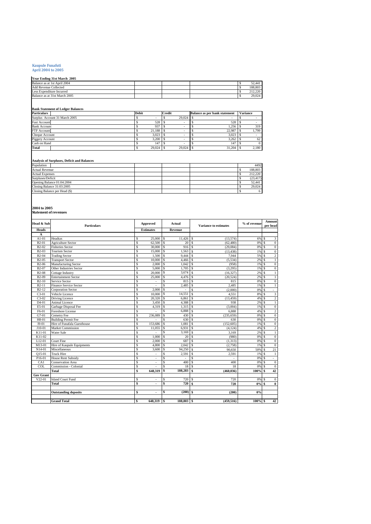# **Kaupule Funafuti April 2004 to 2005**

| Year Ending 31st March 2005   |  |  |           |
|-------------------------------|--|--|-----------|
| Balance as at 1st April 2004  |  |  | 52.441    |
| <b>Add Revenue Collected</b>  |  |  | 188,803   |
| Less Expenditure Incurred     |  |  | $21220 -$ |
| Balance as at 31st March 2005 |  |  | 29.024    |

#### **Bank Statement of Ledger Balances**

| <b>Particulars</b>            | <b>Debit</b> | <b>Credit</b> |        | <b>Balance as per bank statement</b> | <b>Variance</b> |
|-------------------------------|--------------|---------------|--------|--------------------------------------|-----------------|
| Surplus Account 31 March 2005 |              |               | 29.024 |                                      |                 |
| Fusi Account                  | 528          |               |        | 528                                  |                 |
| <b>Bank Account</b>           | 937          |               |        | 1.256                                | 319             |
| FTF Account                   | 21,188       |               |        | 22,987                               | 1,799           |
| Cheque Account                | 3.023        |               |        | 3.023                                |                 |
| Piggery Account               | 3,200        |               |        | 3.262                                | 62              |
| Cash on Hand                  | 147          |               |        | 147                                  |                 |
| Total                         | 29,024       |               | 29.024 | 31.204                               | 2,180           |

#### **Analysis of Surpluses, Deficit and Balances**

| Population                    | 4492      |
|-------------------------------|-----------|
| <b>Actual Revenue</b>         | 188,803   |
| <b>Actual Expenses</b>        | 212,220   |
| Surpluses/Deficit             | (23, 417) |
| Opening Balance 01:04:2004    | 52.441    |
| Closing Balance 31:03:2005    | 29.024    |
| Closing Balance per Head (\$) | 6         |

**2004 to 2005 Statement of revenues**

| Head & Sub         | <b>Particulars</b>            |    | Approved                 |                    | Actual                   | <b>Variance to estimates</b> | % of revenue    |                    | <b>Amount</b><br>per head |
|--------------------|-------------------------------|----|--------------------------|--------------------|--------------------------|------------------------------|-----------------|--------------------|---------------------------|
| <b>Heads</b>       |                               |    | <b>Estimates</b>         |                    | <b>Revenue</b>           |                              |                 |                    |                           |
| A                  |                               |    |                          |                    |                          |                              |                 |                    |                           |
| $A1-01$            | Headtax                       | S  | 25,000                   | s                  | $11,426$ S               | (13,574)                     | 6% \$           |                    | 3                         |
| B2-01              | <b>Agriculture Sector</b>     | Ś  | 62,500                   | \$                 | 20                       | <sup>S</sup><br>(62, 480)    | 0% \$           |                    | $\bf{0}$                  |
| $B2-02$            | <b>Fisheries Sector</b>       | Ś  | 30,000                   | s                  | 916                      | S<br>(29,084)                | 0% \$           |                    | $\mathbf{0}$              |
| $B2-03$            | <b>Tourism Sector</b>         | Ś  | 15,000                   | s                  | 1.563                    | \$.<br>(13, 438)             | $1\%$ $\bar{S}$ |                    | $\boldsymbol{0}$          |
| B <sub>2</sub> -04 | <b>Trading Sector</b>         | Ś  | 1.500                    | Ŝ                  | 9.444                    | S<br>7,944                   | 5% S            |                    | $\overline{c}$            |
| B <sub>2</sub> -05 | <b>Transport Sector</b>       | Ś  | 10,000                   | $\mathbf{s}$       | 4,466                    | S<br>(5,534)                 | $2%$ \$         |                    | 1                         |
| <b>B2-06</b>       | Manufacturing Sector          | Ś  | 2.000                    | s                  | 1.042                    | <b>S</b><br>(958)            | $1%$ \$         |                    | $\boldsymbol{0}$          |
| $B2-07$            | Other Industries Sector       | Ś  | 5.000                    | s                  | 1,705                    | S<br>(3.295)                 | $1\%$ $\bar{S}$ |                    | $\boldsymbol{0}$          |
| <b>B2-08</b>       | <b>Cottage Industry</b>       | Ś  | 20,000                   | $\mathbb S$        | 3,674                    | \$.<br>(16, 327)             | 2%              | $\mathcal{S}$      | $\mathbf{1}$              |
| B <sub>2</sub> -09 | <b>Entertainment Sector</b>   | \$ | 25,000                   | s                  | $4,476$ \$               | (20,524)                     | $2%$ \$         |                    | 1                         |
| $B2-10$            | Service Sector                | Ś  |                          | S                  | 815                      | \$.<br>815                   | 0% \$           |                    | $\overline{0}$            |
| $B2-11$            | <b>Finance Service Sector</b> | Ś  |                          | $\mathbf{\hat{S}}$ | 2,485                    | S<br>2,485                   | 1% \$           |                    | 1                         |
| $B2-12$            | <b>Corporation Sector</b>     | Ś  | 2.000                    | Ŝ                  | ÷                        | S<br>(2.000)                 | 0%              | <sup>\$</sup>      | $\overline{\phantom{a}}$  |
| $C3-01$            | Vehicle Licence               | \$ | 10,000                   | S                  | 14,551                   | S<br>4,551                   | 8% S            |                    | 3                         |
| $C3-02$            | Driving Licence               | Ś  | 20,320                   | Ŝ                  | 6,861                    | S<br>(13, 459)               | 4%              | $\mathcal{S}$      | $\overline{c}$            |
| $D4-01$            | Animal Licence                | Ś  | 3,450                    | s                  | 4,388                    | S<br>938                     | 2%S             |                    | 1                         |
| E5-01              | Garbage Disposal Fee          | Ś  | 4,319                    | \$                 | 1,315                    | S<br>(3,004)                 | 1% \$           |                    | $\boldsymbol{0}$          |
| F6-01              | <b>Foreshore License</b>      | Ś  |                          | S                  | 6,888                    | S<br>6,888                   | 4% \$           |                    | $\overline{2}$            |
| G7-01              | Cemetry Fee                   | Ś  | 236,089                  | Ŝ                  | 430                      | S<br>(235, 659)              | 0%              | <sup>\$</sup>      | $\overline{0}$            |
| H8-01              | <b>Building Permit Fee</b>    | Ś  |                          | $\mathbf{\hat{S}}$ | 630                      | S<br>630                     | 0% \$           |                    | $\boldsymbol{0}$          |
| $I9-01$            | Hire of Funafala Guesthouse   | Ś  | 153,686                  | S                  | 1,081                    | \$.<br>(152, 605)            | 1%              | $\mathcal{S}$      | $\overline{0}$            |
| $J10-01$           | <b>Market Commission</b>      | Ś  | 11,055                   | \$                 | 6,931                    | S<br>(4, 124)                | 4% \$           |                    | $\overline{c}$            |
| K11-01             | Water Sale                    | Ś  |                          | \$.                | 3,169                    | S<br>3,169                   | 2%              | <sup>\$</sup>      | $\overline{1}$            |
| K11-02             |                               | Ś  | 1,000                    | s                  | 20                       | \$.<br>(980)                 | 0% \$           |                    | $\boldsymbol{0}$          |
| L12-01             | Court Fine                    | Ś  | 2.000                    | Ŝ                  | 687                      | \$.<br>(1,313)               | 0%              | $\mathbf{\hat{s}}$ | $\boldsymbol{0}$          |
| M13-01             | Hire of Kaupule Equipments    | Ś  | 4,800                    | s                  | 2,042                    | Is<br>(2,758)                | 1% \$           |                    | $\mathbf{0}$              |
| N14-01             | Miscellaneous                 | Ś  | 3,600                    | $\mathbb S$        | 94,250                   | S<br>90,650                  | 50% \$          |                    | 21                        |
| $Q15 - 01$         | <b>Truck Hire</b>             | Ś  |                          | S                  | 2,591                    | S<br>2,591                   | $1\%$ \$        |                    | 1                         |
| P16-01             | <b>House Rent Subsidy</b>     | Ś  | $\overline{\phantom{a}}$ | \$                 | $\overline{\phantom{a}}$ | \$.<br>$\sim$                | 0%              | $\mathcal{S}$      | $\overline{\phantom{a}}$  |
| CA1                | <b>Conservation Area</b>      | \$ |                          | Ŝ                  | 400                      | S<br>400                     | 0% \$           |                    | $\mathbf{0}$              |
| COL                | Commission - Colonial         | S  |                          | S                  | 18                       | \$.<br>18                    | 0%              | -S                 | $\mathbf{0}$              |
|                    | Total                         | \$ | 648.319                  | s                  | 188,283                  | \$<br>(460, 036)             | $100\%$ \$      |                    | 42                        |
| <b>Gov Grant</b>   |                               |    |                          |                    |                          |                              |                 |                    |                           |
| $V22-01$           | <b>Island Court Fund</b>      | S  |                          | Ŝ                  | 720                      | <sup>S</sup><br>720          | 0% \$           |                    | $\mathbf{0}$              |
|                    | Total                         | \$ |                          | \$                 | 720                      | 720<br>\$                    | $0\%$ \$        |                    | $\bf{0}$                  |
|                    |                               |    |                          |                    |                          |                              |                 |                    |                           |
|                    | <b>Outstanding deposits</b>   | \$ | ٠                        | \$                 | $(200)$ \$               | (200)                        | 0%              |                    |                           |
|                    |                               |    |                          |                    |                          |                              |                 |                    |                           |
|                    | <b>Grand Total</b>            | \$ | 648.319 \$               |                    | 188,803 \$               | (459, 516)                   | 100% \$         |                    | 42                        |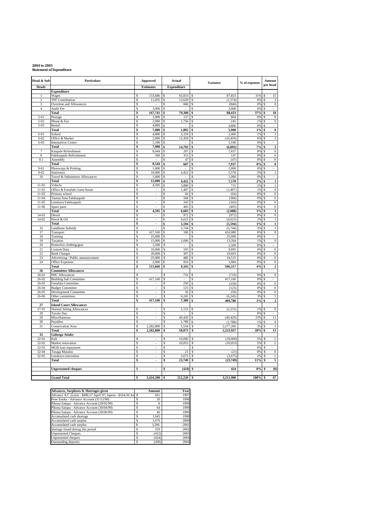## **2004 to 2005 Statement of Expenditure**

| Head & Sub         | Particulars                                              |               | <b>Approved</b>          |          | Actual<br><b>Variance</b> |                               | % of expenses |          | Amount                                   |
|--------------------|----------------------------------------------------------|---------------|--------------------------|----------|---------------------------|-------------------------------|---------------|----------|------------------------------------------|
| <b>Heads</b>       |                                                          |               | <b>Estimates</b>         |          | <b>Expenditure</b>        |                               |               |          | per head                                 |
|                    | <b>Expenditure</b>                                       |               |                          |          |                           |                               |               |          |                                          |
| $\mathbf{1}$       | Wages                                                    | \$.           | 153,686                  | S        | 65,833                    | 87.853<br>S                   | 31%           | \$       | 15                                       |
| 2<br>3             | <b>TPF Contribution</b><br>Overtime and Allowances       | \$<br>\$.     | 11,055                   | \$<br>S  | 12,629<br>846             | (1, 574)<br>\$<br>(846)<br>£. | 6%<br>0%      | \$<br>\$ | $\boldsymbol{\beta}$<br>$\boldsymbol{0}$ |
| $\overline{4}$     | Audit Fee                                                | \$            | 3,000                    | \$.      |                           | 3,000<br>S                    | 0%            | \$       |                                          |
|                    | Total                                                    | \$            | 167,741                  | \$       | 79,308                    | \$<br>88,433                  | 37%           | \$       | 18                                       |
| $5 - 01$           | Postage                                                  | \$            | 1,000                    | \$       | 137                       | S<br>864                      | 0%            | \$       | $\overline{0}$                           |
| $5 - 02$           | Phone & Fax                                              | \$            | 2,000                    | \$       | 1,756                     | 245<br>S                      | 1%            | \$       | $\boldsymbol{0}$                         |
| $5 - 03$           | Rental                                                   | \$            | 4,800                    | \$       | $\sim$                    | 4,800<br>S<br>\$              | 0%            | \$       |                                          |
| $6 - 01$           | Total<br>School                                          | \$<br>\$      | 7,800<br>4,800           | \$<br>\$ | 1,892<br>2,334            | 5,908<br>2,466<br>S           | $1\%$<br>1%   | \$<br>\$ | $\pmb{0}$<br>$\,1$                       |
| $6 - 02$           | Office & Market                                          | \$            | 2,000                    | \$       | 12,459                    | (10, 459)<br>S                | 6%            | \$       | 3                                        |
| $6 - 03$           | <b>Interpretive Centre</b>                               | \$            | 1,100                    | \$       | $\sim$                    | 1,100<br>S                    | 0%            | \$       | ÷.                                       |
|                    | Total                                                    | \$            | 7,900                    | \$       | 14,793                    | \$<br>(6, 893)                | 7%            | \$       | 3                                        |
| 7                  | Kaupule Refreshment                                      | <sup>\$</sup> | 8,044                    | \$.      | 207                       | 7,837<br>\$.                  | 0%            | \$       | $\boldsymbol{0}$                         |
| 8                  | Falekaupule Refreshment                                  | \$            | 500                      | \$       | 353                       | S<br>147                      | 0%            | \$       | $\boldsymbol{0}$                         |
| 8.1                | Assembly<br>Total                                        | \$<br>\$      | 8,544                    | \$<br>\$ | 47<br>607                 | s<br>(47)<br>7,937<br>\$      | 0%<br>0%      | s<br>\$  | $\overline{0}$<br>$\pmb{0}$              |
| $9 - 01$           | Photocopy & Printing                                     | \$            | 1,000                    | \$       |                           | 1,000<br>S                    | 0%            | \$       |                                          |
| $9 - 02$           | Stationery                                               | \$            | 10,000                   | \$       | 4,422                     | 5,578                         | 2%            | \$       | $\,1\,$                                  |
| 10                 | Travel & Subsistence Allowances                          | \$            | 1,000                    | \$       |                           | 1,000<br>Ś                    | 0%            | \$       |                                          |
|                    | Total                                                    | \$            | 12,000                   | \$       | 4,422                     | \$<br>7,578                   | 2%            | \$       | $\overline{\mathbf{1}}$                  |
| $11-01$            | Vehicle                                                  | \$            | 4,595                    | \$       | 3,880                     | 715<br>\$                     | 2%            | \$       | $\overline{1}$                           |
| $11-02$<br>$11-03$ | Office & Funafale Guest house                            | \$<br>\$      | $\sim$<br>$\mathbf{r}$   | \$<br>S  | 1,407                     | (1, 407)<br>\$<br>£.          | 1%<br>0%      | \$<br>\$ | $\boldsymbol{0}$<br>$\overline{0}$       |
| $11 - 04$          | Primary school<br>Tausoa lima Falekaupule                | \$            | ÷,                       | \$       | 64<br>584                 | (64)<br>S<br>(584)            | 0%            | \$       | $\boldsymbol{0}$                         |
| $11-05$            | Lotokava Falekaupule                                     | \$            | L.                       | \$       | 343                       | S<br>(343)                    | 0%            | \$       | $\overline{0}$                           |
| $11 - 06$          | Spare parts                                              | \$            |                          | \$       | 405                       | (405)<br>S                    | 0%            | \$       | $\overline{0}$                           |
|                    | Total                                                    | \$            | 4,595                    | \$       | 6,683                     | (2,088)<br>\$                 | 3%            | \$       | $\mathbf 1$                              |
| $14 - 01$          | Diesel                                                   | \$            |                          | Ś        | 972                       | (972)<br>S                    | 0%            | \$       | $\boldsymbol{0}$                         |
| 14-02              | Petrol & Oil                                             | \$            |                          | \$       | 4,623                     | Ś<br>(4,623)                  | 2%            | \$       | $\,1$                                    |
| $\overline{16}$    | Total<br>Landlease Subsidy                               | \$<br>\$      | ÷,                       | \$<br>\$ | 5,594<br>5,744            | \$<br>(5, 594)<br>S           | 3%<br>3%      | \$<br>\$ | $\mathbf 1$<br>$\,1$                     |
| 17                 | Transport                                                | \$            | 417,160                  | \$       | 180                       | (5,744)<br>416,980<br>S       | 0%            | \$       | $\overline{0}$                           |
| 18                 | Training                                                 | \$            | 25,000                   | S        | $\sim$                    | 25,000<br>S                   | 0%            | \$       | $\equiv$                                 |
| 19                 | Taxation                                                 | \$            | 15,000                   | \$.      | 1,606                     | 13,394<br>\$.                 | 1%            | \$       | $\boldsymbol{0}$                         |
| 20                 | Protective clothing/gear                                 | \$            | 1,500                    | \$       |                           | \$<br>1,500                   | 0%            | \$       |                                          |
| 21                 | <b>Custom Duty</b>                                       | \$            | 10,000                   | \$       | 105                       | s<br>9,895                    | 0%            | s        | $\overline{0}$                           |
| 22<br>23           | <b>Bank Charges</b><br>Advertising / Public announcement | \$<br>\$      | 20,000<br>25,000         | \$<br>\$ | 307<br>486                | s<br>19,693<br>24.515<br>S    | 0%<br>0%      | \$<br>\$ | $\boldsymbol{0}$<br>$\overline{0}$       |
| 24                 | Office Expenses                                          | \$            | 2,000                    | Ś        | 916                       | Ś<br>1,084                    | 0%            | \$       | $\boldsymbol{0}$                         |
|                    | Total                                                    | \$            | 515,660                  | Ś        | 9,343                     | \$<br>506,317                 | 4%            | \$       | $\overline{\mathbf{c}}$                  |
| 26                 | <b>Committee Allowances</b>                              |               |                          |          |                           |                               |               |          |                                          |
| 26-01              | PHC Allowances                                           | \$            | $\sim$                   | S        | 710                       | (710)<br>S                    | 0%            | £.       | $\boldsymbol{0}$                         |
| $26 - 02$          | <b>Building Sub Committee</b>                            | \$            | 417,160                  | \$       | $\mathbb{Z}^{\mathbb{Z}}$ | 417,160<br>S                  | 0%            | \$       | $\omega_{\rm c}$                         |
| 26-03<br>$26 - 04$ | Funafala Committee                                       | \$<br>\$      |                          | S<br>Ś   | 250<br>125                | S<br>(250)<br>S<br>(125)      | 0%<br>0%      | \$<br>\$ | $\overline{0}$<br>$\overline{0}$         |
| $26-05$            | <b>Budget Committee</b><br>Development Committee         | \$            | L.                       | \$       | 50                        | s<br>(50)                     | 0%            | \$       | $\overline{0}$                           |
| $26 - 06$          | Other committees                                         | \$            |                          | \$       | 6,245                     | S<br>(6, 245)                 | 3%            | \$       | $\overline{1}$                           |
|                    | Total                                                    | \$            | 417,160                  | \$       | 7,380                     | 409,780<br>\$                 | 3%            | \$       | $\overline{\mathbf{c}}$                  |
| 27                 | <b>Island Court Allowances</b>                           |               |                          |          |                           |                               |               |          |                                          |
| $27 - 01$          | <b>Normal Sitting Allowances</b>                         | \$            |                          | Ś        | 2,131                     | (2, 131)<br>S                 | 1%            |          | $\boldsymbol{0}$                         |
| $\sqrt{28}$<br>29  | Tuvalu Day                                               | \$<br>\$      | $\blacksquare$           | \$<br>\$ |                           | Ś<br>(49, 420)<br>S           | 0%<br>23%     | \$<br>\$ | 11                                       |
| 30                 | Miscellaneous<br>Payables                                | \$            | ÷,                       | \$       | 49,420<br>1,788           | s<br>(1,788)                  | 1%            | \$       | $\mathbf{0}$                             |
| 31                 | <b>Conservation Area</b>                                 | \$            | 2,282,800                | \$       | 5,534                     | 2,277,266<br>\$               | 3%            | S        | $\mathbf{1}$                             |
|                    | Total                                                    | \$            | 2,282,800                | \$       | 58,873                    | \$<br>2,223,927               | 28%           | \$       | 13                                       |
| 32                 | <b>Galuega Atiake</b>                                    |               |                          |          |                           |                               |               |          |                                          |
| $32 - 01$          | Kuli                                                     | Ś             |                          | Ś        | 10,000                    | (10,000)<br>Ś                 | 5%            | S        | $\overline{c}$                           |
| 32-02<br>$32 - 03$ | Market renovation                                        | \$<br>Ś       | ÷.                       | \$<br>Ś  | 10,053                    | \$<br>(10,053)<br>S           | 5%<br>0%      | \$<br>\$ | $\overline{\mathbf{c}}$                  |
| $32 - 04$          | MGB loan repayment<br>Tusaga Mataniu                     | \$            |                          | \$       | 21                        | (21)<br>\$                    | 0%            | \$       | $\boldsymbol{0}$                         |
| $32 - 05$          | Lotokava renovation                                      | \$            |                          | Ś        | 3,675                     | \$<br>(3,675)                 | 2%            | \$       | $\,$ 1 $\,$                              |
|                    | Total                                                    | \$            | $\overline{\phantom{a}}$ | \$       | 23,749                    | (23,749)<br>\$                | 11%           | \$       | 5                                        |
|                    |                                                          |               |                          |          |                           |                               |               |          |                                          |
|                    | <b>Unpresented cheques</b>                               | S             | ÷                        | \$       | (424)                     | 424<br>\$                     | 0%            | \$       | (0)                                      |
|                    |                                                          |               |                          |          |                           |                               |               |          |                                          |
|                    | <b>Grand Total</b>                                       |               | 3,424,200                | \$       | 212,220                   | 3.211.980<br>\$               | 100%          | S        | 47                                       |

| Advances, Surpluses & Shortages given                            |   | Amount | Year |
|------------------------------------------------------------------|---|--------|------|
| Advance A/C (Loise - \$496.57 April '97, Iapesa - \$164.50 Au \$ |   | 661    | 1997 |
| Pene Enoka - Advance Account (31/12/98)                          | S | 20     | 1998 |
| Pikona Satupa - Advance Account (29/02/99)                       | S | 8      | 1999 |
| Pikona Satupa - Advance Account (30/04/99)                       | S | 64     | 1999 |
| Pikona Satupa - Advance Account (30/06/99)                       | S | 46     | 1999 |
| Accumulated cash shortage                                        | S | 1.645  | 1998 |
| Accumulated cash surplus                                         | S | 1.679  | 2000 |
| Accumulated cash surplus                                         | S | 3.296  | 2001 |
| shortage found duirng this period                                | S | 329    | 2002 |
| <b>Unpresented Cheques</b>                                       | S | (412)  | 2003 |
| Unpresented cheques                                              | S | (424)  | 2004 |
| Outstanding deposits                                             | S | (200)  | 2004 |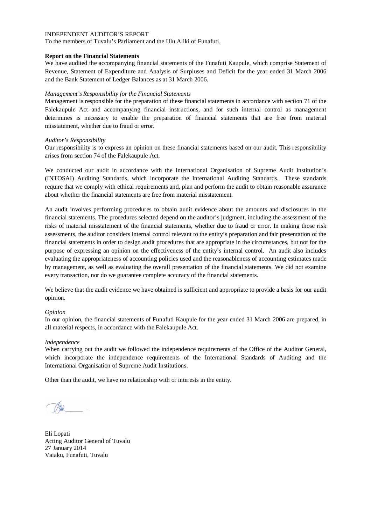To the members of Tuvalu's Parliament and the Ulu Aliki of Funafuti,

## **Report on the Financial Statements**

We have audited the accompanying financial statements of the Funafuti Kaupule, which comprise Statement of Revenue, Statement of Expenditure and Analysis of Surpluses and Deficit for the year ended 31 March 2006 and the Bank Statement of Ledger Balances as at 31 March 2006.

## *Management's Responsibility for the Financial Statements*

Management is responsible for the preparation of these financial statements in accordance with section 71 of the Falekaupule Act and accompanying financial instructions, and for such internal control as management determines is necessary to enable the preparation of financial statements that are free from material misstatement, whether due to fraud or error.

## *Auditor's Responsibility*

Our responsibility is to express an opinion on these financial statements based on our audit. This responsibility arises from section 74 of the Falekaupule Act.

We conducted our audit in accordance with the International Organisation of Supreme Audit Institution's (INTOSAI) Auditing Standards, which incorporate the International Auditing Standards. These standards require that we comply with ethical requirements and, plan and perform the audit to obtain reasonable assurance about whether the financial statements are free from material misstatement.

An audit involves performing procedures to obtain audit evidence about the amounts and disclosures in the financial statements. The procedures selected depend on the auditor's judgment, including the assessment of the risks of material misstatement of the financial statements, whether due to fraud or error. In making those risk assessments, the auditor considers internal control relevant to the entity's preparation and fair presentation of the financial statements in order to design audit procedures that are appropriate in the circumstances, but not for the purpose of expressing an opinion on the effectiveness of the entity's internal control. An audit also includes evaluating the appropriateness of accounting policies used and the reasonableness of accounting estimates made by management, as well as evaluating the overall presentation of the financial statements. We did not examine every transaction, nor do we guarantee complete accuracy of the financial statements.

We believe that the audit evidence we have obtained is sufficient and appropriate to provide a basis for our audit opinion.

### *Opinion*

In our opinion, the financial statements of Funafuti Kaupule for the year ended 31 March 2006 are prepared, in all material respects, in accordance with the Falekaupule Act.

### *Independence*

When carrying out the audit we followed the independence requirements of the Office of the Auditor General, which incorporate the independence requirements of the International Standards of Auditing and the International Organisation of Supreme Audit Institutions.

Eli Lopati Acting Auditor General of Tuvalu 27 January 2014 Vaiaku, Funafuti, Tuvalu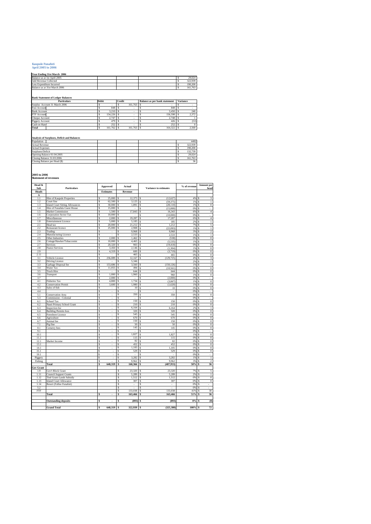#### **Kaupule Funafuti April 2005 to 2006**

#### **Year Ending 31st March 2006**

| Balance as at 1st April 2005  |  |  | 29.024  |
|-------------------------------|--|--|---------|
| Add Revenue Collected         |  |  | 322.939 |
| Less Expenditure Incurred     |  |  | 190.200 |
| Balance as at 31st March 2006 |  |  | 161.763 |
|                               |  |  |         |

#### **Bank Statement of Ledger Balances**

| <b>Particulars</b>            | Debit |         | Credit |         | <b>Balance as per bank statement</b> | <b>Variance</b> |       |
|-------------------------------|-------|---------|--------|---------|--------------------------------------|-----------------|-------|
| Surplus Account 31 March 2006 |       |         |        | 161.763 |                                      |                 |       |
| Fusi Account                  |       | 848     |        |         | 848                                  |                 |       |
| <b>Bank Account</b>           |       | 3.210   |        |         | 3.450                                |                 | 240   |
| FTF Account                   |       | 154.226 |        |         | 156,598                              |                 | 2.372 |
| Cheque Account                |       | 2.747   |        |         | 2.748                                |                 |       |
| Piggery Account               |       | 479     |        |         | 426                                  |                 | (53)  |
| Cash on Hand                  |       | 252     |        |         | 252                                  |                 |       |
| Total                         |       | 161.762 |        | 161.763 | 164.322                              |                 | 2,560 |
|                               |       |         |        |         |                                      |                 |       |

#### **Analysis of Surpluses, Deficit and Balances**

| Population             |                               |  |  | 4492    |
|------------------------|-------------------------------|--|--|---------|
| <b>Actual Revenue</b>  |                               |  |  | 322.939 |
| <b>Actual Expenses</b> |                               |  |  | 190.200 |
| Surpluses/Deficit      |                               |  |  | 132,739 |
|                        | Opening Balance 01:04:2005    |  |  | 29.024  |
|                        | Closing Balance 31:03:2006    |  |  | 161.763 |
|                        | Closing Balance per Head (\$) |  |  | 36      |
|                        |                               |  |  |         |

**2005 to 2006 Statement of revenues**

| Head &<br>Sub           | <b>Particulars</b>                            |          | <b>Approved</b>          |          | Actual         |          | % of revenue<br><b>Variance to estimates</b> |           |        | Amount per<br>head               |
|-------------------------|-----------------------------------------------|----------|--------------------------|----------|----------------|----------|----------------------------------------------|-----------|--------|----------------------------------|
| <b>Heads</b>            |                                               |          | <b>Estimates</b>         |          | Revenue        |          |                                              |           |        |                                  |
| A                       |                                               |          |                          |          |                |          |                                              |           |        |                                  |
| 1.1                     | Hire of Kaupule Properties                    | Ś        | 25,000                   | Ŝ        | 12.373         | s        | (12.627)                                     | 4%        | Ś      | 3                                |
| 1.2                     | Court fine                                    | \$       | 62,500                   | \$       | 3,125          | \$       | (59, 375)                                    | 1%        | \$     | $\overline{1}$                   |
| 1.3                     | <b>Island Court Sitting Allowances</b>        | \$       | 30,000                   | \$       | 1,891          | Ś        | (28, 110)                                    | 1%        | Ś      | $\boldsymbol{0}$                 |
| 1.4                     | Hire of Funafala Guest House                  | \$       | 15,000                   | \$       |                | \$       | (15,000)                                     | 0%        | Ŝ      | ÷,                               |
| 1.5                     | Market Commission                             | \$       | 1,500                    | \$       | 17,843         | \$       | 16,343                                       | 6%        | \$     | $\overline{4}$                   |
| 1.6                     | <b>Corporation Sector Tax</b>                 | \$       | 10,000                   | \$       | 19.287         | \$       | (10,000)                                     | 0%        | s      | ä,                               |
| 1.7                     | Miscellaneous<br><b>Entertainment Licence</b> | \$<br>\$ | 2,000<br>5,000           | \$<br>\$ | 5,185          | \$<br>\$ | 17.287<br>185                                | 6%        | Ś<br>Ś | $\sqrt{4}$<br>$\,1\,$            |
| 1.8<br>$\overline{2.1}$ | Head tax                                      | \$       | 20,000                   | \$       | 21,212         | \$       | 1,212                                        | 2%<br>7%  | Ś      | 5                                |
| 2.2                     | Restaurant licence                            | \$       | 25,000                   | \$       | 2.908          | \$       | (22,093)                                     | 1%        | Ŝ      | $\overline{1}$                   |
| 2.3                     | Trading                                       | \$       | ×.                       | \$       | 9.968          | Ś        | 9.968                                        | 3%        | Ŝ      | $\overline{2}$                   |
| 2.4                     | Manufacturing Licence                         | \$       | L                        | \$       | 2,533          | \$       | 2,533                                        | 1%        | \$     | $\overline{1}$                   |
| 2.5                     | Other Industries                              | \$       | 2,000                    | \$       | 1,462          | \$       | (538)                                        | 0%        | Ś      | $\overline{0}$                   |
| 2.6                     | Cottage/Hawker/Tobacconist                    | \$       | 10,000                   | \$       | 4,465          | \$       | (5, 535)                                     | 1%        | Ś      | $\overline{1}$                   |
| 2.7                     | Services                                      | \$       | 20,320                   | \$       | 903            | \$       | (19, 418)                                    | 0%        | \$     | $\overline{0}$                   |
| 2.8                     | <b>Fiance Services</b>                        | Ś        | 3.450                    | \$       | 2,146          | Ś        | (1.304)                                      | 1%        | Ś      | $\overline{0}$                   |
| 2.9                     |                                               | \$       | 4,319                    | \$       | 600            | \$       | (3,719)                                      | 0%        | Ś      | $\,0\,$                          |
| 2.11                    |                                               | \$       | í,                       | \$       | 465            | \$       | 465                                          | 0%        | \$     | $\overline{0}$                   |
| 3.1                     | Vehicle Licence                               | \$       | 236,089                  | \$       | 12.167         | \$       | (129, 725)                                   | 4%        | Ś      | 3                                |
| 3.2                     | <b>Driving Licence</b>                        | \$       | ×,                       | \$       | 5,346          |          |                                              | 2%        | Ś      | $\overline{1}$                   |
| 3.3                     | Garbage Disposal fee                          | \$       | 153,686                  | \$       | 3,560          | \$       | (150, 126)                                   | 1%        | \$     | $\overline{1}$                   |
| 3.4                     | Water Tax                                     | \$       | 11,055                   | Ś        | 494            | \$       | (10, 561)                                    | 0%        | \$     | $\overline{0}$                   |
| 3.5                     | <b>Truck Hire</b>                             | \$       | ×,                       | \$       | 644            | \$       | 644                                          | 0%        | \$     | $\overline{0}$                   |
| 3.6                     | Transport                                     | \$       | 1,000                    | \$       | 1,960          | \$       | 960                                          | 1%        | \$     | $\overline{0}$                   |
| 3.7                     |                                               | \$       | 2,000                    | \$       | í,             | \$       | (2,000)                                      | 0%        | Ś      | ÷.                               |
| 4.1                     | <b>Fisheries Tax</b>                          | \$       | 4,800                    | \$       | 1,734          | \$       | (3,067)                                      | 1%        | Ś      | $\overline{0}$                   |
| 4.2                     | <b>Conservation Permit</b>                    | \$       | 3,600                    | \$       | 1,980          | \$       | (1,620)                                      | 1%        | \$     | $\overline{0}$                   |
| 4.3                     | Sales of fish                                 | \$       | ×                        | \$       | 10             | \$       | 10                                           | 0%        | Ŝ      | $\overline{0}$                   |
| 4.4                     |                                               | Ś        | ä,                       | \$       | J.             | \$       | L.                                           | 0%        | Ś      | ä,                               |
| 5.1                     | Conservation Area                             | \$       | ÷,                       | \$       | 350            | \$       | 350                                          | 0%        | \$     | $\overline{0}$                   |
| 5.3                     | Commission - Colonial                         | \$       | à.                       | Ś        | ×.             | Ś        | ÷.                                           | 0%        | Ś      | ä,                               |
| 6.1                     | <b>School Tax</b>                             | \$       | ÷.                       | Ś        | 150            | Ś        | 150                                          | 0%        | Ś      | $\overline{0}$                   |
| 6.2                     | Nauti Primary School Grant                    | \$       | ÷,                       | \$       | 210            | Ś        | 210                                          | 0%        | Ś      | $\overline{0}$                   |
| 6.3                     | Inspection fee                                | \$       | ä,                       | Ś        | 6,164          | Ś        | 6,164                                        | 2%        | Ś      | $\,1$                            |
| 6.4                     | <b>Building Permits fees</b>                  | \$       | ÷,                       | \$       | 320            | \$       | 320                                          | 0%        | Ś      | $\overline{0}$                   |
| 6.5                     | Foreshore Licence                             | \$       | ÷                        | \$       | 545            | \$       | 545                                          | 0%        | \$     | $\overline{0}$                   |
| 6.6                     | Agriculture                                   | Ś        | ä,                       | \$       | 670            | Ŝ        | 670                                          | 0%        | Ś      | $\boldsymbol{0}$                 |
| 6.7                     | Animal fee                                    | \$       | L                        | \$       | 150            | \$       | 150                                          | 0%        | Ś      | $\overline{0}$                   |
| 7.1                     | Pig fine                                      | Ś        | ×                        | Ś        | 50             | Ś        | 50                                           | 0%        | Ś      | $\mathbf{0}$                     |
| 8.1                     | Cemetry fees                                  | \$       | ÷,                       | \$       | 145            | \$       | 145                                          | 0%        | Ś      | $\overline{0}$                   |
| 9.1                     |                                               | \$       | $\sim$                   | \$       | ×.             | \$       | ÷                                            | 0%        | \$     | ÷.                               |
| 10.1                    |                                               | \$       | à.                       | \$       | 1,827          | Ś        | 1.827                                        | 1%        | Ś      | $\,0\,$                          |
| 11.1                    |                                               | \$       | J.                       | \$       | 115            | \$       | 115                                          | 0%        | \$     | $\boldsymbol{0}$                 |
| 12.1                    | Market Income                                 | \$       |                          | Ś        | 82             | Ś        | 82                                           | 0%        | Ś      | $\overline{0}$                   |
| 13.1                    |                                               | \$       | $\overline{\phantom{a}}$ | \$       | 452            | \$       | 452                                          | 0%        | s      | $\overline{0}$                   |
| 14.1                    |                                               | \$       | ÷.                       | \$       | 1,105          | Ś        | 1,105                                        | 0%        | Ś      | $\,0\,$                          |
| 15.1                    |                                               | \$       | J.                       | \$       | 529            | \$       | 529                                          | 0%        | Ŝ      | $\boldsymbol{0}$                 |
| 19.1                    |                                               | \$       |                          | \$       |                | \$       | 3.282                                        | 0%        | Ś      |                                  |
| Piggery                 |                                               | \$<br>\$ | ł.                       | \$<br>\$ | 3,282<br>9.962 | \$       | 9,962                                        | 1%<br>3%  | Ś<br>Ś | $\overline{1}$<br>$\overline{2}$ |
| Fishing                 | Total                                         | \$       | 648.319                  | Ś        | 160,366        | \$<br>Ś  | (487, 953)                                   | 50%       | Ś      | 36                               |
| Gov Grant               |                                               |          |                          |          |                |          |                                              |           |        |                                  |
| 1.9                     | Gov't Block Grant                             |          |                          | \$       | 23,320         | \$       | 23,320                                       | 7%        | Ŝ      | 5                                |
| 1.11                    | <b>Council Support Grants</b>                 |          |                          | S        | 5,289          | \$       | 5,289                                        | 2%        | S      | $\overline{1}$                   |
| 1.12                    | <b>Tied Grant-Lands Subsidy</b>               |          |                          | \$       | 1,512          | \$       | 1.512                                        | 0%        | Ś      | $\boldsymbol{0}$                 |
| 1.13                    | <b>Island Court Allowance</b>                 |          |                          | \$       | 307            | \$       | 307                                          | 0%        | s      | $\overline{0}$                   |
| 1.14                    | Resort (Fafine Funafuti)                      |          |                          | Ŝ        | ÷.             | s        | ÷.                                           | 0%        | Ŝ      | ä,                               |
| 5.2                     |                                               |          |                          | S        |                | s        |                                              | 0%        | Ś      | L                                |
| FTF                     |                                               |          |                          | S        | 133,038        | s        | 133,038                                      | 41%       | Ś      | 30                               |
|                         | Total                                         | \$       | $\overline{\phantom{a}}$ | \$       | 163,466        | \$       | 163,466                                      | 51%       | Ś      | 36                               |
|                         |                                               |          |                          |          |                |          |                                              |           |        |                                  |
|                         | <b>Outstanding deposits</b>                   | \$       | $\overline{\phantom{a}}$ | \$       | (893)          | \$       | (893)                                        | 0%        | ¢      | (0)                              |
|                         |                                               |          |                          |          |                |          |                                              |           |        |                                  |
|                         | <b>Grand Total</b>                            | ŝ        | 648,319                  | s        | 322,939 \$     |          | (325, 380)                                   | $100\%$ S |        | 72                               |
|                         |                                               |          |                          |          |                |          |                                              |           |        |                                  |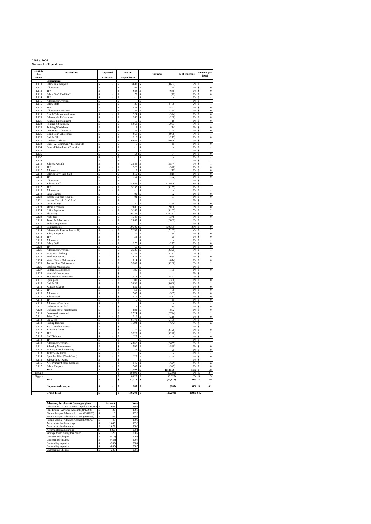#### **2005 to 2006 Statement of Expenditure**

| Head &<br>Sub         | <b>Particulars</b>                                        | Approved           | Actual                       | Variance                                   | % of expenses | <b>Amount per</b>                                        |
|-----------------------|-----------------------------------------------------------|--------------------|------------------------------|--------------------------------------------|---------------|----------------------------------------------------------|
| <b>Heads</b>          |                                                           | Estimates          | <b>Expenditure</b>           |                                            |               | head                                                     |
| 1.110                 | <b>Expenditure</b><br>Salary Pule Kaupule                 |                    | 3,632                        | (3.632)<br>s                               | 2%            | <sup>\$</sup><br>1                                       |
| 1.111                 | Allowances                                                | Ŝ                  | 64<br>l S                    | l s<br>(64)                                | 0% \$         | $\overline{0}$                                           |
| 1.112                 | TPF                                                       | s                  | Ś<br>658                     | l \$<br>(658)                              | 0%            | $\Omega$<br><sup>s</sup>                                 |
| 1.113<br>1.114        | Salary Gov't Paid Staff<br>TPF                            | \$<br>\$<br>ä,     | s<br>72<br>Ś<br>ä,           | s<br>(72)<br><b>s</b>                      | 0%<br>0%      | -S<br>$\boldsymbol{0}$<br><sup>s</sup><br>÷.             |
| 1.115                 | Allowances/Overtime                                       | <b>s</b>           | Ś<br>J.                      | <b>s</b>                                   | 0%            | s                                                        |
| 1.116                 | Salary Staff                                              | \$<br>ä,           | \$<br>4 4 3 6 5              | (4.436)                                    | 2%            | <b>s</b><br>$\mathbf{1}$                                 |
| 1.117<br>1.118        | TPF<br>Allowances/Overtime                                | \$<br>Ś<br>÷       | \$<br>821<br>254<br>s        | (821)<br>\$<br>(254)<br>s                  | 0%<br>$0\%$   | $\boldsymbol{0}$<br>\$<br>$\,0\,$<br>S                   |
| 1.119                 | Post & Telecommunication                                  | \$                 | s<br>924                     | (924)<br>l \$                              | 0%            | $\overline{0}$<br>s                                      |
| 1.120                 | Falekaupule Refreshment                                   | Ŝ<br>ł             | Ś<br>288                     | ls<br>(288)                                | 0%            | $\overline{s}$<br>$\overline{0}$                         |
| 1.121<br>1.122        | Kaupule Entertainment<br>Printing & Stationery            | \$<br>\$<br>i,     | \$<br>16<br>Ś<br>5,063 \$    | \$<br>(16)<br>(5,063)                      | 0%<br>3%      | $\overline{0}$<br>\$<br>Ś<br>$\,$ $\,$                   |
| 1.123                 | Training/Workshops                                        | \$<br>×,           | 14<br>Ŝ                      | (14)<br>s                                  | 0%            | $\overline{0}$<br>Ŝ                                      |
| 1.124                 | <b>Committee Allowances</b>                               | \$<br>×,           | \$<br>$225$ \ $\sqrt{S}$     | (225)                                      | 0%            | s<br>$\overline{0}$                                      |
| 1.125<br>1.126        | <b>Island Court Allowances</b><br>Fuel & Oil              | \$<br>Ś            | 4,958<br>\$<br>213<br>s      | (4,958)<br>s<br>(213)<br>l \$              | 3%<br>0% S    | $\,1$<br>\$<br>$\mathbf{0}$                              |
| 1.127                 | Landlease subsidy                                         | Ŝ                  | 6,026<br>Ŝ                   | (6.026)<br>١s                              | 3%            | s<br>$\mathbf{1}$                                        |
| 1.132                 | Grant- All Community Falekaupule                          | Ś                  | $\overline{\mathbf{5}}$<br>s | l S<br>(5)                                 | 0% \$         | $\overline{0}$                                           |
| 1.134<br>1.135        | General Refreshment Provision                             | Ŝ<br>Ŝ             | Ŝ<br>Ś                       | <sub>S</sub><br>s                          | 0%<br>0%      | <sup>\$</sup><br>Ś                                       |
| 1.136                 |                                                           | Ŝ<br>ä,            | 54<br>Ś                      | (54)<br>\$                                 | 0%            | $\boldsymbol{0}$<br>s                                    |
| 1.137                 |                                                           | \$                 | Ś                            | s                                          | 0%            | s<br>÷.                                                  |
| 1.139<br>2.110        | Salaries Kaupule                                          | \$<br>ä,<br>Ŝ      | \$<br>÷.<br>Ś<br>2.844       | s<br>à.<br>(2.844)<br>s                    | 0%<br>1%      | <sup>s</sup><br>÷.<br>$\mathbf{1}$<br>Ś                  |
| 2.111                 | TPF                                                       | Ś<br>÷,            | 528<br>s                     | (528)<br>Ŝ                                 | $0\%$         | \$<br>$\,0\,$                                            |
| 2.112                 | Allowance                                                 | \$                 | s<br>12                      | (12)<br>s                                  | 0%            | Ś<br>$\overline{0}$                                      |
| 2.113<br>2.114        | Salaries Gov't Paid Staff<br>TPF                          | Ŝ<br>ł<br>\$       | Ś<br>819<br>Ś<br>152         | $\overline{s}$<br>(819)<br>(152)<br>s      | 0%<br>0%      | $\overline{s}$<br>$\overline{0}$<br>\$<br>$\overline{0}$ |
| 2.115                 | Allowances                                                | \$                 | Ś                            | Ś                                          | 0%            | Ś                                                        |
| 2.116                 | Salaries Staff                                            | \$                 | 14,946<br>Ś                  | (14, 946)<br>Ś                             | 8%            | 3<br>Ś                                                   |
| 2.117                 | TPF                                                       | \$<br>×,           | \$<br>3,155<br>\$            | (3, 155)<br>s<br>s                         | 2%<br>0%      | s<br>$\overline{1}$<br>\$                                |
| 2.118<br>2.119        | Allowances<br><b>Bank Charges</b>                         | \$<br>ł,<br>s<br>× | 92<br>Ŝ                      | (92)<br>١s                                 | 0% S          | $\mathbf{0}$                                             |
| $\frac{2.120}{2.121}$ | Income Tax paid Kaupule                                   | s                  | $\boldsymbol{91}$<br>\$      | (91)<br>Ŝ                                  | 0%            | $\,0\,$<br>Ŝ                                             |
|                       | Income Tax paid Gov't Staff                               | s                  | s<br>150                     | \$<br>(150)                                | 0% S<br>0%    | $\overline{0}$                                           |
| $\frac{2.122}{2.122}$ | <b>Custom Duty</b><br>Media Expenses                      | s<br>Ś             | Ŝ<br>Ś<br>2.086              | s.<br>s,<br>(2.086)                        | 1%            | s<br>$\Omega$<br>Ś                                       |
| 2.124                 | Office Equipment                                          | \$<br>í,           | Ś<br>9.169                   | Ś<br>(9.169)                               | 5%            | Ś<br>$\mathfrak{D}$                                      |
| 2.125                 | Electricity                                               | s                  | Ś<br>16.787 \$               | (16.787)                                   | 9%            | Ś<br>$\overline{4}$                                      |
| 2.129<br>3 1 1 0      | Audit fees<br>Travel & Subsistence                        | \$<br>ä,<br>Ŝ      | \$<br>1.348<br>\$<br>2,832   | <b>s</b><br>(1.348)<br><b>s</b><br>(2.832) | 1%<br>1%      | <b>S</b><br>$\Omega$<br>Ś<br>$\mathbf{1}$                |
| 3.111                 | <b>Budget Preparation</b>                                 | \$<br>ä,           | \$                           | Ŝ                                          | 0%            | S<br>ä,                                                  |
| 3.113                 | Contingencies                                             | Ś                  | 39,309<br>Ś                  | (39, 309)<br>\$                            | 21%           | 9<br>Ś                                                   |
| 3.114                 | Falekaupule Reserve Fund(s.70)                            | Ŝ<br>ł             | \$<br>7,133<br>Ś<br>30       | <b>S</b><br>(7, 133)<br>s                  | 4%            | $\overline{s}$<br>$\overline{2}$<br>Ś                    |
| 3.115<br>3.116        | Salary Kaupule<br>TPF                                     | \$<br>Ŝ            | Ś<br>25                      | (30)<br>Ś<br>(25)                          | 0%<br>0%      | $\overline{0}$<br>$\overline{0}$<br>Ś                    |
| 3.118                 | Allowance                                                 | \$                 | Ś                            | Ś                                          | 0%            | Ś                                                        |
| 3.119                 | Salary Staff<br>TPF                                       | \$<br>×,           | \$<br>275S                   | (275)                                      | 0% S<br>0%    | $\overline{0}$                                           |
| 3.120<br>3.121        | Allowances/Overtime                                       | \$<br>ł,<br>\$     | 60<br>\$<br>2.325 S<br>Ŝ     | (60)<br><sub>S</sub><br>(2.325)            | 1%            | $\overline{0}$<br>\$<br>$\mathbf{1}$<br>-S               |
| 3.122                 | Protective Clothing                                       | Ŝ                  | 4.187<br>Ŝ                   | <sub>S</sub><br>(4.187)                    | 2%            | $\mathbf{1}$<br>s                                        |
| 3.123                 | Road Maintenance                                          | Ŝ                  | 635<br>s                     | (635)<br><sub>S</sub>                      | 0% S          | $\mathbf{0}$                                             |
| 3.124<br>3.125        | Water Cistern Maintenance<br>Tausoa Lima Maintenance      | Ŝ<br>Ŝ             | Ś<br>814<br>s<br>5.200       | \$<br>(814)<br>(5.200)<br>l S              | 0%<br>3%      | $\overline{0}$<br>Ŝ<br>$\overline{s}$<br>$\,1$           |
| 3.126                 | Lotokava Maintenance                                      | Ś                  | Ś                            | ¢                                          | 0%            | Ś                                                        |
| 3 1 2 7               | <b>Building Maintenance</b>                               | Ŝ                  | Ŝ<br>185                     | Ś<br>(185)                                 | 0%            | $\boldsymbol{0}$<br>Ś                                    |
| 3.128<br>4 1 1 0      | Vehicle Maintenance<br>Motorcycle Maintenance             | \$<br>ä,<br>\$     | \$<br>ä,<br>\$<br>2.472      | \$<br><b>s</b><br>(2.472)                  | 0%<br>1%      | <b>S</b><br>÷.<br>Ś<br>$\mathbf{1}$                      |
| 4 1 1 1               | Spare parts                                               | \$<br>ä,           | s<br>300                     | (300)<br>s                                 | 0%            | $\boldsymbol{0}$<br>S                                    |
| 4.113                 | Fuel & Oil                                                | Ś                  | Ś<br>3,696                   | Ś<br>(3,696)                               | 2%            | $\mathbf{1}$<br>Ś                                        |
| 4.114                 | Kaupule Salaries<br>TPF                                   | Ŝ                  | Ś<br>880<br>Ś<br>50          | ls<br>(880)<br>(50)<br>s                   | 0%<br>0%      | $\overline{s}$<br>$\overline{0}$<br>Ś<br>$\overline{0}$  |
| 4.115<br>4.116        | Allowance                                                 | \$<br>Ŝ            | Ś<br>507                     | s<br>(507)                                 | 0%            | Ś<br>$\overline{0}$                                      |
| 4.117                 | Salaries staff                                            | \$                 | \$<br>411                    | Ś<br>(411)                                 | 0%            | Ś<br>$\boldsymbol{0}$                                    |
| 4.118                 | TPF                                                       | Ś                  | \$<br>5                      | s<br>(5)                                   | 0%<br>0%      | Ś<br>$\boldsymbol{0}$<br>s                               |
| 4.119<br>4.121        | Allowance/Overtime<br>Outboard motor fuel                 | \$<br>ł,<br>\$     | \$<br>S<br>$15$ <sup>S</sup> | s<br>(15)                                  | 0% \$         | $\overline{0}$                                           |
| 4.122                 | Outboard motor maintenance                                | Ŝ                  | 882<br>s                     | (882)<br><sub>S</sub>                      | 0%            | $\mathbf{0}$<br>s                                        |
| 5.110                 | Conservation control                                      | Ŝ                  | 2.724<br>s                   | (2.724)<br>S.                              | 1%            | $\mathbf{1}$<br>-S                                       |
| 5.111<br>5.113        | Tafua Pond<br>Sea Weed                                    | Ŝ<br>Ś             | 216<br>Ś<br>s<br>6,179       | (216)<br>S.<br>(6.179)<br>S.               | 0%<br>3%      | $\overline{0}$<br>Ŝ<br>$\overline{s}$<br>$\mathbf{1}$    |
| 5.114                 | <b>Fishing Business</b>                                   | Ŝ                  | 1.394<br>Ś                   | (1, 394)<br>¢                              | 1%            | $\mathbf{0}$<br>Ś                                        |
| 5115                  | Sea Cucumber Harvest                                      | \$                 | Ś                            | Ś                                          | 0%            | Ś<br>a.                                                  |
| 5116<br>5 1 1 7       | Kaupule Salaries<br>TPF                                   | \$<br>ä,<br>\$     | \$<br>2.120<br>\$<br>3.228   | <b>s</b><br>(2.120)<br>\$<br>(3.228)       | 1%<br>2%      | <b>S</b><br>$\Omega$<br>Ś<br>$\mathbf{1}$                |
| 5.118                 | <b>Staff Salaries</b>                                     | \$<br>÷.           | \$<br>128                    | <b>s</b><br>(128)                          | 0% \$         | $\mathbf{0}$                                             |
| 5.119                 | TPF                                                       | \$                 | \$                           | Ś                                          | 0%            | \$                                                       |
| 6.110<br>6.111        | Allowance/Overtime                                        | Ś<br>\$            | Ś<br>2,657<br>Ś<br>590       | (2.657)<br>Ŝ<br>(590)<br>Ś                 | $1\%$<br>0%   | $\mathbf{1}$<br>s<br>Ś<br>$\overline{0}$                 |
| 6.112                 | <b>Schoolng Maintenance</b><br>Primary School Electricity | Ŝ                  | Ś<br>25                      | s<br>(25)                                  | 0%            | $\overline{s}$<br>$\overline{0}$                         |
| 6.113                 | Toiletries & Prices                                       | \$                 | \$                           |                                            | 0%            | Ś                                                        |
| 6.114                 | Sport Facilities (Multi Court)                            | Ś                  | \$<br>$120$ \$               | (120)                                      | 0%<br>0%      | $\boldsymbol{0}$<br>Ś                                    |
| 6.115<br>6.116        | Scholarship Awards<br>New Primary School Complex          | \$<br>\$           | \$<br>S<br>$545$ $S$         | s<br>(545)                                 | 0% S          | s<br>$\overline{0}$                                      |
| 6.117                 | Salary Kaupule                                            | \$                 | 545<br>\$                    | (545)<br>s.                                | 0%            | $\overline{0}$<br><sup>\$</sup>                          |
|                       | Total                                                     | Ś                  | 172.599 \$<br>s              | (172.599)                                  | $91%$ \$      | 38                                                       |
| Fishing<br>Piggery    |                                                           |                    | 10.691<br>Ś<br>6,625<br>s    | (10.691)<br>Ś<br>(6, 625)<br>Ś             | 6%<br>3%      | s<br>2.4<br>Ŝ<br>1.5                                     |
|                       | Total                                                     | s                  | 17,316<br>Ŝ                  | (17, 316)<br>\$                            | 9%            | 3.9<br>s                                                 |
|                       |                                                           |                    |                              |                                            |               |                                                          |
|                       | <b>Unpresented cheques</b>                                | Ś<br>÷,            | Ś<br>285                     | Ś<br>(285)                                 | $0\%$         | 0.1<br>Ŝ                                                 |
|                       | <b>Grand Total</b>                                        | ¢                  | 190.200<br>\$                | (190, 200)                                 | 100% \$42     |                                                          |

| Advances, Surpluses & Shortages given           |   | Amount | Year |
|-------------------------------------------------|---|--------|------|
| Advance A/C (Loise - \$496.57 April '97, Iapesa | Ś | 661    | 1997 |
| Pene Enoka - Advance Account (31/12/98)         | Ŝ | 20     | 1998 |
| Pikona Satupa - Advance Account (29/02/99)      | s | 8      | 1999 |
| Pikona Satupa - Advance Account (30/04/99)      | Ŝ | 64     | 1999 |
| Pikona Satupa - Advance Account (30/06/99)      | Ŝ | 46     | 1999 |
| Accumulated cash shortage                       | Ŝ | 1.645  | 1998 |
| Accumulated cash surplus                        | Ŝ | 1.679  | 2000 |
| Accumulated cash surplus                        | Ŝ | 3.296  | 2001 |
| shortage found duirng this period               | Ŝ | 329    | 2002 |
| <b>Unpresented Cheques</b>                      | Ŝ | (412)  | 2003 |
| Unpresented cheques                             | Ŝ | (424)  | 2004 |
| Outstanding deposits                            | Ŝ | (200)  | 2004 |
| Outstanding deposits                            | Ś | (893)  | 2005 |
| <b>Unpresented Cheques</b>                      | Ś | 285    | 2005 |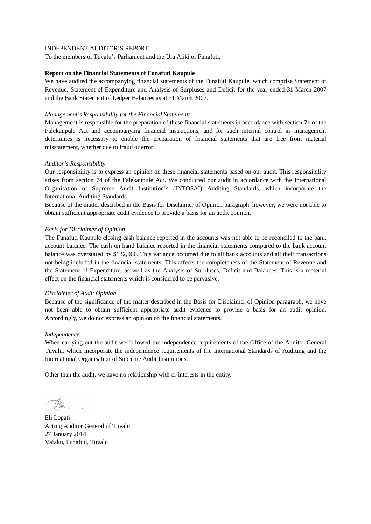To the members of Tuvalu's Parliament and the Ulu Aliki of Funafuti,

## **Report on the Financial Statements of Funafuti Kaupule**

We have audited the accompanying financial statements of the Funafuti Kaupule, which comprise Statement of Revenue, Statement of Expenditure and Analysis of Surpluses and Deficit for the year ended 31 March 2007 and the Bank Statement of Ledger Balances as at 31 March 2007.

## *Management's Responsibility for the Financial Statements*

Management is responsible for the preparation of these financial statements in accordance with section 71 of the Falekaupule Act and accompanying financial instructions, and for such internal control as management determines is necessary to enable the preparation of financial statements that are free from material misstatement, whether due to fraud or error.

## *Auditor's Responsibility*

Our responsibility is to express an opinion on these financial statements based on our audit. This responsibility arises from section 74 of the Falekaupule Act. We conducted our audit in accordance with the International Organisation of Supreme Audit Institution's (INTOSAI) Auditing Standards, which incorporate the International Auditing Standards.

Because of the matter described in the Basis for Disclaimer of Opinion paragraph, however, we were not able to obtain sufficient appropriate audit evidence to provide a basis for an audit opinion.

## *Basis for Disclaimer of Opinion*

The Funafuti Kaupule closing cash balance reported in the accounts was not able to be reconciled to the bank account balance. The cash on hand balance reported in the financial statements compared to the bank account balance was overstated by \$132,960. This variance occurred due to all bank accounts and all their transactions not being included in the financial statements. This affects the completeness of the Statement of Revenue and the Statement of Expenditure, as well as the Analysis of Surpluses, Deficit and Balances. This is a material effect on the financial statements which is considered to be pervasive.

### *Disclaimer of Audit Opinion*

Because of the significance of the matter described in the Basis for Disclaimer of Opinion paragraph, we have not been able to obtain sufficient appropriate audit evidence to provide a basis for an audit opinion. Accordingly, we do not express an opinion on the financial statements.

### *Independence*

When carrying out the audit we followed the independence requirements of the Office of the Auditor General Tuvalu, which incorporate the independence requirements of the International Standards of Auditing and the International Organisation of Supreme Audit Institutions.

Eli Lopati Acting Auditor General of Tuvalu 27 January 2014 Vaiaku, Funafuti, Tuvalu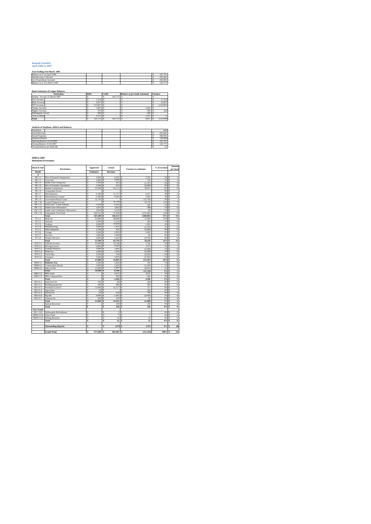#### **Kaupule Funafuti April 2006 to 2007**

| Year Ending 31st March 2007   |  |  |         |
|-------------------------------|--|--|---------|
| Balance as at 1st April 2006  |  |  | 161.763 |
| Add Revenue Collected         |  |  | 265,946 |
| Less Expenditure Incurred     |  |  | 284.936 |
| Balance as at 31st March 2007 |  |  | 142.773 |

**Bank Statement of Ledger Balance** 

| <b>Particulars</b>            | Debit |         | Credit |         | <b>Balance as per bank statement</b> |       | <b>Variance</b> |
|-------------------------------|-------|---------|--------|---------|--------------------------------------|-------|-----------------|
| Surplus Account 31 March 2007 |       |         |        | 142,773 |                                      |       |                 |
| Fusi Account                  |       | 1.154   |        |         |                                      |       | (1, 154)        |
| <b>Bank Account</b>           |       | 6,697   |        |         |                                      |       | (6.697)         |
| FTF Account                   |       | 125,067 |        |         |                                      |       | (125.067)       |
| Cheque Account                |       | 5.465   |        |         |                                      | 5.465 |                 |
| Piggery Account               |       | 479     |        |         |                                      | 436   | (42)            |
| Falekaupule Award             |       | 600     |        |         |                                      | 600   |                 |
| Cash on Hand                  |       | 3.311   |        |         |                                      | 3.311 |                 |
| Total                         |       | 142,772 |        | 142,773 |                                      | 9.813 | (132.959)       |
|                               |       |         |        |         |                                      |       |                 |

| Analysis of Surpluses, Deficit and Balances |  |  |          |
|---------------------------------------------|--|--|----------|
| Population                                  |  |  | 4492     |
| Actual Revenue                              |  |  | 265,946  |
| <b>Actual Expenses</b>                      |  |  | 284,936  |
| Surpluses/Deficit                           |  |  | (18.990) |
| Opening Balance 01:04:2006                  |  |  | 161,763  |
| Closing Balance 31:03:2007                  |  |  | 142,773  |
| Closing Balance per Head (\$)               |  |  | 32       |

#### **2006 to 2007 Statement of revenues**

| <b>Heads</b><br>л<br>PK 1.1<br>PK 1.2<br>Court fine<br>PK 1.3<br>Island Court sitting fees<br><b>PK1.4</b><br><b>PK1.5</b><br>Market Commission<br>PK 1.6<br>Corporation Sector | Hire of Kaupule Equipments<br>Hire of Funafala Guesthouse<br><b>Entertainment License</b><br>Government Block Grant | Ś<br>Ś<br>Ś<br>s<br>Ś<br>Ś<br>Ś<br>Ś | <b>Estimates</b><br>2.600<br>2.900<br>1.350<br>2.500<br>15,500 | Revenue<br>Ś<br>\$<br>s<br>s<br>s | 6.362<br>3,650<br>203<br>415 | Ś<br>3.762<br>Ś<br>750         | 2%<br>1%   | Ś<br>Ś | $\mathbf{I}$                      |
|---------------------------------------------------------------------------------------------------------------------------------------------------------------------------------|---------------------------------------------------------------------------------------------------------------------|--------------------------------------|----------------------------------------------------------------|-----------------------------------|------------------------------|--------------------------------|------------|--------|-----------------------------------|
|                                                                                                                                                                                 |                                                                                                                     |                                      |                                                                |                                   |                              |                                |            |        |                                   |
|                                                                                                                                                                                 |                                                                                                                     |                                      |                                                                |                                   |                              |                                |            |        |                                   |
|                                                                                                                                                                                 |                                                                                                                     |                                      |                                                                |                                   |                              |                                |            |        |                                   |
|                                                                                                                                                                                 |                                                                                                                     |                                      |                                                                |                                   |                              |                                |            |        | $\,$ $\,$                         |
|                                                                                                                                                                                 |                                                                                                                     |                                      |                                                                |                                   |                              | (1.147)<br>Ś                   | 0%         | Ś      | $\theta$                          |
|                                                                                                                                                                                 |                                                                                                                     |                                      |                                                                |                                   |                              | (2.085)<br>s                   | 0%         | s      | $\overline{0}$                    |
|                                                                                                                                                                                 |                                                                                                                     |                                      |                                                                |                                   | 34.111                       | 18.611<br>s                    | 13%        | Ś      | $\overline{\mathbf{8}}$           |
|                                                                                                                                                                                 |                                                                                                                     |                                      |                                                                | Ś                                 |                              | Ś                              | 0%         | Ś      |                                   |
| PK 1.7<br>Micsellaneous                                                                                                                                                         |                                                                                                                     |                                      | 5.100                                                          | Ś                                 | 11,717                       | Ś<br>6,617                     | 4%         | Ś      | 3                                 |
| <b>PK1.8</b>                                                                                                                                                                    |                                                                                                                     |                                      | 5.300                                                          | s                                 | 8.582                        | 3.282<br>Ś                     | 3%         | Ś      | $\overline{2}$                    |
| PK 1.9                                                                                                                                                                          |                                                                                                                     | s                                    | 32,730                                                         | Ś                                 |                              | (32.730)<br>Ś                  | 0%         | Ś      | i,<br>7                           |
| PK 1.10<br><b>Council Support Grant</b>                                                                                                                                         |                                                                                                                     | s                                    | ٠                                                              | Ś                                 | 32,730                       | 32,730<br>s                    | 12%        | Ś      |                                   |
| PK 1.11                                                                                                                                                                         | Tied Grant - Lands Subsidy                                                                                          | Ś                                    | 5.229                                                          | Ś                                 | 6.165<br>1.823               | Ś<br>936                       | 2%         | Ś      | $\,$ 1                            |
| PK 1.12<br><b>Island Court Allowances</b><br>PK 1.13                                                                                                                            | Lands court Committee Allowances                                                                                    | Ś<br>s                               | 1.872<br>3.026                                                 | Ś                                 | 3.120                        | (49)<br>Ś                      | 1%         | Ś      | $\overline{0}$                    |
| PK 1.14                                                                                                                                                                         |                                                                                                                     |                                      | 169,101                                                        | s                                 | 37,439                       | Ś<br>94                        | 1%<br>14%  | Ś      | $\,$ 1<br>$\overline{\mathbf{8}}$ |
| Falekaupule Trust fund                                                                                                                                                          |                                                                                                                     | Ś                                    |                                                                | Ś                                 |                              | (131.662)<br>Ś                 |            | Ś      | 33                                |
| Total<br>FT 2.1                                                                                                                                                                 |                                                                                                                     | Ś<br>ś                               | 247.208<br>25,000                                              | s<br>Ś                            | 146,315<br>38,998            | (100.893)<br>s<br>Ś<br>13,998  | 55%<br>15% | Ś<br>Ś | 9                                 |
| Head tax<br>FT 2.2                                                                                                                                                              |                                                                                                                     | Ś                                    | 2.300                                                          | s                                 | 2.215                        | Ś                              | 1%         |        | $\overline{0}$                    |
| Tourism<br>FT 2.3<br>Trading                                                                                                                                                    |                                                                                                                     | s                                    | 9,000                                                          | s                                 | 10.029                       | (85)<br>s                      | 4%         | Ś<br>Ś | $\overline{2}$                    |
| FT2.4<br>Manufacturing                                                                                                                                                          |                                                                                                                     | s                                    | 3,000                                                          | s                                 | 1.422                        | 1,029<br>s<br>(1.579)          | 1%         | s      | $\overline{0}$                    |
| FT 2.5<br>Other Industries                                                                                                                                                      |                                                                                                                     | Ś                                    | 2.700                                                          | Ś                                 | 810                          | Ś<br>(1.890)                   | 0%         | Ś      | $\overline{0}$                    |
| FT 2.6<br>Cottage                                                                                                                                                               |                                                                                                                     | ś                                    | 3.500                                                          | Ś                                 | 5.993                        | Ś<br>2.493                     | 2%         | Ś      | ī                                 |
| FT 2.7                                                                                                                                                                          |                                                                                                                     | Ś                                    | 1.000                                                          | \$                                | 1.049                        | Ś<br>49                        | 0%         | Ś      | 0                                 |
| Services<br>FT 2.8<br><b>Finance Services</b>                                                                                                                                   |                                                                                                                     | s                                    | 5.000                                                          | Ś                                 | 1.245                        | (3.755)<br>Ś                   | 0%         | Ś      | $\overline{0}$                    |
| Total                                                                                                                                                                           |                                                                                                                     | Ś                                    | 51.500                                                         | ŝ                                 | 61,759                       | 10.259<br>s                    | 23%        | ŝ      | $\overline{14}$                   |
| WTI 3.1<br>Vehicles Licence                                                                                                                                                     |                                                                                                                     | Ś                                    | 12,000                                                         | Ś                                 | 13.744                       | s<br>1.744                     | 5%         | Ś      | $\overline{\mathbf{3}}$           |
| WTI 3.2<br><b>Driving Licence</b>                                                                                                                                               |                                                                                                                     | ś                                    | 6.000                                                          | Ś                                 | 5.643                        | Ś<br>(357)                     | 2%         | Ś      | ī                                 |
| WTI 3.3<br>Garbage Disposal                                                                                                                                                     |                                                                                                                     | Ś                                    | 5.000                                                          | Ś                                 | 1.402                        | Ś<br>(3.598)                   | 1%         | Ś      | $\overline{0}$                    |
| WTI 3.4<br>Water tax                                                                                                                                                            |                                                                                                                     | s                                    | 5.500                                                          | Ś                                 | 1.910                        | (3,590)<br>Ś                   | 1%         | Ś      | $\overline{0}$                    |
| WTI 3.5<br><b>Truck Hire</b>                                                                                                                                                    |                                                                                                                     | s                                    | 3.500                                                          | s                                 | 540                          | (2.960)<br>Ś                   | 0%         | s      | $\overline{0}$                    |
| WTI 3.6<br>Transport                                                                                                                                                            |                                                                                                                     | Ś                                    | 5.000                                                          | s                                 | 2.655                        | s<br>(2.345)                   | 1%         | s      | ī                                 |
| Total                                                                                                                                                                           |                                                                                                                     | ś                                    | 37,000                                                         | \$                                | 25,893                       | Ś<br>(11.107)                  | 10%        | Ś      | $\overline{6}$                    |
| <b>NRM 4.1</b><br><b>Fisheries Tax</b>                                                                                                                                          |                                                                                                                     | \$                                   | 1.500                                                          | s                                 | 1.604                        | Ś<br>104                       | 1%         | Ś      | 0                                 |
| <b>NRM 4.2</b><br><b>Conservation Permit</b>                                                                                                                                    |                                                                                                                     | s                                    | 3,000                                                          | Ś                                 | 1,654                        | (1, 346)<br>s                  | 1%         | \$     | 0                                 |
| <b>NRM 4.3</b><br>Sales of fish                                                                                                                                                 |                                                                                                                     | \$                                   | 15,000                                                         | Ś                                 | 5,087                        | (9, 913)<br>s                  | 2%         | Ś      | ī                                 |
| Total                                                                                                                                                                           |                                                                                                                     | Ś                                    | 19,500                                                         | s                                 | 8,346                        | Ś<br>(11.154)                  | 3%         | Ś      | $\overline{2}$                    |
| <b>MES 5.2</b><br><b>NPS</b> Grant                                                                                                                                              |                                                                                                                     | Ś                                    | à,                                                             | Ś                                 | 3,675                        | Ś<br>3.675                     | 1%         | Ś      | $\mathbf{1}$                      |
| <b>MES 5.3</b><br>NPS Compound fee                                                                                                                                              |                                                                                                                     | \$                                   | ٠                                                              | s                                 | 492                          | 492<br>Ś                       | 0%         | Ś      | $\overline{0}$                    |
| Total                                                                                                                                                                           |                                                                                                                     | ŝ                                    | ä,                                                             | ŝ                                 | 4,166                        | ŝ<br>4,166                     | 2%         | ŝ      | ī                                 |
| <b>HLA 6.1</b><br>Inspection fee                                                                                                                                                |                                                                                                                     | ŝ                                    | 100                                                            | s                                 | 80                           | Ś<br>(20)                      | 0%         | Ś      | $\overline{0}$                    |
| <b>HLA 6.2</b><br>Building permit fee                                                                                                                                           |                                                                                                                     | Ś                                    | 500                                                            | Ś                                 | 896                          | Ś<br>396                       | 0%         | Ś      | $\overline{0}$                    |
| <b>HLA 6.3</b><br>Foreshore Licence                                                                                                                                             |                                                                                                                     | ś                                    | 15,000                                                         | s                                 | 15.117                       | Ś<br>117                       | 6%         | Ś      | $\overline{\mathbf{3}}$           |
| <b>HLA 6.4</b><br>Agriculture                                                                                                                                                   |                                                                                                                     | \$                                   | 20                                                             | Ś                                 | ×,                           | (20)<br>Ś                      | 0%         | \$     | $\overline{\phantom{a}}$          |
| <b>HLA 6.5</b><br>Animal fee                                                                                                                                                    |                                                                                                                     | s                                    | 20                                                             | s                                 | 818                          | s<br>798                       | 0%         | s      | $\overline{0}$                    |
| <b>HLA 6.6</b><br>Pig fine                                                                                                                                                      |                                                                                                                     | ś                                    | 6.000                                                          | Ś                                 | 2.181                        | (3, 819)<br>s                  | 1%         | Ś      | $\overline{0}$                    |
| <b>HLA 6.7</b><br>Cemetry fee                                                                                                                                                   |                                                                                                                     | Ś                                    | 200                                                            | Ś                                 | 250                          | 50<br>Ś                        | 0%         | Ś      | $\overline{0}$                    |
| Total                                                                                                                                                                           |                                                                                                                     | ś                                    | 21,840                                                         | Ś                                 | 19.342                       | Ś<br>(2.498)                   | 7%         | Ś      | 4                                 |
| <b>Interest Received</b>                                                                                                                                                        |                                                                                                                     | \$                                   | $\overline{\phantom{a}}$                                       | \$                                | 250                          | 250<br>Ś                       | 0%         | Ś      | $\overline{0}$                    |
| Total                                                                                                                                                                           |                                                                                                                     | ś                                    | τ                                                              | ś                                 | 250                          | 250<br>ŝ                       | 0%         | ś      | $\overline{0}$                    |
| <b>Gov Grant</b>                                                                                                                                                                |                                                                                                                     |                                      |                                                                |                                   |                              |                                |            |        |                                   |
| PK 1.120                                                                                                                                                                        | Falekaupule Refreshment                                                                                             | Ś                                    | i,                                                             | Ś                                 | 3                            | $\overline{\overline{3}}$<br>Ś | 0%         | Ś      | $\mathbf 0$                       |
| <b>NRM 4.120</b><br>Tafua Pond                                                                                                                                                  |                                                                                                                     | Ś                                    | i,                                                             | ś                                 | 3                            | Ś<br>š,                        | 0%         | Ś      | $\overline{0}$                    |
| NRM 4.122<br><b>Fishing Business</b>                                                                                                                                            |                                                                                                                     | s                                    | ä,                                                             | Ś                                 | 16                           | 16<br>Ś                        | 0%         | Ś      | $\overline{0}$                    |
| Total                                                                                                                                                                           |                                                                                                                     | ŝ                                    | ÷                                                              | ŝ                                 | 22                           | 22<br>s                        | 0%         | ŝ      | $\overline{0}$                    |
|                                                                                                                                                                                 |                                                                                                                     |                                      |                                                                |                                   |                              |                                |            |        |                                   |
| <b>Outstanding deposits</b>                                                                                                                                                     |                                                                                                                     | Ś                                    |                                                                | ś                                 | (147)                        | (147)                          | 0%         |        | (0)                               |
|                                                                                                                                                                                 |                                                                                                                     |                                      |                                                                |                                   |                              |                                |            |        |                                   |
| <b>Grand Total</b>                                                                                                                                                              |                                                                                                                     | ŝ                                    | 377,048                                                        | s                                 | 265,945                      | (111, 103)<br>s                | 100%       | 3      | 59                                |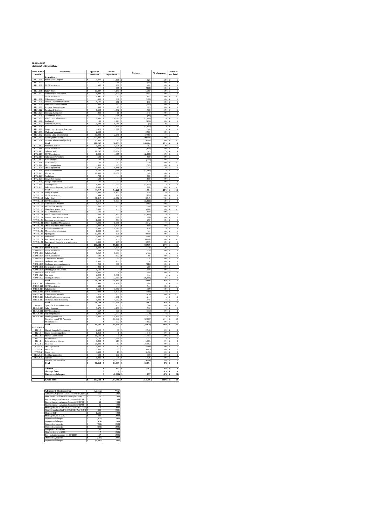| 2006 to 2007                    |
|---------------------------------|
| <b>Statement of Expenditure</b> |

| <b>Head &amp; Sub</b><br>Heads       | <b>Particulars</b>                                                   | Approved<br>Estimates                          | Actual<br>Expenditure      | Variance                                | $\%$ of expenses  | Amount<br>per head                               |
|--------------------------------------|----------------------------------------------------------------------|------------------------------------------------|----------------------------|-----------------------------------------|-------------------|--------------------------------------------------|
| PK 1.110                             | Expenditure<br>Salary Pule Kaupule                                   | s<br>5,820                                     | 4,799<br>\$                | 1,021                                   | 2%                | $\,$ 1<br>s                                      |
| PK 1.111<br>PK 1.112                 |                                                                      | $\frac{s}{s}$                                  | $\frac{1}{s}$<br>96        | $(96)$<br>482                           | 0%                | $\begin{matrix} 0 \\ 0 \end{matrix}$<br>Ś        |
|                                      | <b>TPF</b> Contribution                                              | 582<br>ś                                       | 100<br>385<br>ś            | (385)                                   | 0%                | $\overline{0}$                                   |
| PK 1.116                             | Salary Staff                                                         | Ś<br>10,427                                    | Ś<br>4,647                 | 5,780                                   | 2%                | $\mathbf{1}$<br>ś                                |
| PK 1.117                             | Temporary Appoinment                                                 | s<br>4.092                                     | 1.401<br>Ś                 | 2.691                                   | 0%                | $\,$ 0 $\,$<br>\$                                |
| <b>PK1118</b>                        | <b>TPF Contribution</b><br>Allowances/Overtime                       | s<br>1,492<br>र<br>400                         | Ś<br>538<br>š              | 1,492<br>(138)                          | 0%<br>0%          | $\frac{1}{\sqrt{2}}$<br>$\overline{\phantom{a}}$ |
| PK 1.119<br>PK 1.120                 | Post & Telecommunication                                             | s<br>1.500                                     | s<br>870<br>577            | 630                                     | 0%                | $\theta$<br>-S<br>$\overline{0}$                 |
|                                      | Falekaupule Refreshment<br>Kaupule Entertainment                     | Ś<br>300<br>300                                | Ś<br>q7<br>Ś               | (277)<br>203                            | 0%<br>0%          | $\overline{0}$<br>ś                              |
| PK 1.121<br>PK 1.122                 | Printing & Stationery                                                | s<br>s<br>6,500<br>ś                           | 4.592<br>Ś                 | 1.908                                   | $\frac{2\%}{0\%}$ | $\mathbf{1}$<br>s                                |
| PK 1.123<br>PK 1124                  | <b>Training Workshop</b><br>Committees allow                         | 200<br>s<br>175                                | 60<br>256<br>¢             | 140<br>(81)                             | 0%                | $\overline{0}$<br>$\overline{0}$                 |
| PK 1.125                             | Island court allowances                                              | 3,000<br>s                                     | 6,091<br>Ś                 | (3,091)                                 | 2%                | $\mathbf{1}$<br>s                                |
| PK 1.126<br>PK 112                   | Fuel & oil<br>andlease subsidy                                       | Ś<br>180<br>s<br>743                           | 1,111<br>Ś                 | (931)                                   | 0%                | $\overline{0}$<br>I.                             |
| PK 1.128                             |                                                                      | 5                                              | 1,870<br>Ś                 | $\frac{(1)}{(1,870)}$                   | 1%5               | $\dot{0}$                                        |
| PK 1.129<br>PK 1.131                 | ands court Sitting Allowances                                        | s<br>3,026<br>s<br>2.500 S                     | 1,678<br>\$                | 1,348<br>2.500<br>Ś                     | 1%<br>0%          | $\overline{0}$<br>s                              |
| PK 1.132                             | Ulufenua Inaugration<br>Tausoa Lima Mainten                          | 50,000<br>s                                    | 2,040<br>Ś                 | 17,960                                  | 1%                | $\overline{0}$                                   |
| PK 1133                              | Resort (Fafine F/futi)                                               | र<br>200.000                                   | š                          | 200.000                                 | O%                | ¢                                                |
| PK 1.134                             | National Play Ground [F/futi]<br>Total                               | s<br>10,000<br>Ś<br>306,237                    | \$<br>36,953<br>\$         | 10,000<br>s<br>269,284<br>\$            | 0%<br>13%         | -S<br>8<br>\$                                    |
| FT 2.110                             | Salaries Kaupule                                                     | s<br>5,443                                     | ś<br>276                   | 1,167                                   | 2%                | $\mathbf{1}$                                     |
| FT 2.111                             | <b>TPF Contribution</b><br>alaries Staff                             | s<br>544S<br>19.297<br>\$                      | 1.020<br>19,154            | (476)<br>s<br>143                       | 0%                | s<br>$\mathbf{0}$<br>$\overline{4}$              |
| FT 2.116<br>FT 2.117                 | <b>TPF</b> Contribution                                              | s<br>1.980                                     | 4.375<br>Ś                 | (2.395)<br>¢                            | 2%                | $\overline{1}$<br>×.                             |
| FT 2.118                             | Allowances/Overtime<br><b>Bank</b> charges                           | s<br>500<br>Ś<br>100                           | Ś<br>200<br>ś              | 500<br>Ś<br>(100)                       | 0%<br>0%          | s<br>$\overline{0}$                              |
| FT 2.119<br>FT 2.121                 | ustom Duty                                                           | s<br>150                                       |                            | 150                                     | O%                |                                                  |
| FT 2.122                             | Media expenditure                                                    | S<br>900                                       | 335<br>Ś                   | 565<br>ś                                | 0%                | $\overline{0}$<br>s                              |
| FT 2.123<br>FT 2.124                 | Office equipment<br>Internet connection                              | s<br>10,000<br>s<br>1.200                      | ś<br>8,886<br>3.246<br>Ś   | 1,114<br>(2.046)<br>Ś                   | 3%<br>1%          | ś<br>$\overline{\mathbf{c}}$<br>$\,1$<br>s       |
| 2.125<br>F1<br>FT 2126               | Electricity<br>Audit fees                                            | S<br>12,000<br>700                             | 10,652                     | 1,348                                   | 4%                | $\overline{2}$                                   |
| FT 2.127                             | <b>Travel Subsistence</b>                                            | ś<br>s<br>500                                  | ś<br>s                     | 700<br>500<br>s                         | 0%<br>0%          | ś<br>s                                           |
| FT 2.128                             | <b>Budget Preparation</b>                                            | S<br>500                                       | $\overline{21}$            | 479<br>\$                               | 0%                | $\overline{0}$                                   |
| FT 2.129<br>FT 2.130                 | Contingencies<br>Falekaupule Reserve Fund [s70]                      | s<br>1,000<br>s<br>1.000                       | 2,055<br>s                 | (1.055)<br>1.000<br>s                   | 1%<br>0%          | $\overline{0}$<br>-S                             |
|                                      | Total                                                                | \$<br>55,814                                   | 54,220<br>\$               | 1,594                                   | 19%               | 12                                               |
| WTI 3.110<br>WTI 3.111               | Salary Kaupule<br><b>TPF Contribution</b>                            | l s<br>5.443<br>s<br>544                       | 4,433<br>s<br>900<br>Ś     | 1.010<br>(356)                          | 0%                | Ś<br>$\mathbf{1}$<br>$\overline{0}$<br>s         |
| WTI 3.113                            | Salary Staff                                                         | Ś<br>51,317                                    | ś<br>42,572                | 8,745                                   | 15%               | $\overline{9}$                                   |
| WTI 3 114<br>WTI 3.115               | <b>TPF Contribution</b><br>Allowances/Overtime                       | Ś<br>5,518<br>$\overline{\mathbf{s}}$<br>3,860 | 8,809<br>Ś<br>ś            | (3.291)<br>3,860                        | 3%<br>0%          | $\,2$                                            |
| WTI 3.116                            | Protective Clothing                                                  | S<br>500                                       | s                          | 500<br>ś                                | 0%                | ś                                                |
| WTI 3.117                            | <b>Household Waste Bins</b>                                          | s<br>5.000                                     | Ś                          | 5,000<br>Ś                              | 0%                | s                                                |
| WTI 3.118<br>WTI 3 119               | Road Maintenance<br>Water cistern mainter                            | 500<br>s<br>s<br>500                           | s<br>431<br>Ś              | 500<br>931)<br>$\alpha$                 | 0%<br>1%          | $\overline{1}$                                   |
| WTI 3.120                            | Tausoa Lima Maintenance                                              | s<br>500 <sub>5</sub>                          | 589                        | (89)                                    | 0%                | $\bf{0}$<br>s                                    |
| WTI 3.121<br>WTI 3 122               | Lotokava Maintenance<br>Office Building Mainter                      | S<br>1,000<br>s<br>4.000                       | ś<br>743<br>1.858<br>Ś     | $\frac{257}{2,142}$                     | 0%<br>1%          | $\overline{0}$<br>$\overline{0}$                 |
| WTI 3.123                            | Office Equiment Maintenance                                          | s<br>2,000                                     | s<br>1,101                 | 899                                     | 0%                | $\bf{0}$<br>-S                                   |
| WTI 3.124<br>WTI 3.125               | Vehicle Maintenance                                                  | 3,000<br>s<br><b>S</b><br>1.000                | s<br>1,542<br>693<br>١s    | 1,458<br>307                            | 1%<br>0%          | $\overline{0}$<br>$\overline{0}$                 |
| WTI 3.126                            | Motorcycle maintenance<br>Spare parts                                | Ś<br>10,000                                    | 191<br>s                   | 9,809                                   | 0%                | $\overline{0}$                                   |
| WTI 3.127                            | Fuel & oil                                                           | Ś<br>9,000                                     | \$<br>3,016                | 5,984                                   | 1%                | $\,1$                                            |
| WTI 3.128<br>WTI 3.129               | Purchase of Kaupule new trucks<br>Purchase of Kaupule new motorcycle | Ś<br>30,000<br>4,000                           | Ś<br>285                   | 30,000                                  | 0%<br>0%          | $\overline{0}$                                   |
|                                      | Total                                                                | 137,682<br>उ                                   | 3<br>69,163                | 68,519<br>s                             | 24%               | 15<br>s                                          |
| NRM 4.110<br><b>NRM 4.111</b>        | Salary Kaupule<br><b>TPF Contribution</b>                            | s<br>5.443<br>544<br>\$                        | Ś<br>4.324<br>$^{24}$<br>Ś | 1.119<br>s<br>520                       | 2%<br>0%          | $\mathbf{1}$<br>-S<br>$\overline{0}$             |
| NRM 4.113                            | Salaries Staff                                                       | Ś<br>$\frac{5,069}{527}$                       | \$<br>1,683                | 3,386<br>55                             | 1%                | $\overline{0}$                                   |
| NRM 4.114<br>NRM 4.115               | <b>TPF Contribution</b><br>Allowances/Overtime                       | s<br>200<br>ś                                  | s<br>472<br>ś<br>26        | 174                                     | 0%<br>0%          | $\bf{0}$<br>$\overline{0}$                       |
| <b>NRM 4116</b>                      | Outboard motor fuel                                                  | 2.500<br>s                                     | 166<br>s                   | 2334                                    | O%                | $\Omega$                                         |
| NRM 4.117<br><b>NRM 4.118</b>        | Outboard motor maintenance<br>onservation control                    | s<br>200<br>\$<br>200                          | Ś<br>546<br>\$             | (346)<br>Ś                              | 0%                | s<br>$\bf{0}$                                    |
| NRM 4.119                            | Diving gears for C/Area                                              | 1.500<br>s                                     | s                          | 200<br>1.500                            | 0%<br>0%          |                                                  |
| NRM 4.120                            | Tafua Pond                                                           | s<br>1,000                                     | ś                          | 999                                     | 0%                | $\overline{0}$<br>s                              |
| NRM 4.121<br>NRM 4.122               | Sea weed<br><b>Fishing Business</b>                                  | Ś<br>2,000<br>Ś<br>7,000                       | 1,776<br>Ś<br>12.363<br>Ś  | 224<br>(5, 363)<br>s                    | 1%<br>4%          | $\overline{0}$<br>$\overline{3}$<br>s            |
|                                      | Total                                                                | 3<br>26,183                                    | 21,383                     | 4,800<br>s                              | 8%                | 5<br>s                                           |
| <b>MES 5.110</b><br><b>MES 5.111</b> | Salaries Kaupule<br><b>TPF Contribution</b>                          | 3<br>5.443<br>s<br>544 S                       | ś<br>4,459                 | 984<br>Ś<br>544                         | 0%                | T<br><sup>s</sup>                                |
| <b>MES 5.113</b>                     | Salaries staff                                                       | Ś<br>8,559                                     | Ś<br>7,450                 | 1,109<br>Ś                              | 3%                | $\overline{2}$<br>s                              |
| MES 5.114<br>MES 5.115               | <b>TPF Contribution</b><br>Allowances/Overtime                       | $\frac{s}{s}$<br>923<br>670                    | \$<br>1,873<br>s           | Ś<br>(950)<br>670                       | 1%<br>0%          | $\overline{0}$<br>Ś<br>s                         |
| MES 5.116                            | School building maintenance                                          | ś<br>3,000                                     | 4,241<br>ś                 | (1, 241)<br>s                           | 1%                | s<br>Ī                                           |
| MES 5.117                            | Primary School Electricity                                           | \$.<br>5.000                                   | 4.052<br>s                 | 948<br>¢                                | 1%                | ¢<br>$\mathbf{1}$<br>5                           |
|                                      | Total<br>Sports facilities (Multi court)                             | s<br>24,139<br>$\frac{500}{5,670}$             | \$<br>22,076<br>\$         | 2,063<br>\$<br>$\frac{500}{1,512}$<br>S | 8%<br>0%          | s<br>\$                                          |
| Project<br>HLA 6.110                 | Salary Kaupule<br>TPF Contribution                                   | s<br>s<br>567                                  | 4.158                      |                                         | 0 <sup>9</sup>    | $\overline{1}$<br>$\overline{0}$                 |
| HLA 6.111<br>HLA 6.116               | Pig compensation                                                     | S<br>Ś<br>1,000                                | 900<br>Ś<br>279            | (333)<br>(1, 279)<br>Ś                  | 1%                | s<br>Ś<br>$\,$ $\,$                              |
| HLA 6.117                            | <b>Standing committee<br/>Transfers from FTF Accounts</b>            | s<br>s<br>3,000                                | 1.428<br>s                 | 1.572<br>S                              | 1%<br>21%         | $\frac{0}{2}$<br>s                               |
|                                      | Miscellaneous                                                        | ₹                                              | 60,000<br>š<br>602         | (60,000)<br>(602)<br>s                  | $^{0\%}$          | 13<br>₹<br>$\overline{0}$                        |
|                                      | Total                                                                | s<br>10,737                                    | \$<br>69,366               | (58, 629)<br>s                          | 24%               | 15<br>s                                          |
| REVENUES                             | Hire of Kaupule Equipments                                           | s<br>2,600                                     | 60<br>ś                    | 540                                     | 0%                | $\overline{0}$                                   |
| PK 1.1<br>PK 1.3                     | Island Court sitting fees                                            | ţ<br>1,350                                     | s<br>6                     | 1,345<br>Ś                              | 0%                | $\overline{0}$<br>l \$                           |
| PK 1.5<br>PK 1.7                     | Market Commission<br>Micsellaneous                                   | S<br>15,500<br>Ś<br>5.100                      | \$<br>Ś<br>2.788           | 15,497<br>Ś<br>2.312<br>s               | 0%<br>1%          | $\overline{0}$<br>s<br>$\mathbf{I}$<br>s         |
| PK 1.8                               | <b>Entertainment License</b>                                         | s<br>5,300                                     | 215<br>s                   | s<br>5,085                              | 0%                | $\overline{0}$<br>s                              |
| FT 2.1                               | Head tax                                                             | Ś<br>25,000                                    | Ś<br>49                    | 24,952                                  | 0%                | $\overline{0}$<br>Ś                              |
| WTI 3.2<br>WTI 3.4                   | Driving Licence<br>Water tax                                         | s<br>6.000<br>5,500<br>S                       | 40<br>s<br>ś<br>55         | 5.960<br>5,445                          | 0%<br>0%          | $\bf{0}$<br>s<br>s<br>$\overline{0}$             |
| WTI 3.5                              | <b>Truck Hire</b>                                                    | s<br>3,500                                     | 10<br>Ś                    | 3,490<br>Ś                              | 0%                | $\overline{0}$<br>Ś                              |
| HLA 6.2<br><b>HLA 6.6</b>            | <b>Building permit fee</b><br>Pig fine                               | s<br>500<br>6,000<br>S                         | Ś<br>200<br>74             | 300<br>s<br>5,926                       | 0%<br>0%          | s<br>$\bf{0}$<br>$\overline{\mathbf{0}}$         |
|                                      | Transfer credit & debit                                              | s                                              | s<br>10.000                | s<br>(10,000)                           | 4%                | ŝ<br>7                                           |
|                                      | Total                                                                | 76,350<br>\$                                   | s<br>13,499                | s<br>62,851                             | 5%                | 3<br>s                                           |
|                                      | Advance                                                              |                                                | $\frac{167}{7}$<br>ś       | (167)                                   | 0%                | $\overline{0}$                                   |
|                                      | Shortage found                                                       |                                                | ś                          | $\overline{7}$                          | 0%                | $\overline{0}$<br>s                              |
|                                      | <b>Unpresented cheques</b>                                           |                                                | \$<br>(1, 897)             | 1,897<br>S                              | $-1\%$            | \$<br>(0)                                        |
|                                      | <b>Grand Total</b>                                                   | 637,142 \$<br>3                                | 284,936                    | 352,206<br>s                            | $100\%$ \$        | 63                                               |

| <b>Advances &amp; Shortages given</b>              |   | Amount                 | Year |
|----------------------------------------------------|---|------------------------|------|
| Advance A/C (Loise - \$496.57 April '97, lapes: \$ |   | 661                    | 1997 |
| Pene Enoka - Advance Account (31/12/98)            | Ś | 20                     | 1998 |
| Pikona Satupa - Advance Account (29/02/99)         | s | $\boldsymbol{\hat{x}}$ | 1999 |
| Pikona Satupa - Advance Account (30/04/99)         | ś | 64                     | 1999 |
| Pikona Satupa - Advance Account (30/06/99)         | ś | 46                     | 1999 |
| Shortage found in Oct 2K A/C - Adv A/C Pikor S     |   | $\overline{c}$         | 2000 |
| Shortage declared in PV # 15/2/01 - Adv A/C F \$   |   | 335                    | 2001 |
| Shortage B/F                                       | Ś | 1.645                  | 1998 |
| Shortage found in 2002                             | Ś | 329                    | 2002 |
| <b>Unpresented</b> cheques                         | ś | (412)                  | 2003 |
| <b>Unpresented</b> cheques                         | Ś | (424)                  | 2004 |
| Outstanding deposits                               | Ś | (200)                  | 2004 |
| Outstanding deposits                               | Ś | (893)                  | 2005 |
| Late presented cheques                             | Ś | 285                    | 2005 |
| Shortage found in 2006                             | Ś | 7                      | 2006 |
| Ene - Advance account (31/07/2006)                 | Ś | 167                    | 2006 |
| Outstanding deposits                               | Ś | (147)                  | 2006 |
| Unpresented cheques                                | Ś | (1.897)                | 2006 |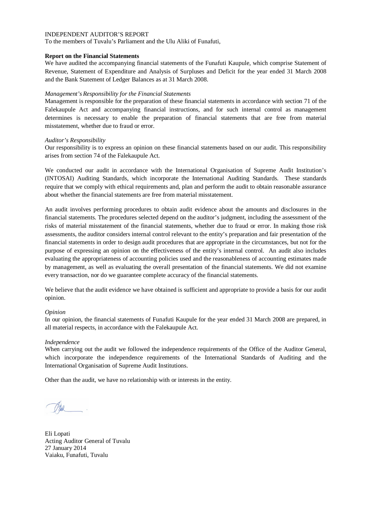To the members of Tuvalu's Parliament and the Ulu Aliki of Funafuti,

## **Report on the Financial Statements**

We have audited the accompanying financial statements of the Funafuti Kaupule, which comprise Statement of Revenue, Statement of Expenditure and Analysis of Surpluses and Deficit for the year ended 31 March 2008 and the Bank Statement of Ledger Balances as at 31 March 2008.

## *Management's Responsibility for the Financial Statements*

Management is responsible for the preparation of these financial statements in accordance with section 71 of the Falekaupule Act and accompanying financial instructions, and for such internal control as management determines is necessary to enable the preparation of financial statements that are free from material misstatement, whether due to fraud or error.

## *Auditor's Responsibility*

Our responsibility is to express an opinion on these financial statements based on our audit. This responsibility arises from section 74 of the Falekaupule Act.

We conducted our audit in accordance with the International Organisation of Supreme Audit Institution's (INTOSAI) Auditing Standards, which incorporate the International Auditing Standards. These standards require that we comply with ethical requirements and, plan and perform the audit to obtain reasonable assurance about whether the financial statements are free from material misstatement.

An audit involves performing procedures to obtain audit evidence about the amounts and disclosures in the financial statements. The procedures selected depend on the auditor's judgment, including the assessment of the risks of material misstatement of the financial statements, whether due to fraud or error. In making those risk assessments, the auditor considers internal control relevant to the entity's preparation and fair presentation of the financial statements in order to design audit procedures that are appropriate in the circumstances, but not for the purpose of expressing an opinion on the effectiveness of the entity's internal control. An audit also includes evaluating the appropriateness of accounting policies used and the reasonableness of accounting estimates made by management, as well as evaluating the overall presentation of the financial statements. We did not examine every transaction, nor do we guarantee complete accuracy of the financial statements.

We believe that the audit evidence we have obtained is sufficient and appropriate to provide a basis for our audit opinion.

### *Opinion*

In our opinion, the financial statements of Funafuti Kaupule for the year ended 31 March 2008 are prepared, in all material respects, in accordance with the Falekaupule Act.

### *Independence*

When carrying out the audit we followed the independence requirements of the Office of the Auditor General, which incorporate the independence requirements of the International Standards of Auditing and the International Organisation of Supreme Audit Institutions.

Eli Lopati Acting Auditor General of Tuvalu 27 January 2014 Vaiaku, Funafuti, Tuvalu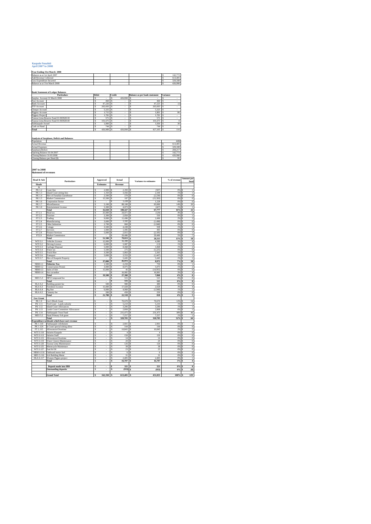#### **Kaupule Funafuti April 2007 to 2008**

## **Year Ending 31st March 2008**

| Balance as at 1st April 2007             |              |        |                                      |                 | 142,773 |
|------------------------------------------|--------------|--------|--------------------------------------|-----------------|---------|
| Add Revenue Collected                    |              |        |                                      |                 | 613,405 |
| Less Expenditure Incurred                |              |        |                                      |                 | 329,188 |
| Balance as at 31st March 2008            |              |        |                                      |                 | 426.990 |
|                                          |              |        |                                      |                 |         |
|                                          |              |        |                                      |                 |         |
| <b>Bank Statement of Ledger Balances</b> |              |        |                                      |                 |         |
| <b>Particulars</b>                       | <b>Debit</b> | Credit | <b>Balance as per bank statement</b> | <b>Variance</b> |         |
| Complete Aggregat 21 March 2008          |              |        | $126000 - 5$                         |                 |         |

| Surplus Account 31 March 2008         |         | 426,990 |         |          |
|---------------------------------------|---------|---------|---------|----------|
| <b>Fusi Account</b>                   | 460     |         | 460     |          |
| <b>Bank Account</b>                   | 47.226  |         | 47.225  | $^{(1)}$ |
| FTF Account                           | 265,693 |         | 265.693 |          |
| Cheque Account                        | 5.325   |         | 5.325   |          |
| Piggery Account                       | 1.715   |         | 1.801   | 86       |
| <b>Piggery Project</b>                | 1.781   |         | 1.781   |          |
| Tausoa Lima Reserve Fund 01:903928:30 | 571     |         | 571     |          |
| Tausoa Lima Reserve Fund 01:903928:40 | 101.675 |         | 101.675 |          |
| Falekaupule Award                     | 1.800   |         | 1.830   | 30       |
| Cash on Hand                          | 744     |         | 744     |          |
| Total                                 | 426,989 | 426,990 | 427.105 | 116      |
|                                       |         |         |         |          |

#### **Analysis of Surpluses, Deficit and Balances**

| Population                    |  |  | 4492    |
|-------------------------------|--|--|---------|
| <b>Actual Revenue</b>         |  |  | 613,405 |
| <b>Actual Expenses</b>        |  |  | 329,188 |
| Surpluses/Deficit             |  |  | 284.217 |
| Opening Balance 01:04:2007    |  |  | 142,773 |
| Closing Balance 31:03:2008    |  |  | 426.990 |
| Closing Balance per Head (\$) |  |  | 95      |
|                               |  |  |         |

#### **2007 to 2008 Statement of revenues**

| <b>Head &amp; Sub</b>            | <b>Particulars</b>                                    |         | Approved                 | Actual                        | <b>Variance to estimates</b> | % of revenue   | <b>Amount</b> per<br>head                           |
|----------------------------------|-------------------------------------------------------|---------|--------------------------|-------------------------------|------------------------------|----------------|-----------------------------------------------------|
| Heads                            |                                                       |         | <b>Estimates</b>         | Revenue                       |                              |                |                                                     |
| $\overline{A}$                   |                                                       |         |                          |                               |                              |                |                                                     |
| PK 1.2<br>PK 1.3                 | Court fine<br><b>Island Court sitting fees</b>        | \$<br>s | 2,900<br>1.350           | s<br>2.393<br>$3,456$ \$<br>s | (507)<br>s<br>2.106          | 0%<br>1%       | s<br>I<br>ī<br>s                                    |
| PK 1.4                           | Hire of Funafala Guesthouse                           | Ś       | 2,500 S                  | $270$ s                       | (2.230)                      | 0%             | $\bf{0}$<br>s                                       |
| PK 1.5                           | Market Commission                                     | Ś       | 15,500                   | 107<br>s                      | (15.393)<br>s                | 0%             | $\bf{0}$<br>s                                       |
| PK 1.6                           | <b>Corporation Sector</b>                             | Ś       |                          | 1.228<br>Ś                    | 1.228<br>Ś                   | 0%             | $\bf{0}$<br>s                                       |
| PK 1.7                           | Micsellaneous                                         | \$      | 5,100                    | 88,100<br>s                   | \$<br>83,000                 | 14%            | $_{20}$<br>Ś                                        |
| <b>PK1.8</b>                     | <b>Entertainment License</b>                          | s       | 5,300                    | $4,873$ \$<br>s               | (427)                        | 1%             | s<br>ī                                              |
|                                  | Total                                                 | Ś       | 32,650                   | 100,427 S<br>s                | 67.777                       | 16%            | $\overline{22}$<br>Ś                                |
| FT 2.1                           | Head tax                                              | Ś       | 25,000                   | 24,871<br>Ś                   | (129)<br>s                   | 4%             | 6<br>s                                              |
| FT 2.2<br>FT 2.3                 | Tourism<br>Trading                                    | Ś<br>\$ | 2.300<br>9,000           | 2.850<br>Ś<br>s<br>11,496     | 550<br>Ś<br>2.496<br>\$      | 0%<br>2%       | $\mathbf{1}$<br>Ś<br>3<br>s                         |
| FT 2.4                           | Manufacturing                                         | s       | 3.000                    | 1.502<br>s                    | (1, 498)<br>s                | 0 <sup>5</sup> | $\overline{0}$<br>s                                 |
| FT 2.5                           | Other Industries                                      | Ś       | 2.700                    | 860<br>s                      | (1, 840)<br>s                | 0%             | $\overline{0}$<br>s                                 |
| FT 2.6                           | Cottage                                               | s       | 3,500                    | s<br>4.438                    | 938<br>s                     | 1%             | f.<br>s                                             |
| FT 2.7                           | Services                                              | Ś       | 1.000                    | 1.495<br>s                    | 495<br>Ś                     | 0%             | $\bf{0}$<br>s                                       |
| FT 2.8                           | <b>Finance Services</b>                               | Ś       | 5,000                    | 2.815<br>s                    | s<br>(2.185)                 | 0%             | s<br>$\mathbf{1}$                                   |
| FT2.9                            | <b>Market Commission</b>                              | Ś       | J.                       | s<br>29,486                   | s<br>29,486                  | 5%             | 7<br>s                                              |
|                                  | Total                                                 | ŝ       | 51.500                   | 79,813 S<br>s                 | 28.313                       | 13%            | 18<br>s                                             |
| WTI 3.1                          | Vehicles Licence                                      | Ś       | 12,000                   | Ś<br>16,380                   | 4.380                        | 3%             | $\ddot{4}$<br>s                                     |
| WTI 3.2                          | Driving Licence                                       | Ś       | 6.000                    | 5.987<br>s                    | (13)<br>Ś                    | 1%             | $\mathbf{1}$<br>Ś                                   |
| WTI 3.3<br>WTI 3.4               | Garbage Disposal<br>Water tax                         | Ś<br>Ś  | 5,000<br>5.500           | s<br>8,468<br>275<br>Ś        | s<br>3.468<br>(5,225)<br>Ś   | 1%<br>0%       | $\overline{2}$<br>s<br>$\overline{0}$<br>s          |
| WTI 3.5                          | <b>Truck Hire</b>                                     | s       | 3,500                    | 5.863<br>s                    | Ś<br>2.363                   | 1%             | ī<br>s                                              |
| WTI 3.6                          | Transport                                             | Ś       | 5,000                    | 3,553<br>s                    | (1, 447)<br>s                | 1%             | $\mathbf{1}$<br>s                                   |
| WTI 3.7                          | Hire of Kaupule Property                              | Ś       |                          | 5.445<br>s                    | 5.445<br>Ś                   | 1%             | $\mathbf{1}$<br>s                                   |
|                                  | Total                                                 | \$      | 37,000                   | 45.972<br>s                   | Ś<br>8.972                   | 7%             | 10<br>s                                             |
| <b>NRM 4.1</b>                   | <b>Fisheries Tax</b>                                  | Ś       | 1.500                    | s<br>2.259                    | 759<br>Ś                     | 0%             | s<br>Í                                              |
| <b>NRM 4.2</b>                   | <b>Conservation Permit</b>                            | Ś       | 3,000                    | 8,075<br>s                    | 5.075<br>Ś                   | 1%             | $\overline{2}$<br>Ś                                 |
| <b>NRM 4.3</b>                   | Sales of fish                                         | Ś       | 15,000                   | 45<br>s                       | (14.955)<br>s                | 0%             | $\overline{0}$<br>s                                 |
| <b>NRM 4.4</b>                   | Sea cucumber                                          | Ś       |                          | 16,981                        | 16.981<br>Ś                  | 3%             | 4<br>s                                              |
|                                  | Total                                                 | Ś       | 19,500                   | 27,360<br>Ś                   | \$<br>7.860                  | 4%             | 6<br>Ś                                              |
| <b>MES 5.3</b>                   | NPS Compound fee                                      | Ś       | ٠                        | 515<br>Ś                      | 515<br>Ś                     | 0%             | $\overline{0}$<br>s                                 |
|                                  | Total<br>Building permit fee                          | \$<br>Ś | ×,<br>500                | 515<br>s<br>980<br>s          | 515<br>Ś<br>480<br>s         | 0%<br>0%       | $\overline{\mathbf{0}}$<br>s<br>$\overline{0}$<br>s |
| <b>HLA 6.2</b><br><b>HLA 6.3</b> | Foreshore Licence                                     | Ś       | 15,000                   | 17.028<br>Ś                   | 2.028<br>Ś                   | 3%             | 4<br>s                                              |
| <b>HLA 6.4</b>                   | Pig fine                                              | Ś       | 6.000                    | 4.060<br>Ś                    | Ś<br>(1.940)                 | 1%             | Ś<br>f.                                             |
| <b>HLA 6.5</b>                   | Cemetry fee                                           | Ś       | 200                      | Ś<br>450                      | Ś<br>250                     | 0%             | $\overline{0}$<br>s                                 |
|                                  | Total                                                 | \$      | 21,700                   | s<br>22,518                   | 818<br>Ś                     | 4%             | 5<br>s                                              |
| <b>Gov Grant</b>                 |                                                       |         |                          |                               |                              |                |                                                     |
| PK 1.9                           | Gov't Block Grant                                     | \$      | ×,                       | 70,670<br>Ś                   | 70,670<br>ś                  | 12%            | 14<br>s                                             |
| PK 1.11                          | Tied Grant - Lands subsidy                            | ŝ       | $\overline{\phantom{a}}$ | 5,210<br>\$                   | 5,210<br>\$                  | 1%             | ī<br>s                                              |
| PK 1.12                          | <b>Island Court Allowances</b>                        | ŝ       | ٠                        | 3,286 S<br>\$                 | 3.286                        | 1%             | ī<br>s                                              |
| PK 1.13                          | <b>Lands Court Committee Allowances</b>               | \$      | ×,                       | 2,808 \$<br>\$                | 2,808                        | 0%             | ī<br>s                                              |
| PK 1.14                          | Falekaupule Trust Fund                                | \$      | ×.                       | Ś<br>231.475 S                | 231.475                      | 38%            | s<br>46                                             |
| <b>MES 5.2</b>                   | Nauti Primary Sch grant                               | \$<br>ś | ä,                       | 7,257<br>\$                   | 7,257<br>\$                  | 1%             | s<br>f<br>ŝ                                         |
|                                  | Total<br>Expenditure subheads which have eart revenue |         | ä,                       | \$<br>320,705                 | 320,705<br>Ś                 | 52%            | 64                                                  |
| PK 1.118                         | Falekaupule refrehment                                | \$      | ÷.                       | \$<br>2,901                   | 2,901<br>\$                  | 0%             | $\,$<br>s                                           |
| PK 1.124                         | Is Court special sitting allow                        | Ś       |                          | Ś<br>144                      | Ś<br>144                     | 0%             | $\overline{0}$<br>s                                 |
| FT 2.115                         | Allowances/Overtime                                   | s       | ×,                       | s<br>10,845                   | 10,845<br>\$                 | 2%             | $\overline{\mathbf{2}}$<br>s                        |
| WTI 3.110                        | Salaries Kaupule                                      | Ś       | ×,                       | Ś<br>$\ddot{\bf 4}$           | \$<br>4                      | 0%             | $\overline{\mathbf{0}}$<br>s                        |
| WTI 3.113                        | Salaries Staff                                        | \$      | $\overline{\phantom{a}}$ | 150<br>\$                     | 150<br>s                     | 0%             | $\overline{0}$<br>s                                 |
| WTI 3.115                        | Allowances/Overtime                                   | \$      | ×,                       | \$<br>14                      | 14<br>s                      | 0%             | $\overline{\mathbf{0}}$<br>s                        |
| WTI 3.119                        | Water Cistern Maintenance                             | Ś       | ä,                       | Ś<br>20                       | 20<br>s                      | 0%             | $\bf{0}$<br>s                                       |
| WTI 3.120                        | Tausoa Lima Maintenance                               | s       | ä,                       | s<br>126                      | 126<br>s                     | 0%             | 0<br>s                                              |
| WTI 3.125                        | Motorcycle Maintenace                                 | Ś       | ä,                       | Ś<br>38                       | Ś<br>38                      | 0%             | Ś<br>$\overline{0}$                                 |
| WTI 3.127                        | Fuel & Oil                                            | \$      | ×.<br>ä,                 | \$<br>23<br>Ś                 | 23<br>Ś                      | 0%             | $\overline{0}$<br>s<br>$\overline{0}$               |
| NRM 4.116<br>MES 5.116           | Outboard motor fuel<br>Sch Building Maint             | \$<br>Ś |                          | 6<br>Ś<br>31                  | \$<br>6<br>Ś<br>31           | 0%<br>0%       | s<br>$\bf{0}$<br>Ś                                  |
| HLA 6.117                        | Women Pigpen project                                  | \$      |                          | s<br>2,405                    | 2,405<br>\$                  | 0%             | $\mathbf{1}$<br>s                                   |
|                                  | Total                                                 | s       | ×,                       | 16,707<br>\$                  | Ś<br>16,707                  | 3%             | 4<br>s                                              |
|                                  |                                                       |         |                          |                               |                              |                |                                                     |
|                                  |                                                       |         |                          |                               | 321<br>Ś                     | 0%             | $\overline{\mathbf{0}}$<br>s                        |
|                                  | <b>Deposit made into IBD</b>                          | \$      | ×,                       | 321<br>\$                     |                              |                |                                                     |
|                                  | <b>Outstanding deposits</b>                           | Ś       | ä,                       | Ś<br>$(933)$ \$               | (933)                        | 0%             | (0)<br>s                                            |
|                                  |                                                       | š       | 162,350                  |                               |                              | 100%           | 129                                                 |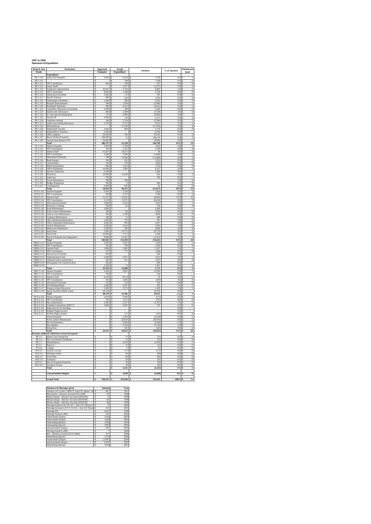#### **2007 to 2008 Statement of Expenditure**

| Head & Sub<br>Heads           | Particulars                                                       | Approved<br>Estimates                 | Actual<br>Expenditure           | Variance                    | $\%$ of expenses     | Amount pe<br>head                                 |
|-------------------------------|-------------------------------------------------------------------|---------------------------------------|---------------------------------|-----------------------------|----------------------|---------------------------------------------------|
| PK 1.110                      | <b>Expenditure</b>                                                |                                       | 6.539<br>s                      | (719)                       |                      |                                                   |
| PK 1.111                      | Salary Pule Kaupule                                               | 5,820<br>s                            | 748                             | (748)                       | 29<br>0%             | $\overline{0}$                                    |
| PK 1.112<br>PK 1.113          | <b>TPF Contribution</b><br>Salary Staffs                          | 582<br>Ś<br>s                         | 109<br>s<br>5.257<br>s          | 473<br>(5.257)              | 0 <sub>0</sub><br>2% | $\overline{0}$<br>Ś<br>Ś<br>T                     |
| PK 1.114                      | Temporary Appointment                                             | s<br>10.427 S                         | 3.744                           | 6,683<br>s                  | 1%                   | s<br>$\mathbf{1}$                                 |
| PK 1.115<br>PK 1.116          | <b>TPF Contribution</b><br>Allowances/Overtime                    | 4,092<br>\$<br>Ś<br>1,492             | 1,348<br>711                    | 2,744<br>781                | 0%<br>0%             | $\overline{0}$<br>$\overline{0}$                  |
| PK 1.117                      | Post & Telecom                                                    | s<br>400 S                            | 650                             | (250)                       | 0%                   | s<br>$\bf{0}$                                     |
| PK 1.118<br>PK 1.119          | Falekaupule refrehment<br>Kaupule Entertainment                   | 1.500 S<br>ś<br>ś<br>300              | 490<br>s<br>3,360               | 1,010<br>(3,060)            | 0%<br>1%             | $\overline{0}$<br>Ś<br>$\overline{1}$<br>Ś        |
| PK 1.120                      | Printing & Stationery                                             | $300 - 5$<br>Ś                        | 4,311                           | (4,011)                     | 1%                   | Ŧ<br>$\overline{0}$                               |
| PK 1.122<br>PK 1.123          | Committee Allowances [Funafala]<br><b>Island court Allowances</b> | s<br>$6,500$ S<br>200<br>\$           | 300<br>1,944<br>Ś               | 6.200<br>s<br>(1, 744)      | 0%<br>1%             | s<br>$\overline{0}$<br>Ś                          |
| PK 1.124<br>PK 1 125          | Is Court special sitting allow<br>Fuel & Oil                      | ś<br>175<br>3.000<br>Ś                | 3.980<br>729                    | (3,805)<br>2.271            | 1%<br>0%             | T<br>ś<br>$\overline{0}$                          |
| PK 1.126                      | Landlease subsidy                                                 | \$<br>180 S                           | 744                             | (5, 564)                    | 2%                   | $\,$ 1<br>s                                       |
| PK 1.127<br>PK 1133           | ands court sitting allowances<br>Miscellaneo                      | 5,743<br>\$                           | 2,712<br>s<br>7 196             | 3,031<br>(17.196)           | 1%<br>s,             | $\overline{1}$<br>Ś<br>$\overline{4}$             |
| PK 1.134                      | Falekaupule Awards                                                | 3,026<br>\$                           | 850<br>١s                       | 2,176                       | 0%                   | $\overline{\mathbf{0}}$<br>s                      |
| PK 1.135<br>PK 1.136          | <b>Independence Expenses</b><br>Office supplies                   | 2,500<br>s<br>50,000<br>ś             | s<br>784                        | 2,500<br>49,216             | 0%<br>0%             | S<br>$\overline{0}$                               |
| PK 1 137                      | Resort [Fafine Funafuti]                                          | Ś<br>200.000                          | 23<br>×,                        | 199 978                     | O%                   | $\theta$                                          |
| PK 1.139                      | Tausoa Lima Reserve FTF<br>Total                                  | \$<br>$10,000$ S<br>ŝ<br>306,237      | s<br>61,528                     | 10,000<br>244,709           | 0%<br>19%            | 14<br>Ś                                           |
| FT 2.110                      | Salaries Kaupule                                                  | ŝ<br>5443                             | 784                             | (341)                       |                      | ī                                                 |
| FT 2.111<br>FT 2.113          | <b>TPF Contribution</b><br>Salaries Staff                         | Ś<br>544 S<br>19,297<br>\$            | 1.272<br>s<br>19,251            | (728)<br>46                 | 0%<br>6%             | $\theta$<br>s<br>$\overline{4}$                   |
| FT 2.114<br>FT 2.115          | <b>TPF</b> Contribution<br>Allowances/Overtime                    | ś<br>1.980<br>Ś<br>500 S              | 5,040<br>ś<br>13,968            | (3,060)<br>(13.468)         | 4%                   | ī<br>ś<br>$\overline{\mathbf{3}}$<br>s            |
| FT 2.116                      | <b>Bank</b> charges                                               | s<br>$100$ S                          | 455                             | (355)                       | 0%                   | $\overline{0}$<br>S                               |
| FT 2.117<br>FT 2.118          | Custom Duty<br>Media Expenditure                                  | 150<br>ś<br>900<br>Ś                  | 376<br>623                      | (226)<br>(723)              | 0%<br>0%             | $\overline{\mathbf{0}}$<br>$\overline{0}$         |
| FT 2.119                      | <b>Office Equipment</b>                                           | 10.000<br>s                           | 5,803<br>-S                     | 4.197                       | 2%                   | $\,$ 1                                            |
| FT 2.120<br>FT 2.121          | Internet connection<br>Electricity                                | Ś<br>$1.200$ S<br>12,000<br>s         | 11,439<br>Ś                     | 1,200<br>561                | 0%<br>3%             | s<br>3<br>Ś                                       |
| FT 2.12                       | Audit fees                                                        | 700<br>Ś                              |                                 | 700                         | 0%                   |                                                   |
| FT 2.123<br>FT 2.124          | <b>Travel Subsistence</b><br><b>Budget Preparation</b>            | s<br>500 S<br>500<br>\$               | 500<br>6                        | s<br>494                    | 0%<br>0%             | $\overline{0}$<br>s<br>$\overline{0}$             |
| FT 2.125                      | Contingencie                                                      | š<br>1 000<br>š                       | 955                             | 45                          | 0%                   | $\overline{0}$                                    |
| WTI 3.110                     | Total<br>Salaries Kaupule                                         | 54.814<br>s<br>5,443 S                | 66.471<br>5,769                 | (11.657)<br>(326)           | 20%                  | 15<br>$\,$ 1<br>s                                 |
| WTI 3.111<br>WTI 3 113        | <b>TPF</b> Contribution                                           | 544<br>\$<br>51.317<br>Ś              | 1,272<br>s                      | (728)<br>(4.605)            | 0%                   | $\overline{\mathbf{0}}$<br>S                      |
| WTI 3.114                     | alaries Staff<br><b>TPF Contribution</b>                          | s<br>5.518 S                          | 55,922<br>11,972                | (6.454)                     | 17%<br>4%            | $12 \overline{ }$<br>s<br>3                       |
| WTI 3.115                     | Allowances/Overtime                                               | 3,860 S<br>\$<br>Ś                    | 4,191                           | (331)<br>418                | 1%                   | ī<br>S                                            |
| WTI 3.116<br>WTI 3 118        | Protective Clothing<br>Road Maintenan                             | 500 S<br>$5000$ $\overline{s}$<br>s   | 82                              | 5.000                       | 0%<br>$^{0}$         | $\overline{\mathbf{0}}$                           |
| WTI 3.119<br>WTI 3.120        | Water Cistern Maintenance<br>Tausoa Lima Maintenance              | \$<br>500 S<br>Ś<br>500               | 758<br>s<br>1,109               | (258)<br>(609)              | 0%<br>0%             | $\overline{0}$<br>s<br>$\overline{0}$             |
| WTI 3 121                     | Lotokaya Maintenance                                              | ś<br>500                              | र<br>$\overline{12}$            | 488<br>¢                    | 0 <sup>th</sup>      | ś<br>$\overline{0}$                               |
| WTI 3.122<br>WTI 3.123        | Office Building Maintenance<br>Office Equipment Maintenance       | Ś<br>$1.000$ S<br>\$<br>$4,000$ S     | 703<br>963                      | 297<br>3,037                | 0%<br>0%             | $\theta$<br>s<br>$\overline{0}$<br>S              |
| WTI 3.124                     | Vehicle Maintenance                                               | Ś<br>2,000                            | 242<br>ś                        | (242)                       | 1%                   | $\overline{0}$<br>ś                               |
| WTI 3.125<br>WTI 3.126        | Motorcycle Maintenace<br>Spare Parts                              | Ś<br>3.000<br>s<br>$1,000$ $\sqrt{5}$ | 396<br>s<br>10,772              | 2.604<br>(9, 772)           | 0%<br>3%             | $\theta$<br>s<br>$\overline{\mathbf{c}}$<br>s     |
| WTI 3.127                     | Fuel & Oil                                                        | 10,000<br>Ś<br>9,000<br>Ś             | 7,712<br>¢<br>11.422            | 2,288<br>(2.422)            | 2%<br>2a             | $\overline{2}$<br>Ś<br>3                          |
| WTI 3.128                     | Purch.of Kaupule new Equipment<br>Total                           | Ś<br>103,682 \$                       | 115,294                         | (11, 612)                   | 35%                  | 26<br>s                                           |
| NRM 4.110<br>NRM 4.111        | Salaries Kaupule<br><b>TPF</b> Contribution                       | Ś<br>5,443 S<br>$544$ $S$<br>s        | 5,561<br>780                    | (118)<br>(236)              | 0%                   | $\mathbf{1}$<br>s<br>$\overline{\mathbf{0}}$<br>s |
| NRM 4.113                     | Salaries Staff                                                    | Ś<br>5,069                            | 3,882<br>s                      | 1,187                       | 1%                   | $\overline{1}$<br>s                               |
| <b>NRM 4.114</b><br>NRM 4.115 | <b>TPF Contribution</b><br>Allowances/Overtim                     | s<br>527 S<br>200<br>\$               | 771<br>s                        | (244)<br>s<br>200           | 0%<br>0%             | $\bf{0}$<br>s                                     |
| NRM 4.116                     | Outboard motor fuel                                               | 500<br>\$                             | 3.031<br>s                      | (531)                       | 1%                   | ī                                                 |
| NRM 4.117<br>NRM 4.119        | Outboard motor maintenance<br>Diving gears for Conservat, Area    | Ś<br>200<br>s<br>200 S                | 431<br>s                        | (231)<br>200<br>s           | 0%<br>0%             | $\theta$<br>s<br>s                                |
| NRM 4.122                     | Total                                                             | 1,500<br>Ś<br>\$<br>$16,183$ \$       | 13<br>14,468                    | 1,487<br>1,715              | 0%<br>4%             | $\overline{\mathbf{0}}$<br>3<br>s                 |
| <b>MES 5.110</b>              | Salaries Kaupule                                                  | s<br>$5.443$ S                        | 6.692                           | (1.249)<br>s                | 2%                   | s<br>$\mathbf{1}$                                 |
| MES 5.111<br>MES 5.113        | <b>TPF</b> Contribution<br>Salaries Staff                         | 544<br>\$<br>8,559 S<br>s             | s<br>8.514                      | 544<br>45<br>Ś              | 0%<br>3%             | Ś<br>Ś                                            |
| <b>MES 5114</b>               | <b>TPF</b> Contributio                                            | 923S<br>s                             | 1.801                           | (878)<br>K                  | 19                   | $\frac{2}{0}$<br>s                                |
| MES 5.115<br>MES 5.116        | Allowances/Overtime<br>Sch Building Maint                         | s<br>670 S<br>\$<br>3,000             | 150<br>s<br>2,637               | \$<br>520<br>363<br>s       | 0%<br>1%             | $\overline{0}$<br>s<br>$\overline{1}$<br>S        |
| <b>MES 5117</b>               | Primary School Electricity                                        | š<br>5.000                            | 3572<br>$\epsilon$              | ś<br>1.428                  | 1%                   | ś<br>$\overline{1}$                               |
| MES 5.119                     | Sports Facilities [Multi court]<br>Total                          | s<br>24,139<br>48,278 \$<br>\$        | -S<br>23,366                    | 24,139<br>s<br>24,912<br>\$ | 0%<br>7%             | s<br>5<br>\$                                      |
| HLA 6.110                     | Salaries Kaupule                                                  | 5,670<br>Ś                            | 5,845                           | (175)                       | 2%                   | $\overline{1}$<br>Ś                               |
| HI A 6 111<br>HLA 6.113       | <b>TPF Contribution</b><br>Pig compensation                       | ¢<br>567<br>$1,000$ S<br>\$           | 1.272<br>¢<br>357               | (705)<br>¢<br>(1, 357)<br>s | $^{09}$<br>1%        | $\Omega$<br>K<br>s<br>$1\,$                       |
| HLA 6.114<br>HLA 6.115        | Standing Committees [PHCC]<br>Inspection fee for building         | ś<br>3,000<br>Ś                       | $\frac{1}{2,205}$<br>s          | ś<br>795<br>ś               | 1%<br>0%             | ś<br>$\overline{0}$                               |
| <b>HLA 6.116</b>              | Kaupule Pigpen project                                            | s                                     | s                               | s                           | 0%                   | \$<br>s                                           |
| HLA 6.117                     | Women Pigpen project<br>F/fala F/kaupule                          | \$<br>ś                               | 141<br>s<br>ś<br>2.330          | (141)<br>s<br>ś<br>(2.330)  | 0%<br>1%             | $\overline{0}$<br>s<br>$\overline{1}$<br>ś        |
|                               | Water Cistern Maintenance                                         | s                                     | s<br>20,659                     | s<br>(20.659)               | 6%                   | s<br>5                                            |
|                               | Pre sch Extension<br>Vew Market                                   | Ś<br>s                                | s<br>2.944<br>5,794<br>s        | (2.944)<br>s<br>(5,794)     | 1%<br>2%             | Ś<br>$\mathbf{1}$<br>$\overline{1}$<br>s          |
|                               | School bus                                                        | Ś                                     | 365<br>Ś                        | (365)<br>Ś                  | 0 <sup>o</sup>       | $\overline{0}$<br>Ś                               |
| Revenue subh                  | Total<br>eads which have incurred expense                         | 10.237<br>Ś                           | l \$<br>43.912                  | Ś<br>(33.675)               | 13%                  | Ś<br>10                                           |
| PK 1.3                        | Island Court sitting fees                                         | Ś                                     | 72<br>S                         | (72)<br>Ś                   | 0%                   | $\overline{0}$<br>s                               |
| PK 1.4<br>PK 1.7              | Hire of Funafala Guesthouse<br>Miscellaneous                      | Ś<br>s                                | 35<br>s<br>s<br>.610S           | (35)<br>(2.610)             | 0%<br>1%             | $\overline{0}$<br>s<br>$\mathbf{1}$               |
| FT 2.1<br>FT 2.6              | Head tax                                                          | \$<br>s                               | 15<br>s<br>s                    | Ś<br>(15)<br>s              | 0%<br>0%             | $\overline{0}$<br>s<br>S                          |
| WTI 3.1                       | Cottage<br>Vehicle License                                        | š                                     | $rac{5}{175}$<br>s              | (5)<br>(175)<br>s           | $^{0}$               | $\overline{0}$<br>ś<br>$\overline{0}$             |
| WTI 3.2<br>WTI 3.5            | <b>Driving License</b><br><b>Truck Hire</b>                       | \$<br>\$                              | s<br>60<br>60<br>\$             | \$<br>(60)<br>(60)<br>s     | 0%<br>0%             | $\boldsymbol{0}$<br>s<br>$\overline{0}$<br>Ś      |
| WTI 36                        | Transport                                                         | š                                     | ś<br>$\overline{20}$            | š<br>(20)                   | $^{0}$               | ś<br>$\overline{0}$                               |
| WTI 3.7<br>HLA 6.3            | Hire of Kaupule Properties<br>Foreshore license                   | s<br>\$                               | 30 <sup>2</sup><br>s<br>50<br>s | (30)<br>s<br>(50)<br>s      | $^{09}$<br>0%        | $\bf{0}$<br>s<br>$\overline{0}$<br>s              |
|                               | Total                                                             | Š                                     | \$<br>3,132                     | Ś<br>(3, 132)               | 1%                   | \$<br>1                                           |
|                               | Late presented cheques                                            | \$                                    | 1,018<br>\$                     | \$<br>(1,018)               | $0\%$                | $\overline{\mathbf{0}}$<br>\$                     |
|                               | <b>Grand Total</b>                                                | 539,431                               | 329,188                         | ś<br>210.243                | 100%                 |                                                   |

| Advances & Shortages given                               |   | Amount        | Year |
|----------------------------------------------------------|---|---------------|------|
| Advance A/C (Loise - \$496.57 April '97, Japesa - \$1 \$ |   | 661           | 1997 |
| Pene Enoka - Advance Account (31/12/98)                  | Ś | 20            | 1998 |
| Pikona Satupa - Advance Account (29/02/99)               | s | x             | 1999 |
| Pikona Satupa - Advance Account (30/04/99)               | Ś | 64            | 1999 |
| Pikona Satupa - Advance Account (30/06/99)               | Ś | 46            | 1999 |
| Shortage found in Oct 2K A/C - Adv A/C Pikona S          | Ś | $\mathcal{P}$ | 2000 |
| Shortage declared in PV # 15/2/01 - Adv A/C Pikon \$     |   | 335           | 2001 |
| Shortage B/F                                             | s | 1.645         | 1998 |
| Shortage found in 2002                                   | Ś | 329           | 2002 |
| <b>Unpresented</b> cheques                               | Ś | (412)         | 2003 |
| Unpresented cheques                                      | Ś | (424)         | 2004 |
| Outstanding deposits                                     | Ś | (200)         | 2004 |
| Outstanding deposits                                     | s | (893)         | 2005 |
| Late presented cheques                                   | Ś | 285           | 2005 |
| Shortage found in 2006                                   | Ś | z             | 2006 |
| Ene - Advance account (31/07/2006)                       | Ś | 167           | 2006 |
| Outstanding deposits                                     | Ś | (147)         | 2006 |
| Unpresented cheques                                      | ŝ | (1.897)       | 2006 |
| Late presented cheques                                   | Ś | 1.018         | 2007 |
| Outstanding deposits                                     | Ś | (933)         | 2007 |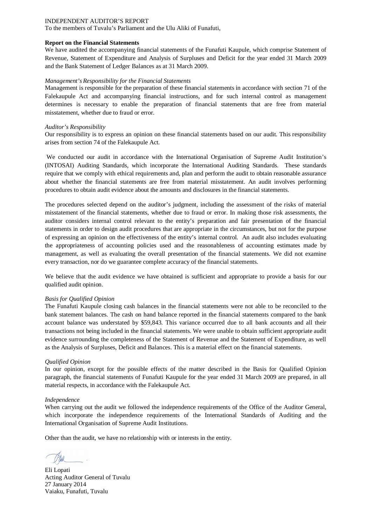To the members of Tuvalu's Parliament and the Ulu Aliki of Funafuti,

#### **Report on the Financial Statements**

We have audited the accompanying financial statements of the Funafuti Kaupule, which comprise Statement of Revenue, Statement of Expenditure and Analysis of Surpluses and Deficit for the year ended 31 March 2009 and the Bank Statement of Ledger Balances as at 31 March 2009.

#### *Management's Responsibility for the Financial Statements*

Management is responsible for the preparation of these financial statements in accordance with section 71 of the Falekaupule Act and accompanying financial instructions, and for such internal control as management determines is necessary to enable the preparation of financial statements that are free from material misstatement, whether due to fraud or error.

#### *Auditor's Responsibility*

Our responsibility is to express an opinion on these financial statements based on our audit. This responsibility arises from section 74 of the Falekaupule Act.

We conducted our audit in accordance with the International Organisation of Supreme Audit Institution's (INTOSAI) Auditing Standards, which incorporate the International Auditing Standards. These standards require that we comply with ethical requirements and, plan and perform the audit to obtain reasonable assurance about whether the financial statements are free from material misstatement. An audit involves performing procedures to obtain audit evidence about the amounts and disclosures in the financial statements.

The procedures selected depend on the auditor's judgment, including the assessment of the risks of material misstatement of the financial statements, whether due to fraud or error. In making those risk assessments, the auditor considers internal control relevant to the entity's preparation and fair presentation of the financial statements in order to design audit procedures that are appropriate in the circumstances, but not for the purpose of expressing an opinion on the effectiveness of the entity's internal control. An audit also includes evaluating the appropriateness of accounting policies used and the reasonableness of accounting estimates made by management, as well as evaluating the overall presentation of the financial statements. We did not examine every transaction, nor do we guarantee complete accuracy of the financial statements.

We believe that the audit evidence we have obtained is sufficient and appropriate to provide a basis for our qualified audit opinion.

#### *Basis for Qualified Opinion*

The Funafuti Kaupule closing cash balances in the financial statements were not able to be reconciled to the bank statement balances. The cash on hand balance reported in the financial statements compared to the bank account balance was understated by \$59,843. This variance occurred due to all bank accounts and all their transactions not being included in the financial statements. We were unable to obtain sufficient appropriate audit evidence surrounding the completeness of the Statement of Revenue and the Statement of Expenditure, as well as the Analysis of Surpluses, Deficit and Balances. This is a material effect on the financial statements.

#### *Qualified Opinion*

In our opinion, except for the possible effects of the matter described in the Basis for Qualified Opinion paragraph, the financial statements of Funafuti Kaupule for the year ended 31 March 2009 are prepared, in all material respects, in accordance with the Falekaupule Act.

#### *Independence*

When carrying out the audit we followed the independence requirements of the Office of the Auditor General, which incorporate the independence requirements of the International Standards of Auditing and the International Organisation of Supreme Audit Institutions.

Eli Lopati Acting Auditor General of Tuvalu 27 January 2014 Vaiaku, Funafuti, Tuvalu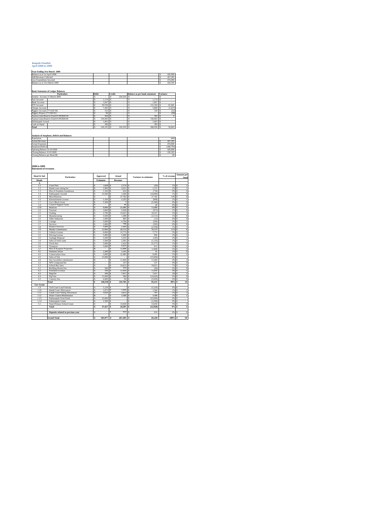#### **Kaupule Funafuti April 2008 to 2009**

| Year Ending 31st March 2009   |  |  |         |
|-------------------------------|--|--|---------|
| Balance as at 1st April 2008  |  |  | 426,990 |
| Add Revenue Collected         |  |  | 267,205 |
| Less Expenditure Incurred     |  |  | 474,000 |
| Balance as at 31st March 2009 |  |  | 220.195 |
|                               |  |  |         |
|                               |  |  |         |

| <b>Bank Statement of Ledger Balances</b> |                    |
|------------------------------------------|--------------------|
|                                          | <b>Particulars</b> |

| <b>Particulars</b><br>Debit           |  |         | Credit |           | Balance as per bank statement | <b>Variance</b> |
|---------------------------------------|--|---------|--------|-----------|-------------------------------|-----------------|
| Surplus Account 31 March 2009         |  |         |        | 220.195   |                               |                 |
| <b>Fusi Account</b>                   |  | 1.174   |        |           | 1.174                         |                 |
| <b>Bank Account</b>                   |  | 1.847   |        |           | 1.847                         |                 |
| FTF Account                           |  | 50,559  |        |           | 112.160                       | 61,601          |
| Cheque Account                        |  | 7.445   |        |           | 5.808                         | (1,637)         |
| Piggery Account (771320-30)           |  | 152     |        |           | 130                           | (22)            |
| Piggery Project (771320-01)           |  | 99      |        |           |                               | (99)            |
| Tausoa Lima Reserve Fund 01:903928:30 |  | 584     |        |           | 584                           |                 |
| Tausoa Lima Reserve Fund 01:903928:40 |  | 156,943 |        |           | 156,943                       |                 |
| Falekaupule Award                     |  | 1.003   |        |           | 1.003                         |                 |
| Cash on Hand                          |  | 389     |        |           | 389                           |                 |
| Total                                 |  | 220.195 |        | 220.195 S | 280,038                       | 59,843          |
|                                       |  |         |        |           |                               |                 |

**Analysis of Surpluses, Deficit and Balances**

| Population                    |  |  | 4492       |
|-------------------------------|--|--|------------|
| Actual Revenue                |  |  | 267,205    |
| <b>Actual Expenses</b>        |  |  | 474,000    |
| Surpluses/Deficit             |  |  | (206, 795) |
| Opening Balance 01:04:2008    |  |  | 426,990    |
| Closing Balance 31:03:2009    |  |  | 220,195    |
| Closing Balance per Head (\$) |  |  | 49         |

#### **2008 to 2009 Statement of revenues**

| Head & Sub       | <b>Particulars</b>                    |   | Approved         |   | Actual    |   | <b>Variance to estimates</b> | % of revenue | <b>Amount</b> per<br>head    |
|------------------|---------------------------------------|---|------------------|---|-----------|---|------------------------------|--------------|------------------------------|
| <b>Heads</b>     |                                       |   | <b>Estimates</b> |   | Revenue   |   |                              |              |                              |
| $\Lambda$        |                                       |   |                  |   |           |   |                              |              |                              |
| 1.1              | Court Fine                            | Ś | $2.600$ S        |   | $2.574$ S |   | (26)                         | 1%           | $\mathbf{1}$<br>s            |
| 1.2              | Island court sitting fee              | s | 2.900            | s | 4.021     | s | 1.121                        | 2%           | ī                            |
| 13               | Hire of Funafala Guesthouse           | Ś | 1.350            | Ś | 616       | s | (734)                        | 0%           | $\overline{0}$<br>s          |
| 1.4              | Falekaupule Awards                    | Ś | 15,500           | Ś | 1.500     | Ś | (14.000)                     | 1%           | $\bf{0}$                     |
| 1.5              | Miscellaneous                         | Ś | à,               | s | 37,782    | Ś | 37,782                       | 14%          | $\overline{\mathbf{8}}$<br>Ś |
| 1.6              | <b>Entertainment License</b>          | s | 5.100            | s | 4.203     | s | (898)                        | 2%           | T<br>s                       |
| 1.7              | Gov't Block Grant                     | Ś | 5.300            | Ś | 1         | Ś | (5.300)                      | 0%           | $\overline{0}$               |
| 1.8              | Council Support Grant                 | Ś | ×,               | ś | 40        | s | 40                           | 0%           | $\overline{0}$<br>¢          |
| 2.10             | Head tax                              | ś | 9,000            | s | 22,486    | Ś | 13,486                       | 8%           | 5                            |
| 2.2              | Tourism                               | s | 3,000            | s | 2.028     | Ś | (973)                        | 1%           | $\overline{0}$<br>Ś          |
| 2.3              | Trading                               | s | 2.700            | s | 13.021    | s | 10.321                       | 5%           | s                            |
| 2.4              | Manufacturing                         | Ś | 3.500            | s | 1.389     | s | (2.111)                      | 1%           | $\overline{0}$               |
| 2.5              | Other Industries                      | Ś | 1.000            | Ś | 985       | Ś | (15)                         | 0%           | $\overline{0}$<br>Ś          |
| 2.6              | Cottage                               | ś | 5,000            | Ś | 4.794     | Ś | (206)                        | 2%           | $\mathbf{1}$                 |
| 2.7              | Services                              | s | 1.000            | s | 708       | Ś | (293)                        | 0%           | $\overline{0}$<br>Ś          |
| 2.8              | Finance Services                      | s | 5.000            | s | 2.443     | s | (2.558)                      | 1%           | T<br>s                       |
| 2.9              | Market Commission                     | Ś | 12,000           | Ś | 28.153    | s | 16.153                       | 11%          | 6<br>s                       |
| 3.1              | Vehicle License                       | ś | 6,000            | Ś | 13,772    | Ś | 7.772                        | 5%           | 3<br>ś                       |
| 3.2              | Driving License                       | Ś | 5.000            | s | 5.906     | Ś | 906                          | 2%           | $\overline{1}$<br>ś          |
| 3.3              | Garbage Disposal                      | s | 5.500            | s | 5.355     | s | (145)                        | 2%           | T<br>s                       |
| 3.4              | Sales of fresh water                  | s | 3.500            | s | 2.365     | s | (1.135)                      | 1%           | T<br>s                       |
| 3.5              | Truck hire                            | Ś | 5.000            | s | 2.423     | s | (2.577)                      | 1%           | $\mathbf{1}$<br>Ś            |
| 3.6              | Transport                             | ś | 5.000            | Ś | 5.913     | Ś | 913                          | 2%           | $\overline{1}$<br>ś          |
| 3.7              | Hire of Kaupule Properties            | Ś |                  | s | 12,898    | Ś | 12.898                       | 5%           | 3<br>ś                       |
| 4.1              | <b>Fisheries Sector</b>               | s | 1.500            | s | 1.541     | s | 41                           | 1%           | $\overline{0}$<br>s          |
| 4.2              | <b>Conservation Area</b>              | s | 3,000            | s | 12,485    | s | 9,485                        | 5%           | 3<br>Ś                       |
| 4.3              | Sales of fish                         | Ś | 15,000           | Ś | ٠         | Ś | (15,000)                     | 0%           | s                            |
| 44               | Sea Cucumber commission               | ś | ٠                | s | 11,464    | ś | 11.464                       | 4%           | Ś                            |
| 5.2              | NPS Compound fee                      | s | $\cdot$          | s | 537       | Ś | 537                          | 0%           | $\overline{0}$<br>s          |
| 53               | School Bus fares                      | s | ×.               | s | 19,651    | s | 19.651                       | 7%           | $\overline{4}$<br>s          |
| 6.1              | <b>Building Permit Fee</b>            | s | 500              | Ś | 410       | Ś | (90)                         | 0%           | $\overline{0}$               |
| 6.2              | Foreshore License                     | Ś | 100              | Ś | 11.959    | Ś | 11.859                       | 4%           | 3<br>Ś                       |
| 63               | Dog Fee                               | ś | 500              | s | 7.917     | Ś | 7.417                        | 3%           | $\overline{2}$<br>ś          |
| 6.4              | Pig Fine                              | s | 15,000           | s | 380       | s | (14.620)                     | 0%           | $\overline{0}$<br>s          |
| 6.5              | Cemetry Fee                           | Ś | 6,000            | s | 50        | s | (5,950)                      | 0%           | $\overline{0}$               |
|                  | Total                                 | Ś | 146,550          | Ś | 241,765   | Ś | 95.215                       | 90%          | 54<br>ś                      |
| <b>Gov Grant</b> |                                       |   |                  |   |           |   |                              |              |                              |
| 19               | Tied Grant-Land Subsidy               | ś | 5.229            | Ś |           |   | (5.229)                      | O%           | Ś                            |
| 110              | Island Court Allowances               | s | 1.872            | s | 3.456     | s | 1.584                        | 1%           | $\,$ 1<br>s                  |
| 1.11             | <b>Lands Court Sitting Allowances</b> | s | 3.026            | s | 3.813     | s | 787                          | 1%           | T                            |
| 1.12             | Water Cistern Maintenance             | Ś | ä,               | Ś | 3.588     | Ś | 3.588                        | 1%           | $\mathbf{1}$<br>s            |
| 1.13             | Falekaupule Trust Fund                | ś | 25,000           | Ś | $\alpha$  | Ś | (25.000)                     | 0%           | Ś<br>×.                      |
| 114              | Falekaupule Grants                    | Ś | 2.300            | s |           | ś | (2.300)                      | 0%           | s<br>×.                      |
| 5.1              | Nauti Primary School Grant            | s |                  | s | 13,650    | s | 13,650                       | 5%           | 3                            |
|                  | Total                                 | ŝ | 37,427           | s | 24,507    | Ś | (12.920)                     | 9%           | $\overline{\phantom{a}}$     |
|                  |                                       |   |                  |   |           |   |                              |              |                              |
|                  | Deposits related to previous year     | s | ٠                | Ś | 933       | s | 933                          | 0%           | $\bf{0}$<br>s                |
|                  |                                       |   |                  |   |           |   |                              |              |                              |
|                  | <b>Grand Total</b>                    | ŝ | 183,977 S        |   | 267,205 S |   | 83,228                       | 100%         | 59<br>s                      |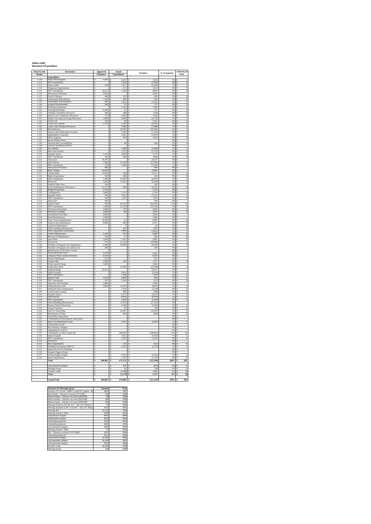| 2008 to 2009                    |
|---------------------------------|
| <b>Statement of Expenditure</b> |

| Head & Sub<br>Heads   | Particulars                                                               | Approved<br>Estimates                    | Actual<br>Expenditure               | Variance                     | % of expenses        | Amount per<br>$_{\rm head}$                                                |
|-----------------------|---------------------------------------------------------------------------|------------------------------------------|-------------------------------------|------------------------------|----------------------|----------------------------------------------------------------------------|
|                       | <b>Expenditure</b>                                                        |                                          |                                     |                              | 1%                   |                                                                            |
| 1.110<br>1.111        | Salary Pule Kaupule<br><b>TPF Contribution</b>                            | 5,820<br>s<br>\$                         | 6,453<br>s<br>1,434<br>Ś            | (633)<br>(1, 434)            | 0%                   | $\overline{1}$<br>$\overline{0}$<br>Ś                                      |
| 1.113                 | Salary Staffs                                                             | s<br>582 S                               | 7,011                               | (6, 429)                     | 1%                   | s<br>2                                                                     |
| 1.114<br>1115         | Temporary Appointment<br><b>TPF Contribution</b>                          | 10.427<br>ś                              | 611<br>1,334                        | (611)<br>2009                | $0\%$<br>0%          | $\overline{0}$<br>$\overline{0}$                                           |
| 1.116                 | Allowances/Overtime                                                       | 4,092<br>s                               | Ś                                   | 4,092<br>s                   | 0%                   | <sub>5</sub>                                                               |
| $\frac{1.117}{1.118}$ | Post & Telecom<br>Falekaupule Refn<br>:kaup                               | $\frac{400}{1,500}$<br>$\frac{s}{s}$     | 232<br>806<br>S                     | 168<br>S<br>694              | $\frac{0\%}{0\%}$    | $\frac{0}{0}$<br>Ś                                                         |
| 1.119                 | alekaupule Entertainmen                                                   | 300<br>ś                                 | 2,821                               | (2, 521)                     | 1%                   | $\overline{1}$                                                             |
| 1.120                 | Kaupule Entertainment                                                     | Ś<br>300<br>s                            | 25<br>5,114                         | 275<br>1,386                 | 0%<br>1%             | $\overline{0}$<br>Ś<br>s<br>$\mathbf{1}$                                   |
| $\frac{1.121}{1.122}$ | Printing & Stationery<br>Training/Workshop                                | 6,500                                    |                                     | 175                          | 0%                   | $\overline{0}$                                                             |
| 1123<br>1.124         | Funafala Committee allowance<br>Island Court Committee Allowance          | s<br>200<br>s<br>175                     | 299<br>×<br>3,362<br>s              | (124)<br>(362)               | 0%<br>1%             | s<br>$\overline{0}$<br><sub>5</sub><br>$\mathbf{1}$                        |
| 1.125                 | Island Court Special sitting Allowance                                    | Ś<br>3,000                               | 4,896                               | (4,716)                      | 1%                   | ī<br>Ś                                                                     |
| $\frac{1.126}{1.127}$ | Fuel & Oil<br>and Lease subsidy                                           | 180<br>s<br>$\overline{s}$<br>$5,743$ \$ | $\overline{90}$                     | 5.653                        | 0%                   | $\overline{0}$                                                             |
| 1.128                 | ands Court Sitting Allowances                                             | s                                        | 6,233<br>7,088                      | (6, 233)<br>(7,088)          | 1%<br>1%             | $\,$ 1<br><sub>5</sub><br>$\frac{2}{7}$<br>s                               |
| 1.130                 | Miscellaneous                                                             | s                                        | s<br>29.382                         | (29.382)                     | 6%                   | ß                                                                          |
| 1.131<br>1.132        | Tausoa Lima Falekaupule Awards<br><b>Independence Expenses</b>            | \$<br>Ś                                  | \$<br>1,520<br>s<br>3,451           | (1, 520)<br>(3, 451)         | 0%<br>1%             | $\overline{0}$<br>s<br>Ś                                                   |
| 1.133                 | Office Supplies<br>Resort (Fafine Ffuti)                                  | s                                        | s<br>816                            | (816)                        | 0%                   | $\frac{1}{0}$<br>\$                                                        |
| 1.135<br>1136         | National Paly Ground(Ffuti)                                               | s<br>\$.                                 | s<br>\$.<br>40                      | (40)                         | 0% S<br>0%           | $\,$ 0<br>×                                                                |
| 1.139                 | Tausoa Lima Reserve(FTF)                                                  | \$                                       | s                                   |                              | 0%                   | s                                                                          |
| $\frac{1.140}{1.141}$ | New Market<br>Risk Trees Project                                          | $\frac{s}{s}$                            | 2,398<br>1,251<br>Ś                 | $(2,398)$<br>$(1,251)$       | 1%<br>0%             | $\frac{1}{0}$                                                              |
| 2.110                 | Kaupule Salary                                                            | S<br>5,443                               | 4,064<br>s                          | 1,379                        | 1%                   | $\overline{1}$<br>ś                                                        |
| 2.111                 | <b>TPF Contribution</b>                                                   | Ś<br>544S<br>19,297 S<br>s               | 993                                 | (449)<br>19,297<br>s         | 0%<br>0%             | $\overline{0}$<br>s<br><sub>s</sub>                                        |
| $\frac{2.112}{2.113}$ | <b>Allowance</b><br>Staff Salaries                                        | ś<br>1,980                               | 25,269                              | (23, 289)                    | 5%                   | $\overline{6}$                                                             |
| 2.114                 | <b>TPF Contribution</b>                                                   | s<br>150                                 | 5,366                               | (5.216)                      | 1%                   | s<br>T                                                                     |
| $2-Ian$<br>2.116      | Allowances/Overtime<br><b>Bank Charges</b>                                | s<br>900 S<br>Ś<br>10,000                |                                     | 900<br>10,000                | 0%<br>0%             | <sub>5</sub><br>ś                                                          |
| 2.117                 | Custom Duty<br>Media Expenditure                                          | 12,000<br>s                              | 329                                 | 11,671                       | 0%                   | $\Omega$<br>Ś                                                              |
| 2.118<br>2.119        | Office Equipment                                                          | s<br>500 <sub>5</sub><br>s<br>1.000      | 300<br>10.287<br>s                  | 200<br>(9, 287)              | 0%<br>2%             | $\overline{0}$<br>s<br>$\overline{\phantom{a}}$<br>$\overline{\mathbf{c}}$ |
| 2.121                 | Electricity                                                               | s<br>5.443S                              | 11.641                              | (6.198)                      |                      | <b>S</b>                                                                   |
| 2.122                 | Audit & Other Fees<br><b>Travel Subsistence Allowances</b>                | 544<br>Ś                                 | Ś<br>983                            | 544<br>50.334                | 0%<br>0%             | s<br>$\overline{0}$<br>ś                                                   |
| 2.123<br>2.124        | <b>Budget Preparation</b>                                                 | $\frac{51,317}{5,518}$ \$<br>s<br>s      |                                     | 5,518                        | 0%                   | <b>S</b>                                                                   |
| 2.125<br>3.110        | Contingencies<br>Kaupule Salary                                           | 3,860<br>S<br>s<br>500                   | 1,116<br>S<br>5.812<br>s            | 2,744<br>(5.312)             | 0% S<br>1%           | $\overline{0}$<br>$\mathbf{1}$<br>\$                                       |
| 3.111                 | <b>TPF Contribution</b>                                                   | s<br>500 S                               | 1,297                               | (797)                        | 0%                   | $\overline{0}$<br><sub>5</sub>                                             |
| 3.112<br>3.113        | Allowance<br>salaries Staff                                               | Ś<br>500<br>s<br>500 S                   | 63,435                              | 500<br>(62.935)              | 0%<br>13%            | ś<br>14<br>.s                                                              |
| 3.114                 | <b>TPF Contribution</b>                                                   | S<br>1,000                               | 13,164<br>s                         | (12, 164)                    | 3%                   | 3                                                                          |
| 3.115                 | Allowances/Overtime                                                       | Ś<br>$4.000$ S                           | 135                                 | 3,865                        | 0%                   | $\overline{0}$<br>s                                                        |
| 3.116<br>3.117        | Protective Clothing<br><b>Household Waste Bins</b>                        | s<br>$2.000$ S<br>ś<br>3,000             | 84<br>s                             | s<br>1.916<br>3,000          | 0% S<br>0%           | $\theta$                                                                   |
| 3.118                 | Road Mainntenance                                                         | s<br>$1,000$ S                           |                                     | 1.000                        | 0%                   | s                                                                          |
| 3.119<br>3.120        | Water Cistern Maintenance<br>Tausoa Lima Maintenance                      | s<br>10,000<br>Ś<br>9,000                | $\overline{15}$<br>s<br>850<br>s    | 9,985<br>s<br>8,151          | 0%<br>0%             | $\overline{0}$<br><b>S</b><br>$\overline{0}$<br>ś                          |
| 3.121<br>3.122        | <b>Lotokava Maintenance</b><br>Office building Maintena                   | s                                        | s<br>3                              | (3)<br>Ś                     | 0%                   | $\theta$<br>s                                                              |
| 3.123                 | Office equipment maintenance                                              | ŝ                                        | 452<br>s<br>Γs<br>3,095             | (452)<br>(3.095)             | 0%<br>1%             | $\overline{0}$<br>s<br>ī<br>ś                                              |
| 3.124                 | Vehicle Maintenance                                                       | $5,443$ S<br>s                           | 975                                 | 4,468<br>s                   | 0% S                 | $\boldsymbol{0}$                                                           |
| 3.125                 | Motorcycle Maintenance<br>Spare Parts                                     | Ŝ<br>544 S                               | 51<br>1.187                         | 494<br>3,882                 | $0\%$<br>0%          | $\overline{0}$<br>Ś                                                        |
| 3.126<br>3.127        | uel & Oil                                                                 | $5,069$ S<br>527 S<br>$\frac{S}{S}$      | 11,516                              | (10,989)                     | 2%                   | $\frac{0}{3}$<br><b>S</b>                                                  |
| 3.128<br>3.129        | Purchase of Kaupule new Equipments                                        | 500<br>s<br>s<br>200 S                   | 10,604<br>S                         | (8,104)<br>200               | 2%<br>0%             | s<br>$\overline{\mathbf{r}}$<br>s<br>÷                                     |
| 3.130                 | Purchase of Kaupule new motorcycle<br>Maintenance of All Water Cistern    | \$                                       | s                                   | s                            | 0%                   | s                                                                          |
| 3.131<br>3.132        | North and South Gates                                                     | Ś<br>5443<br>8,559 S<br>s                | $\overline{\mathbf{s}}$             | 5.443<br>ś<br>8,559<br>s     | 0%<br>0%             | ś<br>s                                                                     |
| 3.133                 | Lotokava Water cistern & kitchen<br>Senala Falekaupule                    | S<br>923                                 | s                                   | 923<br>s                     | 0%                   | $\overline{\phantom{a}}$<br>s                                              |
| 3.134                 | Kaupule Bus                                                               | ś<br>3.000                               | 443<br>s                            | 2.557<br>s                   | 0%                   | $\overline{0}$                                                             |
| 3.135<br>3.136        | Water truck & Pump<br>šenala New truck                                    | s<br>5,000 S<br>s                        | 15,500<br>S                         | s<br>5,000<br>(15,500)<br>s  | $0\%$<br>3%          | <sub>5</sub><br>$\overline{3}$                                             |
| 3.137                 | Kaupule Burge                                                             | $22,925$ S<br>s                          |                                     | 22.925<br>s                  | 0%                   | s                                                                          |
| 4.110<br>4.111        | <b>Salary Kaupule</b><br><b>TPF Contribution</b>                          | s<br>\$                                  | 5,614<br>s<br>Ŝ<br>1,348            | (5, 614)<br>Ś<br>1,348<br>Ś  | 1%<br>0%             | $\overline{1}$<br>s<br>$\overline{0}$<br>ś                                 |
| 4.113                 | Salaries Staff<br>TPF Contribution                                        | $\frac{5,670}{567}$ S<br>s               | 4,980                               | $\frac{690}{(537)}$<br>s     | 1%                   | $\overline{\mathbf{s}}$<br>$\begin{matrix} 1 \\ 0 \end{matrix}$            |
| 4.114<br>4.115        | Allowance & Overtin                                                       | 3<br>1000S                               | 1,104                               | 1.000                        | 0%<br>OW             | र                                                                          |
| 4.116                 | Outboard motor fuel                                                       | \$<br>3,000                              | 11,853<br>s                         | s<br>(8, 853)                | 3%                   | s                                                                          |
| 4.117<br>4 1 1 8      | Outboard motor maintenance                                                | Ś<br>ś                                   | s<br>1,236<br>400<br>s              | Ś<br>(1, 236)<br>(400)       | $0\%$<br>0%          | $\overline{0}$<br><b>S</b><br>$\overline{0}$<br>Ś                          |
| 5.110                 | <b>Conservation Control</b><br>Kaupule Salary                             | ŝ                                        | 6,537<br>s                          | (6, 537)<br>s                | 1%                   | $\overline{1}$<br>s                                                        |
| 5.113                 | <b>Staff Salaries</b>                                                     | s<br>s                                   | 8,916<br>S<br><sup>s</sup><br>2,050 | (8,916)<br>s<br>(2,050)<br>s | 2%<br>0%             | s<br>$\overline{2}$<br>$\overline{0}$<br>s                                 |
| 5.114<br>5.116        | <b>TPF Contribution</b><br><b>School Building Maintenance</b>             | s                                        | 17,915<br>s                         | (17.915)                     | 4%                   |                                                                            |
| 5.117                 | Primary School Electricity                                                | Ś                                        | Ŝ<br>3,630                          | (3,630)<br>Ś                 | 1%                   | $\overline{1}$<br>ś                                                        |
| 5.118<br>5.119        | <b>School Toiletries</b><br><b>Fuel For School Bus</b>                    | s<br>S                                   | <sub>S</sub><br>93<br>10,567<br>S   | (93)<br>s<br>(10, 567)       | 0%<br>2%             | s<br>$\bf{0}$                                                              |
| 5.120                 | ance Of Bus<br>Mainter                                                    | ś                                        | s<br>840                            | (840)                        | 0%                   | $\overline{0}$                                                             |
| 5.121                 | <b>School Bus Spare Parts</b><br>Contribution to Ffuti Sports Association | s<br>s                                   | s<br>S                              | S<br>Ś                       | 0%<br>0%             | <b>S</b><br>ś                                                              |
| 5.122                 | Sports Facilities(multi court)                                            | s                                        | 5.207<br>s                          | (5.207)<br>s                 | 1%                   | $\overline{1}$<br>s                                                        |
| 5.124<br>5.125        | Scholarship Award<br>New Primary Complex                                  | s<br>Ś                                   | s<br>Ŝ                              | ś<br>Ś                       | 0%<br>0%             | 3<br>Ś                                                                     |
| 5.126<br>5.127        | Upgrading Pre School<br>Contribution to Ffuti Comm NZ                     | $\frac{s}{s}$                            | s<br>s                              | s                            | 0%<br>21%            | s                                                                          |
| 6.110                 | Salary Kaupule                                                            | ₹                                        | 100,065<br>र<br>5,812               | (100, 065)<br>(5, 812)<br>s  | $\overline{18}$      | ٦<br>$\overline{22}$<br>s<br>T                                             |
| 6.111                 | <b>TPF</b> Contribution                                                   | \$                                       | s<br>1,297                          | S<br>(1, 297)                | 0%                   | $\,0\,$<br>s                                                               |
| 6.112<br>6113         | Allowance                                                                 | Ś<br>ś                                   | Ŝ<br>523<br>s                       | Ś<br>(523)                   | $0\%$<br>O%          | Ŝ<br>$\overline{0}$<br>s                                                   |
| 6.114                 | Pig C<br>Standing Committees [PHCC]                                       | s                                        | 2,563<br>s                          | (2, 563)<br>S                | 1%                   | ī<br>3                                                                     |
| 6.115<br>6.116        | Inspection Fee For Building                                               | S<br>s                                   | S<br>s                              | Ś<br>s                       | 0%<br>0%             | 3<br>s                                                                     |
| 6.117                 | Kaupule Pigpen Project<br>Women Pigpen Project                            | Ś                                        | 5,222<br>s                          | (5,222)<br>s                 | 1%                   | $\overline{1}$                                                             |
| 6.118                 | Dog Compensation                                                          | Ś<br>260,085 S<br>3                      | Ś<br>1,747<br>475,179               | 747<br>Ś<br>(1)              | 0%                   | $\overline{0}$<br>s                                                        |
|                       | Total                                                                     |                                          |                                     | (212, 398)<br>s              | 100%                 | 106                                                                        |
|                       | ate presented cheques                                                     | Ś                                        | 876<br>¢                            | (876)                        | OW                   | $\Omega$                                                                   |
|                       | Shortage found<br><b>Transfer</b> credit                                  | s<br>3                                   | s<br>30<br>s<br>(2.086)             | S<br>(30)<br>2.086           | 0%<br>0 <sup>8</sup> | $\,0\,$<br>s<br>(0)<br>s                                                   |
|                       | Total                                                                     | ŝ                                        | (1, 179)<br>s                       | 1.179                        | 0%                   | s<br>(0)                                                                   |
|                       | <b>Grand Total</b>                                                        | 3<br>260,085 \$                          | 474,000                             | (211, 219)                   | $100\%$ \$           | 106                                                                        |
|                       |                                                                           |                                          |                                     |                              |                      |                                                                            |

| <b>Advances &amp; Shortages given</b>                 | Amount    | Vear |
|-------------------------------------------------------|-----------|------|
| Advance A/C (Loise - \$496.57 April '97, Iapesa - \$1 | \$661     | 1997 |
| Pene Enoka - Advance Account (31/12/98)               | \$20      | 1998 |
| Pikona Satupa - Advance Account (29/02/99)            | \$8       | 1999 |
| Pikona Satupa - Advance Account (30/04/99)            | \$64      | 1999 |
| Pikona Satupa - Advance Account (30/06/99)            | \$46      | 1999 |
| Shortage found in Oct 2K A/C - Adv A/C Pikona S       | \$2       | 2000 |
| Shortage declared in PV # 15/2/01 - Adv A/C Pikon     | \$335     | 2001 |
| Shortage B/F                                          | \$1,645   | 1998 |
| Shortage found in 2002                                | \$329     | 2002 |
| Unpresented cheques                                   | $-5412$   | 2003 |
| Unpresented cheques                                   | $-5424$   | 2004 |
| Outstanding deposits                                  | $-5200$   | 2004 |
| Outstanding deposits                                  | -5893     | 2005 |
| Late presented cheques                                | \$285     | 2005 |
| Shortage found in 2006                                | \$7       | 2006 |
| Ene - Advance account (31/07/2006)                    | \$167     | 2006 |
| Outstanding deposits                                  | $-5147$   | 2006 |
| Unpresented cheques                                   | $-51.897$ | 2006 |
| Late presented cheques                                | \$1,018   | 2007 |
| Late presented cheques                                | \$876     | 2008 |
| Transfer credit                                       | $-52.086$ | 2008 |
| Shortage found                                        | \$30      | 2008 |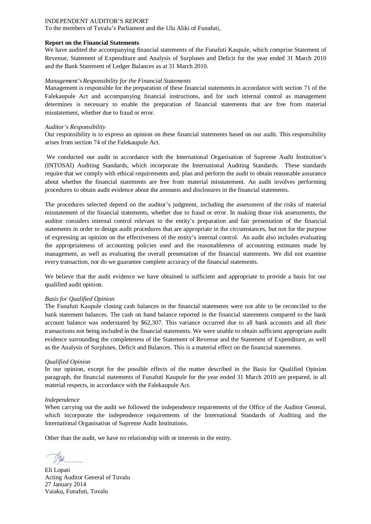To the members of Tuvalu's Parliament and the Ulu Aliki of Funafuti,

#### **Report on the Financial Statements**

We have audited the accompanying financial statements of the Funafuti Kaupule, which comprise Statement of Revenue, Statement of Expenditure and Analysis of Surpluses and Deficit for the year ended 31 March 2010 and the Bank Statement of Ledger Balances as at 31 March 2010.

#### *Management's Responsibility for the Financial Statements*

Management is responsible for the preparation of these financial statements in accordance with section 71 of the Falekaupule Act and accompanying financial instructions, and for such internal control as management determines is necessary to enable the preparation of financial statements that are free from material misstatement, whether due to fraud or error.

#### *Auditor's Responsibility*

Our responsibility is to express an opinion on these financial statements based on our audit. This responsibility arises from section 74 of the Falekaupule Act.

We conducted our audit in accordance with the International Organisation of Supreme Audit Institution's (INTOSAI) Auditing Standards, which incorporate the International Auditing Standards. These standards require that we comply with ethical requirements and, plan and perform the audit to obtain reasonable assurance about whether the financial statements are free from material misstatement. An audit involves performing procedures to obtain audit evidence about the amounts and disclosures in the financial statements.

The procedures selected depend on the auditor's judgment, including the assessment of the risks of material misstatement of the financial statements, whether due to fraud or error. In making those risk assessments, the auditor considers internal control relevant to the entity's preparation and fair presentation of the financial statements in order to design audit procedures that are appropriate in the circumstances, but not for the purpose of expressing an opinion on the effectiveness of the entity's internal control. An audit also includes evaluating the appropriateness of accounting policies used and the reasonableness of accounting estimates made by management, as well as evaluating the overall presentation of the financial statements. We did not examine every transaction, nor do we guarantee complete accuracy of the financial statements.

We believe that the audit evidence we have obtained is sufficient and appropriate to provide a basis for our qualified audit opinion.

#### *Basis for Qualified Opinion*

The Funafuti Kaupule closing cash balances in the financial statements were not able to be reconciled to the bank statement balances. The cash on hand balance reported in the financial statements compared to the bank account balance was understated by \$62,307. This variance occurred due to all bank accounts and all their transactions not being included in the financial statements. We were unable to obtain sufficient appropriate audit evidence surrounding the completeness of the Statement of Revenue and the Statement of Expenditure, as well as the Analysis of Surpluses, Deficit and Balances. This is a material effect on the financial statements.

#### *Qualified Opinion*

In our opinion, except for the possible effects of the matter described in the Basis for Qualified Opinion paragraph, the financial statements of Funafuti Kaupule for the year ended 31 March 2010 are prepared, in all material respects, in accordance with the Falekaupule Act.

#### *Independence*

When carrying out the audit we followed the independence requirements of the Office of the Auditor General, which incorporate the independence requirements of the International Standards of Auditing and the International Organisation of Supreme Audit Institutions.

Eli Lopati Acting Auditor General of Tuvalu 27 January 2014 Vaiaku, Funafuti, Tuvalu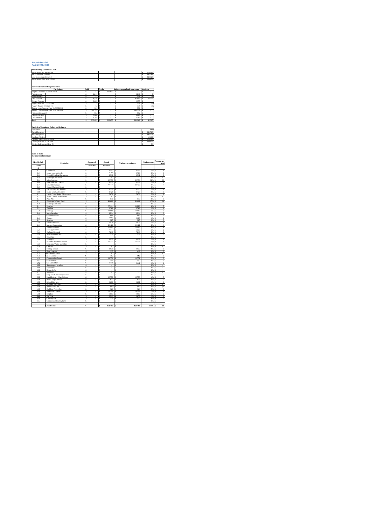#### **Kaupule Funafuti April 2009 to 2010**

| .                           |  |
|-----------------------------|--|
| Year Ending 31st March 2010 |  |
|                             |  |

| Balance as at 1st April 2009             |                |                |                                      | 220.195<br>s  |
|------------------------------------------|----------------|----------------|--------------------------------------|---------------|
| Add Revenue Collected                    |                |                |                                      | 361,789<br>Ś  |
| Less Expenditure Incurred                |                |                |                                      | 342.329<br>ś  |
| Balance as at 31st March 2010            |                |                |                                      | 239,655<br>s  |
|                                          |                |                |                                      |               |
| <b>Bank Statement of Ledger Balances</b> |                |                |                                      |               |
| <b>Particulars</b>                       | Debit          | Credit         | <b>Balance as per bank statement</b> | Variance      |
| Surplus Account 31 March 2010            | ś<br>٠         | 239,655<br>s   | s<br>٠                               | Ś<br>×,       |
| <b>Fusi Account</b>                      | 1.216<br>Ś     | s<br>٠         | 1.216                                | s<br>$\Omega$ |
| <b>Bank Account</b>                      | 177            | s<br>٠         | 176                                  | Ś<br>(1)      |
| <b>FTF</b> Account                       | 34,530         | s<br>٠         | 96.845                               | 62.315<br>s   |
| Cheque Account                           | 9.375          | ×<br>٠         | 9.375                                | s<br>٠        |
| Piggery Account (771320-30)              | 131            | s<br>٠         | 131                                  | s<br>(0)      |
| Piggery Project (771320-01)              | 152            | s<br>×,        | 145                                  | (7)<br>s      |
| Tausoa Lima Reserve Fund 01:903928:30    | 590            | s<br>٠         | 590                                  | s<br>×,       |
| Tausoa Lima Reserve Fund 01:903928:40    | 186.319        | <b>S</b><br>٠  | 186.319<br>s                         | Ś<br>×,       |
| Falekaupule Award                        | 862            | s<br>٠         | 862<br>s                             | s<br>$\sim$   |
| Ulurukalukiluki                          | 5,000<br>¢     | s<br>٠         | 5,000<br>s                           | s<br>×,       |
| Cash on Hand                             | 1.303          | <b>S</b><br>×, | 1.303<br>s                           | s<br>×,       |
| Total                                    | 239,655 S<br>s | 239,655 S      | 301.962 S                            | 62,307        |

| Population                    |  |  | 4492    |
|-------------------------------|--|--|---------|
| <b>Actual Revenue</b>         |  |  | 361,789 |
| <b>Actual Expenses</b>        |  |  | 342.329 |
| Surpluses/Deficit             |  |  | 19,460  |
| Opening Balance 01:04:2009    |  |  | 220.195 |
| Closing Balance 31:03:2010    |  |  | 239,655 |
| Closing Balance per Head (\$) |  |  | 53      |
|                               |  |  |         |

**2009 to 2010 Statement of revenues**

| Head & Sub       | <b>Particulars</b>                                                |        | Approved         |        | Actual      | Variance to estimates            | % of revenue   | Amount per<br>head        |
|------------------|-------------------------------------------------------------------|--------|------------------|--------|-------------|----------------------------------|----------------|---------------------------|
| <b>Heads</b>     |                                                                   |        | <b>Estimates</b> |        | Revenue     |                                  |                |                           |
| A                |                                                                   |        |                  |        |             |                                  |                |                           |
| $\overline{1.1}$ | Court Fine                                                        | Ś      | ×,               | s      | 3.557       | 3.557<br>s                       | 1%             | T<br>s                    |
| $\overline{12}$  | Island court sitting fee                                          | s      | ï                | t      | 1.786       | s<br>1.786                       | 0%             | $\overline{0}$<br>s       |
| 13               | Hire of Funafala Guesthouse                                       | s      | ×,               | s      | 1.911       | 1.911<br>$\overline{\mathbf{S}}$ | 1%             | $\overline{0}$<br>×.      |
| 1.4              | Falekaupule Awards                                                | s      | J.               | s      | ÷           | s<br>٠                           | 0%             | s<br>÷.                   |
| 15               | Miscellaneous                                                     | s      | à,               | s      | 43,790      | 43,790<br>s                      | 12%            | 10<br>s                   |
| 1.6              | <b>Entertainment License</b>                                      | s      | à,               | s      | 4.535       | 4.535<br>s                       | 1%             | T<br>s                    |
| 1.7              | <b>Gov't Block Grant</b>                                          | s      | J.               | s      | 32,730      | s<br>32.730                      | 9%             | 7<br>s                    |
| 18<br>1.90       | Council Support Grant                                             | s<br>s | ä,               | s<br>s | ×,<br>5.210 | s<br>٠<br>5.210                  | 0%             | s<br>×.<br>T              |
|                  | Tied Grant-Land Subsidy                                           | ś      | ×,               | s      | 1,728       | s<br>1.728                       | 1%             | s<br>$\overline{0}$       |
| 1.10<br>1.1      | Island Court Allowances                                           | Ś      |                  | ś      | 7.676       | Ś<br>7.676                       | 0%<br>2%       | Ś<br>$\overline{2}$<br>Ś  |
| $\overline{1.1}$ | <b>Lands Court Sitting Allowances</b><br>Water Cistem Maintenance | s      | ï<br>J.          | s      |             | Ś<br>s                           | 0%             | s                         |
| $\overline{1.1}$ | Puka Pili                                                         | s      |                  | s      | ×,<br>640   | i,<br>s<br>640                   | 0%             | à,<br>$\overline{0}$<br>s |
| 1.1              | Falekaupule Trust Fund                                            | s      | ä,<br>×,         | s      | 61.601      | 61,601<br>s                      | 17%            | $\overline{14}$<br>s      |
| 1.2              | Falekaupule Grants                                                | s      | à,               | s      |             | Ś<br>×,                          | 0%             | s<br>à.                   |
| 2.1              | Head tax                                                          | Ś      |                  | s      | 21.223      | 21.223<br>Ś                      | 6%             | 3<br>Ś                    |
| 22               | Tourism                                                           | Ś      | J.               | Ś      | 3.768       | 3.768<br>Ś                       | 1%             | ī<br>ś                    |
| 23               | Trading                                                           | s      |                  | s      | 11.666      | s<br>11.666                      | 3%             | s                         |
| 2.4              | Manufacturing                                                     | s      | ä,<br>×,         | s      | 1.214       | 1.214<br>s                       | 0%             | $\overline{0}$<br>s       |
| っく               | Other Industries                                                  | s      | ×,               | s      | 696         | 696<br>s                         | 0%             | $\overline{0}$<br>s       |
| 26               | Cottage                                                           | s      | ×,               | t      | 3,689       | 3.689<br>s                       | 1%             | ī<br>s                    |
| 27               | <b>Services</b>                                                   | Ś      | à,               | s      | 985         | 985<br>Ś                         | 0%             | $\overline{0}$<br>Ś       |
| 28               | <b>Finance Services</b>                                           |        |                  | ś      | 2.478       | 2.478<br>Ś                       | 1%             | ī<br>Ś                    |
| 29               | Market Commission                                                 | Ś      | ×,               | s      | 29.121      | 29.121<br>s                      | 8%             | $\overline{6}$<br>s       |
| 3.1              | Vehicle License                                                   | s      | ×,               | s      | 15.945      | 15.945<br>s                      | 4%             | 4<br>s                    |
| 32               | Driving License                                                   | s      | ×,               | s      | 9.533       | 9.411<br>s                       | 3%             | $\overline{2}$<br>s       |
| 33               | Garbage Disposal                                                  | s      | à,               | s      | 7.210       | 7.210<br>s                       | 2%             | $\overline{2}$<br>s       |
| 3.4              | Sales of fresh water                                              | ś      | k,               | s      | 325         | Ś<br>325                         | 0%             | $\overline{0}$<br>¢       |
| 35               | Truck hire                                                        | Ś      | J.               | Ś      | ÷.          | Ś<br>÷                           | 0%             | ś<br>×.                   |
| 3.6              | Transport                                                         | s      | ×,               | s      | 3.925       | 3.925<br>s                       | 1%             | T<br>s                    |
| 37               | Hire of Kaupule Properties                                        | s      | ×,               | s      | 12.212      | 12.212<br>s                      | 3%             | s                         |
| 3.8              | Generator/Water pump hire                                         | s      | à,               | s      | ×.          | s<br>i,                          | 0%             | s<br>×.                   |
| 3.9              | Cancare                                                           | s      | à,               | s      | à,          | s<br>i,                          | 0%             | s<br>Τ                    |
| 4.1              | <b>Fishing licence</b>                                            | s      | à,               | s      | 1.635       | Ś<br>1.635                       | 0%             | $\overline{0}$<br>ś       |
| 4.2              | <b>Boat Licenses</b>                                              | ś      | ï                | s      | 418         | Ś<br>418                         | 0%             | $\overline{0}$<br>Ś       |
| 43               | <b>Boat Hire Licenses</b>                                         | s      | ×,               | s      | ×,          | s<br>×,                          | 0%             | s<br>٠                    |
| 4.4              | Canoe License                                                     | s      | ٠                | s      | 102         | 102<br>s                         | 0%             | $\overline{0}$<br>s       |
| 4.5              | <b>Conservation Permit</b>                                        | s      |                  | s      | 11.771      | 11.771<br>s                      | 3%             | 3<br>s                    |
| 4.6              | Sales of Fish                                                     | s      | ×,               | s      | 150         | 150<br>s                         | 0%             | $\overline{0}$<br>s       |
| 4.70             | Sea Cucumber                                                      | s      | ł,               | s      | 2.441       | Ś<br>2.441                       | 1%             | T<br>Ś                    |
| 4.80             | Share export funafuna                                             | ŝ      | ٠                | s      | à,          | s<br>٠                           | ON             | ś<br>×.                   |
| 4.90             | Export fee                                                        | s      | à,               | s      | à,          | s<br>i,                          | 0%             | s<br>à.                   |
| 4.10             | Research fee                                                      | s      | ł,               | s      | í,          | s<br>i,                          | 0%             | s<br>à.                   |
| 4.1              | Sharks fin                                                        | s      | ä,               | s      | à.          | s<br>×,                          | 0%             | Τ<br>s                    |
| 4.12             | Ship/Yatch Anchorage licence                                      | s      | ×,               | s      | J.          | s<br>÷                           | 0%             | s<br>×.                   |
| 510              | Nauti Primary School Grant                                        | s      | ×,               | s      | 13,750      | s<br>13,750                      | 4%             | ×.                        |
| 5.20             | NPS Compound fee                                                  | ś      | ×,               | s      | 637         | Ś<br>637                         | 0%             | $\overline{0}$<br>ś       |
| 5.30             | School Bus fares                                                  | \$     | ×,               | t      | 2.201       | 2.201<br>s                       | 1%             | $\overline{0}$<br>s       |
| 5.40             | Hire of Classroom                                                 | \$     | ×,               | s      | ×,          | s<br>٠                           | 0%             | s<br>×.                   |
| 5.50             | Special class fee                                                 | s      | ×,               | s      | (91)        | s<br>(91)                        | 0%             | (0)<br>s                  |
| 6.10             | <b>Building Permit Fee</b>                                        | s      | ×,               | s      | 520         | 520<br>s                         | 0%             | $\overline{0}$<br>s       |
| 620              | Foreshore License                                                 | ŝ      | ×.               | s      | 26,254      | 26.254<br>s                      | 7 <sub>5</sub> | $\overline{6}$<br>¢       |
| 6.30             | Dog Fee                                                           | ś      |                  | s      | 9.857       | 9.857<br>Ś                       | 3%             | $\overline{2}$<br>Ś       |
| 6.40             | Pig Fine                                                          | \$     | ٠                | Ś      | 2,675       | Ś<br>2.675                       | 1%             | ī<br>Ś                    |
| 6.50             | Cemetry Fee                                                       | s      | ×,               | s      | 320         | 320<br>s                         | 0%             | $\overline{0}$<br>s       |
| 66               | Commercial Poultry Farm                                           | s      | ×.               | s      | à.          | s<br>i,                          | 0%             | s<br>×.                   |
|                  |                                                                   |        |                  |        |             |                                  |                |                           |
|                  | <b>Grand Total</b>                                                | ś      | ×                | ŝ      | 361,789 S   | 361,789                          | 100% S         | 81                        |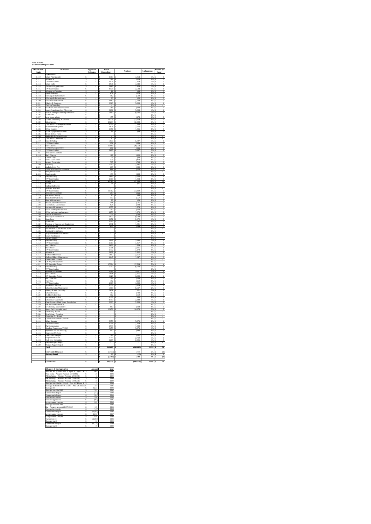#### **2009 to 2010 Statement of Expenditure**

| Head & Sub<br><b>Heads</b>     | Particulars                                                                 | Approved<br>Estimates | Expenditure                                              | Variance                           | $\%$ of expenses               | <b>Amount</b> per<br>head                         |
|--------------------------------|-----------------------------------------------------------------------------|-----------------------|----------------------------------------------------------|------------------------------------|--------------------------------|---------------------------------------------------|
| 1.110                          | Expenditure<br>alary Pule Kaupule                                           |                       | 4,364                                                    | (4, 364)                           | 1%                             |                                                   |
| $\frac{1111}{1.112}$           | Alk<br>F Contributi                                                         | s                     | $\frac{109}{1,974}$<br>s                                 | $(109)$<br>$(1.974)$               | $\frac{0\%}{1\%}$              | $\frac{0}{0}$                                     |
| 1.113<br>1.114                 | Salary Staffs<br><b>nporary Appointment</b>                                 | s<br>Ś                | 4.948<br>s<br>805                                        | (4.948)<br>,805)<br>$\overline{c}$ | 1%<br>1%                       | $\frac{1}{1}$                                     |
| 1.115                          | <b>TPF Contribution</b><br>es/Overtime<br>Allo                              | s                     | 4,534                                                    | (4, 534)                           | 1%                             | 1                                                 |
| 1.116<br>1.117<br>1.118        | ost & Telecom<br>Falekaupule Refreshment                                    | s<br>s<br>5           | $\frac{86}{676}$<br>s<br>502                             | $(86)$<br>$(676)$<br>(502)         | $\frac{0\%}{0\%}$<br>0%        | $\begin{matrix} 0 \\ 0 \\ 0 \end{matrix}$         |
| 1119                           | le E<br>цp                                                                  | ś                     | 1,083<br>s                                               | (23)                               | <b>ONG</b>                     | $\frac{0}{0}$                                     |
| 1.120<br>1.121                 | Kaupule Entertainment<br>Printing & Stationery<br>Training/Workshop<br>Prin | s<br>Ś                | 3,903                                                    | (1,083)<br>(3,903)                 | 0%<br>1%<br>0%                 | ī                                                 |
| $\frac{1.122}{1.123}$          | Funafala Committee allowance                                                | s<br>s                | 390<br>s                                                 | (390)                              | 0%                             | $\overline{0}$                                    |
| 1.124<br>1.125                 | sland Court Committee Allowance<br>sland Court Special sitting Allowa       | š<br>š                | 3836<br>6,092                                            | (3.836)<br>(6,092)                 | 1%<br>2%                       | $\frac{1}{1}$                                     |
| 1126<br>$\frac{1.127}{1.128}$  | Fuel & Oil<br>and Lease subsidy<br>ands Court Sitting Allowances            | ¢<br>$\frac{s}{s}$    | k<br>175<br>13,279<br>ş                                  | $(175)$<br>$(13,279)$              | 0 <sup>6</sup><br>0%           | $\frac{0}{3}$                                     |
| 1.130<br>1.131                 | Miscellaneous<br>Tausoa Lima Falekaupule Aware                              | s<br>s                | ß<br>$\frac{2,233}{1,150}$                               | (22, 233)                          | 4%<br>6%                       | $\frac{5}{0}$                                     |
| 1.132                          | Independence Expenses                                                       | s                     | <b>s</b><br>676                                          | (1,150)<br>(2.676)                 | 1%                             | T                                                 |
| 1.133<br>1.134                 | Office Supplies<br>Office Equipment/Furniture                               | Ś<br>s                | 1,396<br>Ŝ<br>s<br>94                                    | (1, 396)<br>(94)<br>Ś              | 0%<br>0%                       | $\frac{0}{0}$                                     |
| 1.135<br>1.136                 | <b>Resort (Fafine Ffuti)</b><br>National Paly Ground(Ffu<br>si)             | $\frac{s}{s}$         |                                                          |                                    | $\frac{0\%}{0\%}$              |                                                   |
| 1.137<br>2.110                 | Tausoa Lima Reserve(FTF)<br>Kaupule Salary                                  | 3<br>ś                | <b>s</b><br>,037<br>3                                    | (5,037)                            | 0%<br>1%                       | $\overline{1}$                                    |
| 2.111                          | <b>TPF Contribution</b>                                                     | s                     | s<br>956                                                 | (956)<br>ś<br>(20, 669)            | 0%                             | $\overline{0}$                                    |
| $\frac{2.112}{2.113}$<br>2.114 | Staff Salaries<br>Temporary Appointment                                     | s<br>s<br>s           | 20,669<br>230<br>ß<br>5.697                              | (230)<br>(5.697)                   | 6%                             | $\frac{5}{0}$<br>ī                                |
| 2.Jan<br>2.116                 | TPF Contribution<br>Allowances/Overtim<br><b>Bank Charges</b>               | ś<br>s                | 3<br>100<br>s                                            | (100)                              | 0%<br>0%                       | $\overline{0}$                                    |
| 2.117<br>2.118                 | <b>Custom Duty<br/>Media Expendit</b>                                       | $\frac{S}{S}$         | $\frac{10}{470}$<br>Š                                    | $(10)$<br>$(470)$                  | 0%<br>0%                       | $\frac{0}{0}$                                     |
| 2.119                          | Internet Connection<br>Electricity                                          | $\frac{s}{s}$         | s<br>ĸ<br>795                                            | (795)                              | 0%                             | $\overline{0}$                                    |
| 2.120<br>2.121                 | Audit & Other Fees                                                          | s                     | 147<br>s<br>639<br>s                                     | (7.147)<br>(639)                   | 0%                             | $\frac{2}{0}$                                     |
| $\frac{2.122}{2.122}$          | <b>Travel Subsistence Allowances</b><br><b>Judget Preparation</b>           | s<br>s                | 608<br><b>S</b><br>s                                     | (608)                              | 0%<br>0%                       | $\overline{0}$                                    |
| 2.124<br>3.110                 | 'ontingencies<br>Caupule Salary                                             | s<br>ţ                | 198<br>s<br>5,666                                        | $(198)$<br>$(5,666)$               | $\frac{0\%}{25}$               | $\bf{0}$<br>$\overline{1}$                        |
| 3.111                          | <b>TPF Contribution</b><br>alaries Staff                                    | s<br>s                | 1,304<br>s<br>s<br>62,380                                | (1, 304)<br>(62, 380)              | 0%                             | 0                                                 |
| 3.112<br>3.113<br>3.114        | trivers<br>Garbage Labourers                                                | s<br>s                | s                                                        | (51)                               | $\frac{18\%}{0\%}$<br>0%       | $\frac{14}{0}$                                    |
| 3.115<br>3.116                 | <b>Assistant Mechanic</b><br><b>TPF Contribution</b>                        | Ś<br>s                | ś<br>s<br>13,112                                         | (13, 112)                          | 0%<br>4%                       | 3                                                 |
| 3.117<br>3.119                 | <b>Allowances/Overtin</b><br>Protective Clothing                            | s<br>s                | <b>İS</b><br>$\frac{213}{60}$                            | $\frac{(213)}{(60)}$               | $\frac{0\%}{0\%}$              | $\frac{0}{0}$                                     |
| 3.120<br>3121                  | Household Waste Bins<br>d Mi                                                | s<br>ś                | s<br>557<br>٦<br>79                                      | (557)                              | 0%<br>0%                       | $\overline{0}$                                    |
| 3.122<br>3.123                 | Water Cistern Maintenance<br>soa Lima Mainte                                | s<br>ś                | 511<br>s<br>s<br>824                                     | (29)<br>(511)<br>s                 | 0%                             | $\begin{array}{c}\n0 \\ 0 \\ 0 \\ 0\n\end{array}$ |
| 3.12                           | otokava Maintenance                                                         |                       |                                                          | $\frac{(824)}{(1.575)}$            | 0%                             |                                                   |
| 3.125<br>3.126<br>3.128        | Office building Maintenance<br>Office equipment mail<br>Vehicle Maintenance | 3<br>s<br>s           | s<br>212<br>$\overline{20}$                              | (212)<br>1,270)<br>(738)           | 0%                             | $\overline{0}$<br>$\frac{0}{0}$                   |
| 3.129<br>3.130                 | Motorcycle Maintenance<br>Spare Parts                                       | s                     | $\frac{1}{738}$<br>3<br>$\overline{\mathbf{s}}$<br>8,633 | (8, 633)                           | $rac{1}{0}$<br>3%              | $\overline{2}$                                    |
| 3.131                          | uel & Oil                                                                   | ş<br>s                | 2,072<br>S<br>1,547<br>۱s                                | (2,072)<br>(1, 547)                | 1%<br>0%                       | $\overline{0}$<br>$\overline{0}$                  |
| 3.132<br>3.133                 | urchase of Kaupule new Equip<br>lew site fencing                            | s<br>s                | $\frac{1,531}{249}$<br>s<br>s                            | $(1, 531)$<br>$(249)$              | $\frac{0\%}{0\%}$              | $\frac{0}{0}$                                     |
| 3.134<br>3.135                 | Maintenance of All Water Cistern<br><b>North and South Gates</b>            | s<br>Ś                | ß                                                        |                                    | 0%<br>0%                       |                                                   |
| 3.136                          | Alapi Brushcutters/Tables hire                                              | s                     | s                                                        | s                                  | 0%                             |                                                   |
| 3.137<br>3.138<br>4.110        | senala Falekaupule<br>Jancare Project                                       | s<br>s<br>s           | s<br>s<br>5,848<br>ß                                     | (5, 848)                           | $\frac{0\%}{0\%}$<br>2%        | ī                                                 |
| 4.112<br>4.113                 | Kaupule Salary<br>TPF Contribution<br><b>Staff Salaries</b>                 | S<br>Ś                | 1,367<br>s<br>1,606                                      | (1, 367)<br>(1,606)<br>S           | 0%<br>0%                       | $\overline{0}$<br>$\bf{0}$                        |
| 4.114<br>4.115                 | <b>Boat Driver</b><br>TPF Contributi                                        | $\frac{5}{5}$         | s<br>s<br>3,301<br>1,172                                 | $(3,301)$<br>$(1,172)$             | 1%<br>0%                       | $\frac{1}{0}$                                     |
| 4.116<br>4.117                 | Allowances<br>Outboard Motor Fuel                                           | s<br>s                | ß<br>2,802<br>7,967                                      | $\frac{(2,802)}{(7.967)}$          | 1%<br>2%                       | ī                                                 |
| 4.118                          | Outboard Motor Main                                                         | s                     | s<br>1.047                                               | (1.047)                            | 0%                             |                                                   |
| 4.119<br>4.120<br>4.121        | Conservation Control<br>CA Project Equipment                                | s<br>s<br>s           | <b>s</b><br>s<br>17.504<br>Τs                            | (17.504)                           | 0%<br>0%<br>5%                 | 4                                                 |
| 5.110                          | 'A Upgrading Project<br>Caupule Salary                                      | s<br>s                | 6,700<br>\$<br>3                                         | (6,700)                            | 0%                             | $\overline{1}$                                    |
| 5.111<br>5.112<br>5.113        | <b>TPF Contribution</b><br>Allowances/Overtime<br>Staff Salaries            | s<br>s                | 3,387<br>s                                               | (3.387)                            | $\frac{1\%}{2\%}$              | $\frac{1}{2}$                                     |
| 5.114<br>5.115                 | 'A Upgrading Project<br>lus Collectors                                      | ś                     | 6,629<br>s                                               | (7.951)<br>$(6,629)$<br>(294)      | $\frac{2\%}{0\%}$              | $\frac{1}{0}$                                     |
| 5.116                          | <b>Tutor Fee</b>                                                            | š<br>s                | 152<br>3                                                 | (152)                              | 0%                             | 0                                                 |
| 5.117<br>5.118                 | <b>TPF</b> Contribution<br>es/Oven                                          | š<br>s                | 4,309<br>3,179<br>s                                      | $\frac{(4,309)}{(3,179)}$          | $\frac{1}{15}$                 | $\frac{1}{1}$                                     |
| 5.119<br>5.120                 | <b>School Building Maintenance</b><br>Primary School Electricity            | s<br>ś                | s<br>6,617<br>ś<br>7,621                                 | (6.617)<br>(7, 621)                | 2%<br>$\overline{\phantom{a}}$ | $\frac{1}{2}$                                     |
| 5.121<br>5.122<br>5.123        | chool Toiletries<br><b>Fuel For School Bus</b><br>Maintenance Of Bus        | s<br>š                | s<br>789<br>$\frac{562}{1,133}$<br>s                     | (789)<br>$(562)$<br>$(1,133)$      | 0%<br>$\frac{0\%}{0\%}$        | $\overline{0}$                                    |
| 5.124                          | <b>School Bus Spare Parts</b>                                               | s<br>s                | s<br>4,143                                               | (4, 143)                           | 1%                             | $\frac{0}{0}$<br>$\,$                             |
| 5.125<br>5.126                 | stion to Pfuti Sports Associ<br>Pre School Mai<br>intenance                 | τ<br>Ś                | 2,200<br>र<br>s                                          | (2, 200)                           | 1%<br>0%                       | $\overline{0}$                                    |
| 5.127<br>5.122                 | NPS Fencing Maintenance<br>Sports Facilities (multi court                   | s<br>s                | 813<br>3<br>3<br>10,678                                  | (813)<br>(10, 678)                 | 0%<br>3%                       | $\overline{0}$<br>2                               |
| 5.129<br>5130                  | Scholarship Award<br>mples                                                  | 5<br>ś                | s                                                        |                                    | 0%<br><b>ONG</b>               |                                                   |
| $\frac{1}{5.131}$<br>5.13      | New Primary Comple<br>Upgrading Pre School<br>cetribution to Pfuti Comm NZ  | S<br>s                | s<br>$\overline{\mathbf{s}}$                             |                                    | $rac{1}{0}$<br>0%              |                                                   |
| 6.110<br>6.111                 | salary Kaupule<br><b>TPF</b> Contribution                                   | Ś<br>5                | 5,370<br>Ś<br>ß<br>1,304                                 | (5,370)<br>(1, 304)                | $\frac{2\%}{0\%}$              | $\frac{1}{0}$                                     |
| 6.112<br>$rac{1}{6113}$        | <sup>x</sup> ig C<br>ompen<br>ittees [PHCC]<br><b>Standing Comm</b>         | ś<br>s                | 1,938<br>$\frac{1}{3.6}$                                 | $(1,938)$<br>$(3,679)$             | 1%<br>I%                       | $\frac{0}{1}$                                     |
| 6.114                          | Inspection Fee For Build                                                    | 5                     | <b>S</b><br>440                                          | (440)                              | 0%                             | $\overline{0}$                                    |
| 6.115<br>6.116                 | Committee Uniform<br>Committee Transport                                    | Ś<br>s                | Ŝ<br>s<br>262                                            | (262)<br>s                         | 0%<br>0%<br>1g                 | $\frac{1}{0}$                                     |
| 6.117<br>6.118                 | Dog Compensation<br>Task force Committee                                    | š<br>s                | 2,702<br>2,205<br>3                                      | $(2,702)$<br>$(2,205)$             | 1%                             | $\frac{1}{0}$                                     |
| 6.119<br>6.120                 | Kaupule Pigpen Project<br>Women Pigpen Project                              | s<br>s                | ß<br>s                                                   |                                    | 0%<br>0%                       |                                                   |
|                                | Total                                                                       | \$                    | 349,089<br><b>s</b>                                      | (349,089)<br><b>s</b>              | 102%<br>Ś                      | $\overline{78}$                                   |
|                                | <b>Unpresented Cheques</b><br>Shortage found                                | š<br>s                | (6, 779)<br>s<br>ß<br>19                                 | 6,779<br>(19)<br>s                 | 2%<br>0%<br>s                  | (2)<br>$\overline{0}$                             |
|                                |                                                                             |                       | (6,760)<br>3                                             | 6,760<br>š                         | $_{2\%}$<br>š                  | $\overline{2}$                                    |
|                                | <b>Grand Total</b>                                                          |                       | Б<br>342,329                                             | (342,329)                          | 100%                           | 76                                                |

| <b>Advances &amp; Shortages given</b>                 |    | A mount            | Year |
|-------------------------------------------------------|----|--------------------|------|
| Advance A/C (Loise - \$496.57 April '97, Iapesa - \$1 | ç. | 661                | 1997 |
| Pene Enoka - Advance Account (31/12/98)               | s  | $\overline{20}$    | 1998 |
| Pikona Satupa - Advance Account (29/02/99)            | t  | $\dot{\mathbf{x}}$ | 1999 |
| Pikona Satupa - Advance Account (30/04/99)            | ¢  | 64                 | 1999 |
| Pikona Satupa - Advance Account (30/06/99)            | ¢  | 46                 | 1999 |
| Shortage found in Oct 2K A/C - Adv A/C Pikona S       | s  | $\overline{2}$     | 2000 |
| Shortage declared in PV # 15/2/01 - Adv A/C Pikon \$  |    | 335                | 2001 |
| Shortage B/F                                          | s  | 1.645              | 1998 |
| Shortage found in 2002                                | s  | 329                | 2002 |
| <b>Unpresented</b> cheques                            | ¢  | (412)              | 2003 |
| Unpresented cheques                                   | Ś  | (424)              | 2004 |
| Outstanding deposits                                  | t  | (200)              | 2004 |
| Outstanding deposits                                  | s  | (893)              | 2005 |
| Late presented cheques                                | s  | 285                | 2005 |
| Shortage found in 2006                                | s  |                    | 2006 |
| Ene - Advance account (31/07/2006)                    | ¢  | 167                | 2006 |
| Outstanding deposits                                  | Ś  | (147)              | 2006 |
| Unpresented cheques                                   | s  | (1.897)            | 2006 |
| Late presented cheques                                | t  | 1.018              | 2007 |
| Late presented cheques                                | s  | 876                | 2008 |
| <b>Transfer credit</b>                                | t  | (2.086)            | 2008 |
| Shortage found                                        | ¢  | $\infty$           | 2008 |
| Unpresented cheques                                   | Ś  | (6.779)            | 2009 |
| Shortage found                                        | s  | 19                 | 2009 |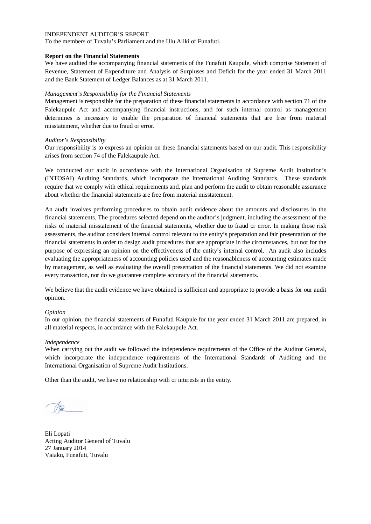To the members of Tuvalu's Parliament and the Ulu Aliki of Funafuti,

## **Report on the Financial Statements**

We have audited the accompanying financial statements of the Funafuti Kaupule, which comprise Statement of Revenue, Statement of Expenditure and Analysis of Surpluses and Deficit for the year ended 31 March 2011 and the Bank Statement of Ledger Balances as at 31 March 2011.

## *Management's Responsibility for the Financial Statements*

Management is responsible for the preparation of these financial statements in accordance with section 71 of the Falekaupule Act and accompanying financial instructions, and for such internal control as management determines is necessary to enable the preparation of financial statements that are free from material misstatement, whether due to fraud or error.

## *Auditor's Responsibility*

Our responsibility is to express an opinion on these financial statements based on our audit. This responsibility arises from section 74 of the Falekaupule Act.

We conducted our audit in accordance with the International Organisation of Supreme Audit Institution's (INTOSAI) Auditing Standards, which incorporate the International Auditing Standards. These standards require that we comply with ethical requirements and, plan and perform the audit to obtain reasonable assurance about whether the financial statements are free from material misstatement.

An audit involves performing procedures to obtain audit evidence about the amounts and disclosures in the financial statements. The procedures selected depend on the auditor's judgment, including the assessment of the risks of material misstatement of the financial statements, whether due to fraud or error. In making those risk assessments, the auditor considers internal control relevant to the entity's preparation and fair presentation of the financial statements in order to design audit procedures that are appropriate in the circumstances, but not for the purpose of expressing an opinion on the effectiveness of the entity's internal control. An audit also includes evaluating the appropriateness of accounting policies used and the reasonableness of accounting estimates made by management, as well as evaluating the overall presentation of the financial statements. We did not examine every transaction, nor do we guarantee complete accuracy of the financial statements.

We believe that the audit evidence we have obtained is sufficient and appropriate to provide a basis for our audit opinion.

### *Opinion*

In our opinion, the financial statements of Funafuti Kaupule for the year ended 31 March 2011 are prepared, in all material respects, in accordance with the Falekaupule Act.

### *Independence*

When carrying out the audit we followed the independence requirements of the Office of the Auditor General, which incorporate the independence requirements of the International Standards of Auditing and the International Organisation of Supreme Audit Institutions.

Eli Lopati Acting Auditor General of Tuvalu 27 January 2014 Vaiaku, Funafuti, Tuvalu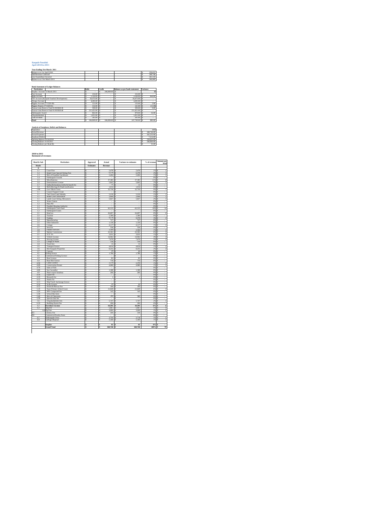#### **Kaupule Funafuti April 2010 to 2011**

| Year Ending 31st March 2011   |  |  |         |
|-------------------------------|--|--|---------|
| Balance as at 1st April 2010  |  |  | 229.655 |
| Add Revenue Collected         |  |  | 348,746 |
| Less Expenditure Incurred     |  |  | 341.532 |
| Balance as at 31st March 2011 |  |  | 246.869 |
|                               |  |  |         |

| Particulars<br>Surplus Account 31 March 2011 | <b>Debit</b><br>216.00 | Credit<br>246,869.00 | <b>Balance as per bank statement</b> | Variance |
|----------------------------------------------|------------------------|----------------------|--------------------------------------|----------|
|                                              |                        |                      |                                      |          |
|                                              |                        |                      |                                      | \$0      |
| <b>Fusi Account</b>                          |                        |                      | 216.00                               |          |
| <b>Bank Account</b>                          | 1.316.00               |                      | 2,180.00                             | 864.00   |
| FTF Account (Kaupule Funafuti Development)   | 26,473.00              |                      | 26,473.00                            |          |
| Cheque Account                               | 4.285.00               |                      | 4.285.00                             |          |
| Piggery Account (771320-30)                  | 131.00                 | $\sim$               | 133.00                               | 2.00     |
| Piggery Project (771320-01)                  | 152.00                 | $\sim$               | 141.00                               | (11.00)  |
| Tausoa Lima Reserve Fund 01:903928:30        | 590.00                 |                      | 599.00                               | 9.00     |
| Tausoa Lima Reserve Fund 01:903928:40        | 211,451.00             |                      | 211,451.00                           |          |
| Falekaupule Award                            | 862.00                 |                      | 878.00                               | 16.00    |
| Ulurukalukibaki                              | 1.051.00               | ٠                    | 1.051.00                             |          |
| Cash on Hand                                 | 341.00                 |                      | 341.00                               |          |
| Total<br>s                                   | 246,869.00             | 246,869.00 S         | 247,749.00 S                         | 880.00   |

**Analysis of Surpluses** 

| Population                    |  |  | 4492       |
|-------------------------------|--|--|------------|
| <b>Actual Revenue</b>         |  |  | 348,746.00 |
| <b>Actual Expenses</b>        |  |  | 341.532.00 |
| Surpluses/Deficit             |  |  | 7,214.00   |
| Opening Balance 01:04:2010    |  |  | 239,655.00 |
| Closing Balance 31:03:2011    |  |  | 246,869.00 |
| Closing Balance per Head (\$) |  |  | 55.00      |

**2010 to 2011 Statement of revenues**

| Head & Sub                          | <b>Particulars</b>                               |        | Approved         |        | Actual         | Variance to estimates    | % of revenue   | Amount per<br>head              |
|-------------------------------------|--------------------------------------------------|--------|------------------|--------|----------------|--------------------------|----------------|---------------------------------|
| <b>Heads</b>                        |                                                  |        | <b>Estimates</b> |        | Revenue        |                          |                |                                 |
| $\Delta$                            |                                                  |        |                  |        |                |                          |                |                                 |
| $\overline{1.1}$<br>$\overline{12}$ | Court Fine<br>Island Court Special Sitting Fees  | s<br>ś | ×,               | s<br>s | 2,478<br>6,378 | 2.478<br>×<br>s<br>6.378 | 1%<br>2%       | T<br>s<br>s<br>T                |
| 1.3                                 | Hire of Funafala Guesthouse                      | ś      |                  | s      | 2,404          | 2.404<br>s               | 1%             | ī<br>Ś                          |
| 1.4                                 | Falekaupule Awards                               | Ś      |                  | s      | ×,             | Ś<br>٠                   | 0%             | Ś<br>×,                         |
| 15                                  | Miscellaneous                                    | s      | ٠                | s      | 37.385         | 37,385<br>s              | 11%            | $\bf{8}$<br>$\ddot{\mathbf{x}}$ |
| 1.6                                 | <b>Entertainment License</b>                     | s      | J.               | s      | 5,843          | 5.843<br>×               | 246            | T<br>s                          |
| 1.7                                 | Oathe, Declaration, Certify & Search fee         | s      |                  | s      | π              | π<br>×                   | 0%             | s<br>ä,                         |
| 1.8                                 | Birth, Marriage & Death notification             | s      |                  | s      | 1.014          | 1.014<br>×               | O%             | s<br>×,                         |
| 1.90                                | Gov't Block Grant                                | s      |                  | s      | 32,730<br>÷    | 32,730<br>s              | <b>QN</b>      | 7<br>s                          |
| 1.1<br>1.1                          | Council Support Grant<br>Tied Grant-Land Subsidy | Ś<br>Ś |                  | s<br>Ś | 5.210          | ś<br>5.210<br>s          | 0%<br>1%       | $\mathbf{1}$<br>Ś               |
| $\overline{1.1}$                    | Island Court Allowances                          | ś      |                  | s      | 2.604          | s<br>2.604               | 1%             | ś<br>T                          |
| $\overline{1.1}$                    | Lands Court Sitting Allowances                   | ś      |                  | s      | 5.827          | s<br>5.827               | 2%             | ś<br>T                          |
| $\overline{1.1}$                    | Water Cistem                                     | ś      |                  | s      | í,             | s<br>l,                  | 0%             | ś<br>J.                         |
| $\overline{12}$                     | Puka Pili                                        | ś      |                  | s      | J.             | s<br>ł.                  | 0%             | ś<br>Ξ                          |
| $\overline{12}$                     | Funafuti Housing Authority                       | ŝ      |                  | s      |                | Ś                        | 0%             |                                 |
| $\overline{12}$                     | Falekaupule Trust Fund                           | ŝ      |                  | ś      | 62,315         | s<br>62,315              | 18%            | 14<br>ś                         |
| $\overline{12}$                     | <b>Falekaupule Grants</b>                        | s      |                  | s      |                | s                        | $0\%$          | s                               |
| $\overline{21}$                     | Head tax                                         | s      |                  | s      | 26,897         | 26.897<br>s              | 8%             | 6<br>s                          |
| $\overline{22}$<br>$\overline{23}$  | Tourism                                          | Ŝ<br>Ŝ |                  | s      | 1,300<br>9,578 | 1300<br>s<br>9,578<br>s  | 0%<br>3%       | s<br>$\overline{2}$<br>s        |
| 2.4                                 | Trading<br>Manufacturing                         | Ś      |                  | s<br>s | 727            | 727<br>ś                 | 0%             |                                 |
| 2.5                                 | Other Industries                                 | Ś      |                  | Ś      | 1.130          | s<br>1.130               | 0%             | Ś                               |
| 26                                  | Cottage                                          | ś      |                  | s      | 4,117          | s<br>4.117               | 1%             | s<br>T                          |
| 27                                  | <b>Services</b>                                  | ś      |                  | s      | 558            | s<br>558                 | 0%             | s<br>×,                         |
| 28                                  | <b>Finance Services</b>                          | ś      | J.               | s      | 2.564          | 2.564<br>×               | 1%             | T<br>s                          |
| 29                                  | Market Commission                                | ś      | J.               | s      | 22.581         | 22.581<br>×              | 6%             | 5<br>s                          |
| 2.1                                 | TCT 3%                                           | ś      |                  | s      | 3.031          | s<br>3.031               | 1%             | $\overline{1}$<br>Ś             |
| 3.1                                 | Vehicle License                                  | Ś      | i,               | Ś      | 14.962         | 14.962<br>s              | 4%             | $\overline{3}$<br>Ś             |
| 32                                  | <b>Driving License</b>                           | s      | ÷                | s      | 7,679          | 7,679<br>l s             | 2%             | $\overline{2}$<br>ıs            |
| 33<br>3.4                           | Charge of Water<br>Truck hire                    | s<br>s | l,               | s<br>s | 318<br>15      | 318<br>l s<br>×<br>15    | $0\%$<br>$0\%$ | ıs<br>ä,<br>ıs<br>i,            |
| 35                                  | <b>Transport licence</b>                         | s      |                  | s      | 4,814          | 4,814<br>s               | 1%             | s<br>$1\,$                      |
| 3.6                                 | <b>Hire Kaupule Properties</b>                   | Ś      |                  | s      | 8,255          | 8.255<br>s               | 2%             | $\overline{2}$<br>×             |
| 3.7                                 | Cancare                                          | Ś      |                  | s      | 20             | s<br>20                  | 0%             | Ś<br>i,                         |
| 4.1                                 | <b>Fishing licence</b>                           | ś      |                  | s      | 1.786          | s<br>1.786               | 1%             | s<br>Ξ                          |
| 4.2                                 | Commercial Fishing Licence                       | ś      |                  | s      |                | s<br>τ                   | 0%             | s<br>Ξ                          |
| 43                                  | <b>Boat Licence</b>                              | ś      |                  | s      | 83             | s<br>83                  | 0%             | s<br>Ξ                          |
| 4.4<br>4.50                         | <b>Boat Hire licence</b><br>Canoe Licence        | ś      |                  | s<br>s | 710<br>2.370   | s<br>710<br>2370         | 0%             | s<br>J.<br>¢                    |
| 4.60                                | <b>Conservation Permit</b>                       | ŝ<br>ŝ |                  | s      | 4.080          | Ś<br>Ś<br>4.080          | 1%<br>1%       | $\,$ 1<br>$\overline{1}$<br>Ś   |
| 4.70                                | Sales of Fish                                    | s      |                  | s      |                | s                        | 0%             | Ţ<br>s                          |
| 4.80                                | Sea Cucumber                                     | Ŝ      |                  | s      | 1.308          | 1.308<br>s               | 0%             | s                               |
| 49                                  | Share export funafuna                            | Ŝ      |                  | s      | 200            | 200<br>s                 | 0%             | s                               |
| 4.10                                | Export fee                                       | Ŝ      |                  | s      |                | s                        | ON             | s                               |
| 4.10                                | Research fee                                     | Ś      |                  | s      | f,             | Ś<br>$\mathbf{I}$        | 0%             |                                 |
| 4.12                                | Sharks fin                                       | Ś      |                  | s      |                | Ś                        | 0%             | Ś<br>×,                         |
| 4.13                                | Ship/Yatch Anchorage licence                     | ś      |                  | s      |                | s<br>÷                   | 0%             | s<br>Ţ                          |
| 4.14<br>4.15                        | Scale Licence<br>Search & Rescue Fee             | ś<br>ś |                  | s<br>s | 20<br>100      | s<br>20<br>s<br>100      | 0%<br>0%       | s<br>×,<br>s                    |
| 5.10                                | Nauti Primary School Grant                       | ś      |                  | s      | 21.849         | 21.849<br>s              | 6%             | ×,<br>s<br>3                    |
| 5.20                                | NPS Compound fee                                 | ś      |                  | s      | 145            | 145<br>Ś                 | 0%             | Ś<br>×,                         |
| 5.30                                | School Bus fares                                 | ś      |                  | s      | ×,             | ś<br>٠                   | 0%             | Ś<br>à,                         |
| 5.40                                | Hire of Classroom                                | Ś      |                  | Ś      | 580            | sin<br>Ś                 | O%             | Ś<br>à,                         |
| 557                                 | Special class fee                                | s      | ÷                | s      | ÷.             | s<br>÷                   | 0%             | s<br>$\overline{\phantom{a}}$   |
| 5.6                                 | Ulupukalukiluki fees                             | s      | l,               | s      | 5.747          | 5,747<br>×               | 2%             | s<br>$\overline{1}$             |
| 6.10                                | <b>Building Permit Fee</b>                       | s      |                  | s      | 290            | 290<br>×                 | O%             | s<br>ä,                         |
| 62                                  | <b>Foreshore License</b>                         | s      |                  | \$     | 19,391         | 19,391<br>\$             | 6%             | $\overline{4}$<br>s             |
| 63                                  | Dog Fee                                          | Ś      |                  | Ś      | 5.067          | 5.067<br>¢               | 1%             | $\mathbf{I}$<br>ś               |
| 6.5                                 | 6.4 Pig Fine<br>Cemetry Fee                      | Ś<br>ś |                  | Ś<br>ś | 3.009<br>330   | Ś<br>3,009<br>s<br>330   | 1%<br>0%       | $\mathbf{I}$<br>Ś<br>s          |
| 6.6                                 | Commercial Poultry Farm                          | ś      |                  | ś      |                | s                        | 0%             | s                               |
| 6.7                                 | Falekaupule Oven                                 | ś      |                  | ś      | 3.718          | s<br>3,718               | 1%             | s<br>T                          |
| 6.9                                 | Garbage Disposal                                 | ś      |                  | s      | 5.160          | s<br>5,160               | 1%             | T<br>s                          |
|                                     |                                                  |        |                  |        |                |                          |                |                                 |
|                                     | <b>Surplus</b>                                   | ś      |                  | ś      | 61             | Ś<br>61                  | 0%             | J.<br>÷                         |
|                                     | <b>Grand Total</b>                               | \$     |                  | š      | 348,746        | 348,746<br>s             | 100%           | 78                              |